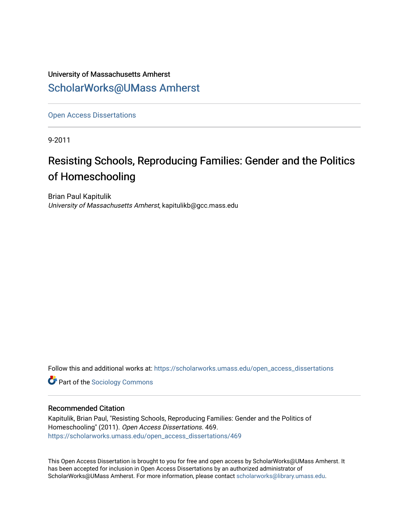# University of Massachusetts Amherst [ScholarWorks@UMass Amherst](https://scholarworks.umass.edu/)

[Open Access Dissertations](https://scholarworks.umass.edu/open_access_dissertations) 

9-2011

# Resisting Schools, Reproducing Families: Gender and the Politics of Homeschooling

Brian Paul Kapitulik University of Massachusetts Amherst, kapitulikb@gcc.mass.edu

Follow this and additional works at: [https://scholarworks.umass.edu/open\\_access\\_dissertations](https://scholarworks.umass.edu/open_access_dissertations?utm_source=scholarworks.umass.edu%2Fopen_access_dissertations%2F469&utm_medium=PDF&utm_campaign=PDFCoverPages) 

**Part of the [Sociology Commons](http://network.bepress.com/hgg/discipline/416?utm_source=scholarworks.umass.edu%2Fopen_access_dissertations%2F469&utm_medium=PDF&utm_campaign=PDFCoverPages)** 

#### Recommended Citation

Kapitulik, Brian Paul, "Resisting Schools, Reproducing Families: Gender and the Politics of Homeschooling" (2011). Open Access Dissertations. 469. [https://scholarworks.umass.edu/open\\_access\\_dissertations/469](https://scholarworks.umass.edu/open_access_dissertations/469?utm_source=scholarworks.umass.edu%2Fopen_access_dissertations%2F469&utm_medium=PDF&utm_campaign=PDFCoverPages) 

This Open Access Dissertation is brought to you for free and open access by ScholarWorks@UMass Amherst. It has been accepted for inclusion in Open Access Dissertations by an authorized administrator of ScholarWorks@UMass Amherst. For more information, please contact [scholarworks@library.umass.edu.](mailto:scholarworks@library.umass.edu)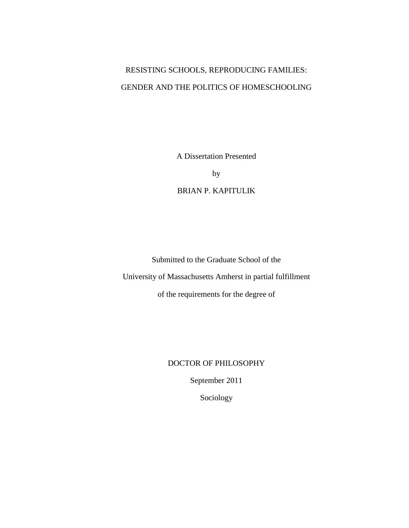# RESISTING SCHOOLS, REPRODUCING FAMILIES: GENDER AND THE POLITICS OF HOMESCHOOLING

A Dissertation Presented

by

BRIAN P. KAPITULIK

Submitted to the Graduate School of the University of Massachusetts Amherst in partial fulfillment

of the requirements for the degree of

### DOCTOR OF PHILOSOPHY

September 2011

Sociology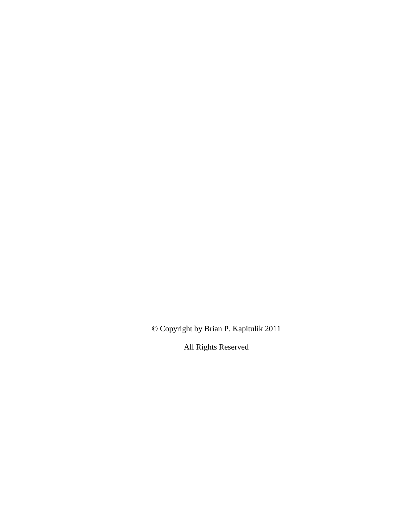© Copyright by Brian P. Kapitulik 2011

All Rights Reserved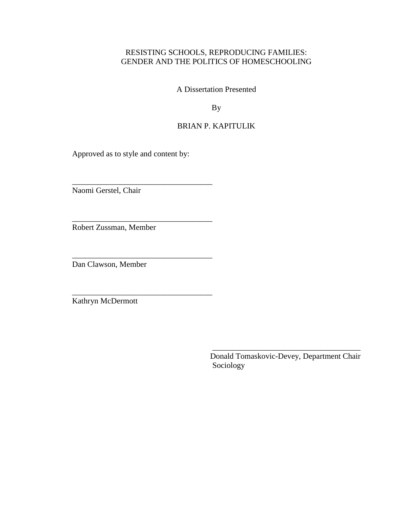## RESISTING SCHOOLS, REPRODUCING FAMILIES: GENDER AND THE POLITICS OF HOMESCHOOLING

A Dissertation Presented

By

## BRIAN P. KAPITULIK

Approved as to style and content by:

\_\_\_\_\_\_\_\_\_\_\_\_\_\_\_\_\_\_\_\_\_\_\_\_\_\_\_\_\_\_\_\_\_\_\_

\_\_\_\_\_\_\_\_\_\_\_\_\_\_\_\_\_\_\_\_\_\_\_\_\_\_\_\_\_\_\_\_\_\_\_

\_\_\_\_\_\_\_\_\_\_\_\_\_\_\_\_\_\_\_\_\_\_\_\_\_\_\_\_\_\_\_\_\_\_\_

\_\_\_\_\_\_\_\_\_\_\_\_\_\_\_\_\_\_\_\_\_\_\_\_\_\_\_\_\_\_\_\_\_\_\_

Naomi Gerstel, Chair

Robert Zussman, Member

Dan Clawson, Member

Kathryn McDermott

Donald Tomaskovic-Devey, Department Chair Sociology

\_\_\_\_\_\_\_\_\_\_\_\_\_\_\_\_\_\_\_\_\_\_\_\_\_\_\_\_\_\_\_\_\_\_\_\_\_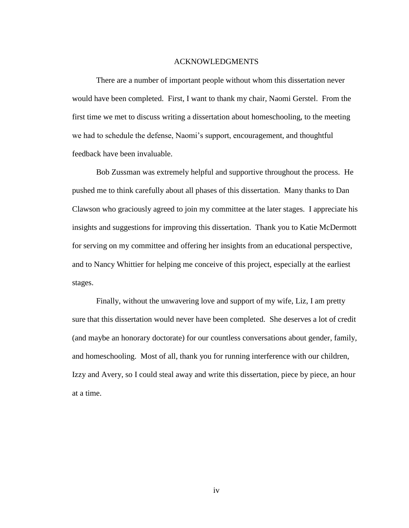#### ACKNOWLEDGMENTS

There are a number of important people without whom this dissertation never would have been completed. First, I want to thank my chair, Naomi Gerstel. From the first time we met to discuss writing a dissertation about homeschooling, to the meeting we had to schedule the defense, Naomi"s support, encouragement, and thoughtful feedback have been invaluable.

Bob Zussman was extremely helpful and supportive throughout the process. He pushed me to think carefully about all phases of this dissertation. Many thanks to Dan Clawson who graciously agreed to join my committee at the later stages. I appreciate his insights and suggestions for improving this dissertation. Thank you to Katie McDermott for serving on my committee and offering her insights from an educational perspective, and to Nancy Whittier for helping me conceive of this project, especially at the earliest stages.

Finally, without the unwavering love and support of my wife, Liz, I am pretty sure that this dissertation would never have been completed. She deserves a lot of credit (and maybe an honorary doctorate) for our countless conversations about gender, family, and homeschooling. Most of all, thank you for running interference with our children, Izzy and Avery, so I could steal away and write this dissertation, piece by piece, an hour at a time.

iv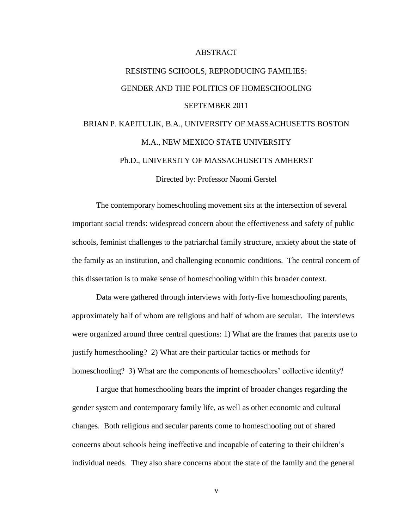#### ABSTRACT

# RESISTING SCHOOLS, REPRODUCING FAMILIES: GENDER AND THE POLITICS OF HOMESCHOOLING SEPTEMBER 2011 BRIAN P. KAPITULIK, B.A., UNIVERSITY OF MASSACHUSETTS BOSTON M.A., NEW MEXICO STATE UNIVERSITY

Ph.D., UNIVERSITY OF MASSACHUSETTS AMHERST

Directed by: Professor Naomi Gerstel

The contemporary homeschooling movement sits at the intersection of several important social trends: widespread concern about the effectiveness and safety of public schools, feminist challenges to the patriarchal family structure, anxiety about the state of the family as an institution, and challenging economic conditions. The central concern of this dissertation is to make sense of homeschooling within this broader context.

Data were gathered through interviews with forty-five homeschooling parents, approximately half of whom are religious and half of whom are secular. The interviews were organized around three central questions: 1) What are the frames that parents use to justify homeschooling? 2) What are their particular tactics or methods for homeschooling? 3) What are the components of homeschoolers' collective identity?

I argue that homeschooling bears the imprint of broader changes regarding the gender system and contemporary family life, as well as other economic and cultural changes. Both religious and secular parents come to homeschooling out of shared concerns about schools being ineffective and incapable of catering to their children"s individual needs. They also share concerns about the state of the family and the general

v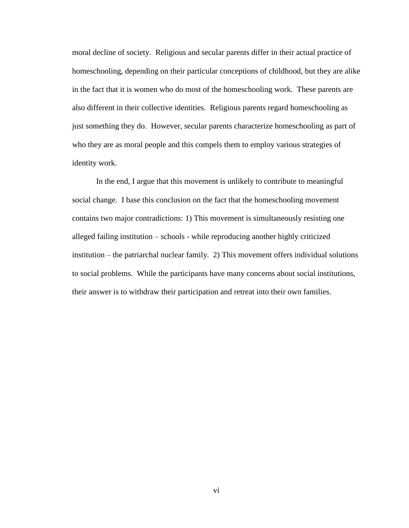moral decline of society. Religious and secular parents differ in their actual practice of homeschooling, depending on their particular conceptions of childhood, but they are alike in the fact that it is women who do most of the homeschooling work. These parents are also different in their collective identities. Religious parents regard homeschooling as just something they do. However, secular parents characterize homeschooling as part of who they are as moral people and this compels them to employ various strategies of identity work.

In the end, I argue that this movement is unlikely to contribute to meaningful social change. I base this conclusion on the fact that the homeschooling movement contains two major contradictions: 1) This movement is simultaneously resisting one alleged failing institution – schools - while reproducing another highly criticized institution – the patriarchal nuclear family. 2) This movement offers individual solutions to social problems. While the participants have many concerns about social institutions, their answer is to withdraw their participation and retreat into their own families.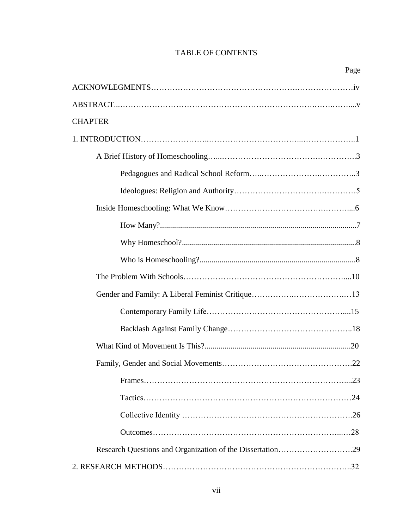## TABLE OF CONTENTS

| <b>CHAPTER</b> |
|----------------|
|                |
|                |
|                |
|                |
|                |
|                |
|                |
|                |
|                |
|                |
|                |
|                |
|                |
|                |
|                |
|                |
|                |
|                |
|                |
|                |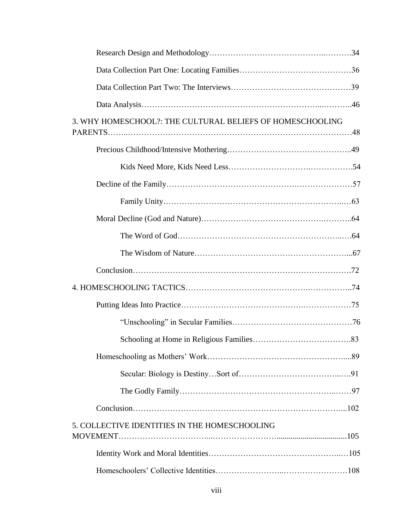| 3. WHY HOMESCHOOL?: THE CULTURAL BELIEFS OF HOMESCHOOLING |  |
|-----------------------------------------------------------|--|
|                                                           |  |
|                                                           |  |
|                                                           |  |
|                                                           |  |
|                                                           |  |
|                                                           |  |
|                                                           |  |
|                                                           |  |
|                                                           |  |
|                                                           |  |
|                                                           |  |
|                                                           |  |
|                                                           |  |
|                                                           |  |
|                                                           |  |
|                                                           |  |
| 5. COLLECTIVE IDENTITIES IN THE HOMESCHOOLING             |  |
|                                                           |  |
|                                                           |  |
|                                                           |  |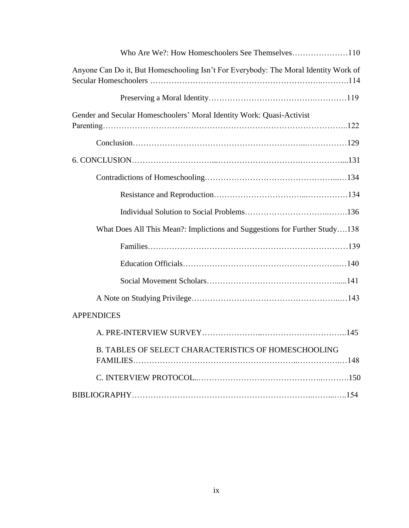| Anyone Can Do it, But Homeschooling Isn't For Everybody: The Moral Identity Work of |
|-------------------------------------------------------------------------------------|
|                                                                                     |
| Gender and Secular Homeschoolers' Moral Identity Work: Quasi-Activist               |
|                                                                                     |
|                                                                                     |
|                                                                                     |
|                                                                                     |
|                                                                                     |
| What Does All This Mean?: Implictions and Suggestions for Further Study138          |
|                                                                                     |
|                                                                                     |
|                                                                                     |
|                                                                                     |
| <b>APPENDICES</b>                                                                   |
|                                                                                     |
| <b>B. TABLES OF SELECT CHARACTERISTICS OF HOMESCHOOLING</b>                         |
|                                                                                     |
|                                                                                     |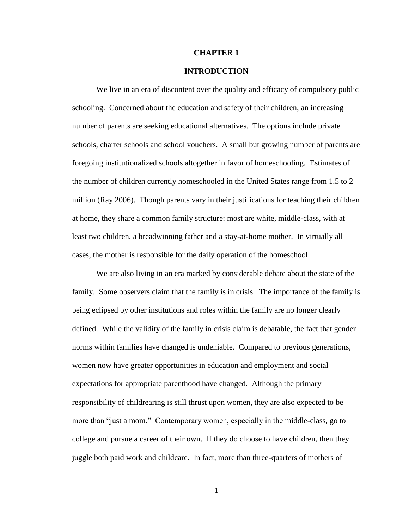#### **CHAPTER 1**

#### **INTRODUCTION**

We live in an era of discontent over the quality and efficacy of compulsory public schooling. Concerned about the education and safety of their children, an increasing number of parents are seeking educational alternatives. The options include private schools, charter schools and school vouchers. A small but growing number of parents are foregoing institutionalized schools altogether in favor of homeschooling. Estimates of the number of children currently homeschooled in the United States range from 1.5 to 2 million (Ray 2006). Though parents vary in their justifications for teaching their children at home, they share a common family structure: most are white, middle-class, with at least two children, a breadwinning father and a stay-at-home mother. In virtually all cases, the mother is responsible for the daily operation of the homeschool.

We are also living in an era marked by considerable debate about the state of the family. Some observers claim that the family is in crisis. The importance of the family is being eclipsed by other institutions and roles within the family are no longer clearly defined. While the validity of the family in crisis claim is debatable, the fact that gender norms within families have changed is undeniable. Compared to previous generations, women now have greater opportunities in education and employment and social expectations for appropriate parenthood have changed. Although the primary responsibility of childrearing is still thrust upon women, they are also expected to be more than "just a mom." Contemporary women, especially in the middle-class, go to college and pursue a career of their own. If they do choose to have children, then they juggle both paid work and childcare. In fact, more than three-quarters of mothers of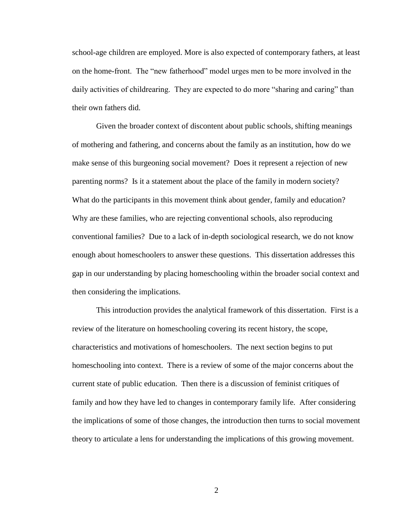school-age children are employed. More is also expected of contemporary fathers, at least on the home-front. The "new fatherhood" model urges men to be more involved in the daily activities of childrearing. They are expected to do more "sharing and caring" than their own fathers did.

Given the broader context of discontent about public schools, shifting meanings of mothering and fathering, and concerns about the family as an institution, how do we make sense of this burgeoning social movement? Does it represent a rejection of new parenting norms? Is it a statement about the place of the family in modern society? What do the participants in this movement think about gender, family and education? Why are these families, who are rejecting conventional schools, also reproducing conventional families? Due to a lack of in-depth sociological research, we do not know enough about homeschoolers to answer these questions. This dissertation addresses this gap in our understanding by placing homeschooling within the broader social context and then considering the implications.

This introduction provides the analytical framework of this dissertation. First is a review of the literature on homeschooling covering its recent history, the scope, characteristics and motivations of homeschoolers. The next section begins to put homeschooling into context. There is a review of some of the major concerns about the current state of public education. Then there is a discussion of feminist critiques of family and how they have led to changes in contemporary family life. After considering the implications of some of those changes, the introduction then turns to social movement theory to articulate a lens for understanding the implications of this growing movement.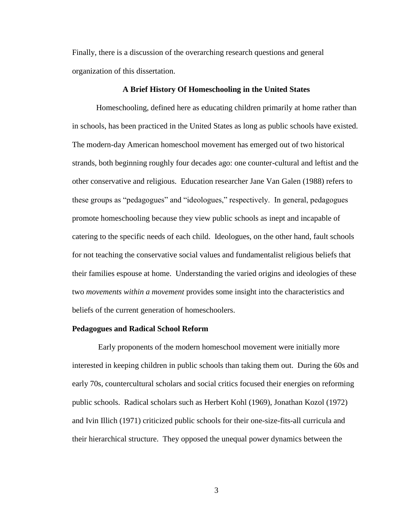Finally, there is a discussion of the overarching research questions and general organization of this dissertation.

#### **A Brief History Of Homeschooling in the United States**

Homeschooling, defined here as educating children primarily at home rather than in schools, has been practiced in the United States as long as public schools have existed. The modern-day American homeschool movement has emerged out of two historical strands, both beginning roughly four decades ago: one counter-cultural and leftist and the other conservative and religious. Education researcher Jane Van Galen (1988) refers to these groups as "pedagogues" and "ideologues," respectively. In general, pedagogues promote homeschooling because they view public schools as inept and incapable of catering to the specific needs of each child. Ideologues, on the other hand, fault schools for not teaching the conservative social values and fundamentalist religious beliefs that their families espouse at home. Understanding the varied origins and ideologies of these two *movements within a movement* provides some insight into the characteristics and beliefs of the current generation of homeschoolers.

#### **Pedagogues and Radical School Reform**

Early proponents of the modern homeschool movement were initially more interested in keeping children in public schools than taking them out. During the 60s and early 70s, countercultural scholars and social critics focused their energies on reforming public schools. Radical scholars such as Herbert Kohl (1969), Jonathan Kozol (1972) and Ivin Illich (1971) criticized public schools for their one-size-fits-all curricula and their hierarchical structure. They opposed the unequal power dynamics between the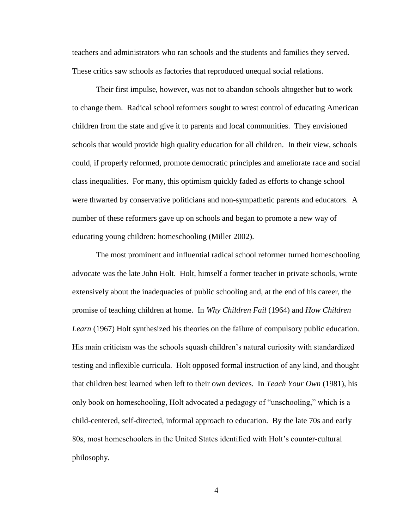teachers and administrators who ran schools and the students and families they served. These critics saw schools as factories that reproduced unequal social relations.

Their first impulse, however, was not to abandon schools altogether but to work to change them. Radical school reformers sought to wrest control of educating American children from the state and give it to parents and local communities. They envisioned schools that would provide high quality education for all children. In their view, schools could, if properly reformed, promote democratic principles and ameliorate race and social class inequalities. For many, this optimism quickly faded as efforts to change school were thwarted by conservative politicians and non-sympathetic parents and educators. A number of these reformers gave up on schools and began to promote a new way of educating young children: homeschooling (Miller 2002).

The most prominent and influential radical school reformer turned homeschooling advocate was the late John Holt. Holt, himself a former teacher in private schools, wrote extensively about the inadequacies of public schooling and, at the end of his career, the promise of teaching children at home. In *Why Children Fail* (1964) and *How Children Learn* (1967) Holt synthesized his theories on the failure of compulsory public education. His main criticism was the schools squash children"s natural curiosity with standardized testing and inflexible curricula. Holt opposed formal instruction of any kind, and thought that children best learned when left to their own devices. In *Teach Your Own* (1981), his only book on homeschooling, Holt advocated a pedagogy of "unschooling," which is a child-centered, self-directed, informal approach to education. By the late 70s and early 80s, most homeschoolers in the United States identified with Holt"s counter-cultural philosophy.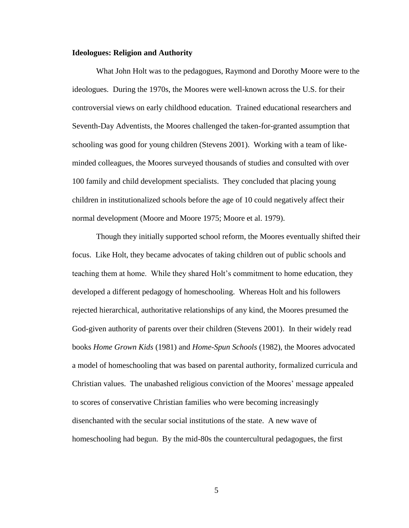#### **Ideologues: Religion and Authority**

What John Holt was to the pedagogues, Raymond and Dorothy Moore were to the ideologues. During the 1970s, the Moores were well-known across the U.S. for their controversial views on early childhood education. Trained educational researchers and Seventh-Day Adventists, the Moores challenged the taken-for-granted assumption that schooling was good for young children (Stevens 2001). Working with a team of likeminded colleagues, the Moores surveyed thousands of studies and consulted with over 100 family and child development specialists. They concluded that placing young children in institutionalized schools before the age of 10 could negatively affect their normal development (Moore and Moore 1975; Moore et al. 1979).

Though they initially supported school reform, the Moores eventually shifted their focus. Like Holt, they became advocates of taking children out of public schools and teaching them at home. While they shared Holt"s commitment to home education, they developed a different pedagogy of homeschooling. Whereas Holt and his followers rejected hierarchical, authoritative relationships of any kind, the Moores presumed the God-given authority of parents over their children (Stevens 2001). In their widely read books *Home Grown Kids* (1981) and *Home-Spun Schools* (1982), the Moores advocated a model of homeschooling that was based on parental authority, formalized curricula and Christian values. The unabashed religious conviction of the Moores" message appealed to scores of conservative Christian families who were becoming increasingly disenchanted with the secular social institutions of the state. A new wave of homeschooling had begun. By the mid-80s the countercultural pedagogues, the first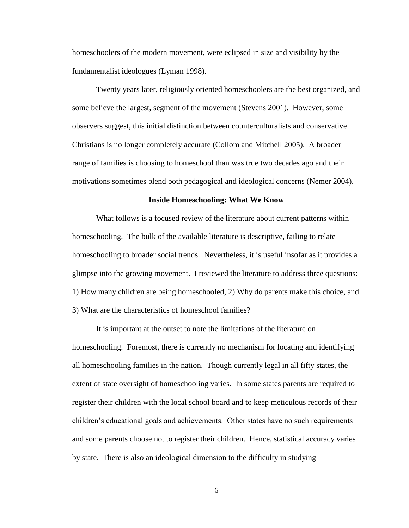homeschoolers of the modern movement, were eclipsed in size and visibility by the fundamentalist ideologues (Lyman 1998).

Twenty years later, religiously oriented homeschoolers are the best organized, and some believe the largest, segment of the movement (Stevens 2001). However, some observers suggest, this initial distinction between counterculturalists and conservative Christians is no longer completely accurate (Collom and Mitchell 2005). A broader range of families is choosing to homeschool than was true two decades ago and their motivations sometimes blend both pedagogical and ideological concerns (Nemer 2004).

#### **Inside Homeschooling: What We Know**

What follows is a focused review of the literature about current patterns within homeschooling. The bulk of the available literature is descriptive, failing to relate homeschooling to broader social trends. Nevertheless, it is useful insofar as it provides a glimpse into the growing movement. I reviewed the literature to address three questions: 1) How many children are being homeschooled, 2) Why do parents make this choice, and 3) What are the characteristics of homeschool families?

It is important at the outset to note the limitations of the literature on homeschooling. Foremost, there is currently no mechanism for locating and identifying all homeschooling families in the nation. Though currently legal in all fifty states, the extent of state oversight of homeschooling varies. In some states parents are required to register their children with the local school board and to keep meticulous records of their children"s educational goals and achievements. Other states have no such requirements and some parents choose not to register their children. Hence, statistical accuracy varies by state. There is also an ideological dimension to the difficulty in studying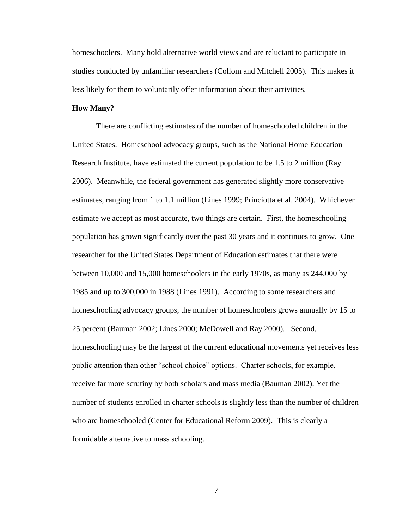homeschoolers. Many hold alternative world views and are reluctant to participate in studies conducted by unfamiliar researchers (Collom and Mitchell 2005). This makes it less likely for them to voluntarily offer information about their activities.

#### **How Many?**

There are conflicting estimates of the number of homeschooled children in the United States. Homeschool advocacy groups, such as the National Home Education Research Institute, have estimated the current population to be 1.5 to 2 million (Ray 2006). Meanwhile, the federal government has generated slightly more conservative estimates, ranging from 1 to 1.1 million (Lines 1999; Princiotta et al. 2004). Whichever estimate we accept as most accurate, two things are certain. First, the homeschooling population has grown significantly over the past 30 years and it continues to grow. One researcher for the United States Department of Education estimates that there were between 10,000 and 15,000 homeschoolers in the early 1970s, as many as 244,000 by 1985 and up to 300,000 in 1988 (Lines 1991). According to some researchers and homeschooling advocacy groups, the number of homeschoolers grows annually by 15 to 25 percent (Bauman 2002; Lines 2000; McDowell and Ray 2000). Second, homeschooling may be the largest of the current educational movements yet receives less public attention than other "school choice" options. Charter schools, for example, receive far more scrutiny by both scholars and mass media (Bauman 2002). Yet the number of students enrolled in charter schools is slightly less than the number of children who are homeschooled (Center for Educational Reform 2009). This is clearly a formidable alternative to mass schooling.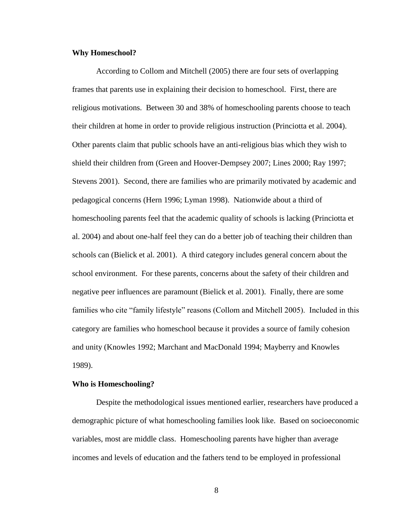#### **Why Homeschool?**

According to Collom and Mitchell (2005) there are four sets of overlapping frames that parents use in explaining their decision to homeschool. First, there are religious motivations. Between 30 and 38% of homeschooling parents choose to teach their children at home in order to provide religious instruction (Princiotta et al. 2004). Other parents claim that public schools have an anti-religious bias which they wish to shield their children from (Green and Hoover-Dempsey 2007; Lines 2000; Ray 1997; Stevens 2001). Second, there are families who are primarily motivated by academic and pedagogical concerns (Hern 1996; Lyman 1998). Nationwide about a third of homeschooling parents feel that the academic quality of schools is lacking (Princiotta et al. 2004) and about one-half feel they can do a better job of teaching their children than schools can (Bielick et al. 2001). A third category includes general concern about the school environment. For these parents, concerns about the safety of their children and negative peer influences are paramount (Bielick et al. 2001). Finally, there are some families who cite "family lifestyle" reasons (Collom and Mitchell 2005). Included in this category are families who homeschool because it provides a source of family cohesion and unity (Knowles 1992; Marchant and MacDonald 1994; Mayberry and Knowles 1989).

#### **Who is Homeschooling?**

Despite the methodological issues mentioned earlier, researchers have produced a demographic picture of what homeschooling families look like. Based on socioeconomic variables, most are middle class. Homeschooling parents have higher than average incomes and levels of education and the fathers tend to be employed in professional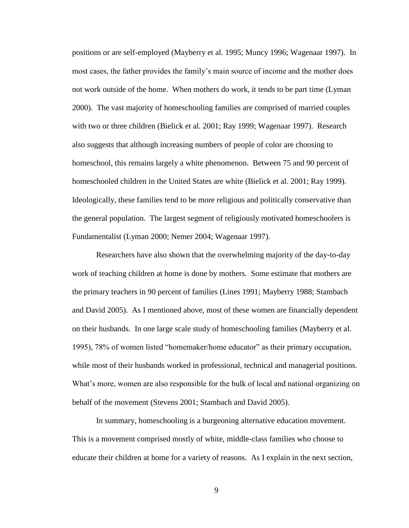positions or are self-employed (Mayberry et al. 1995; Muncy 1996; Wagenaar 1997). In most cases, the father provides the family"s main source of income and the mother does not work outside of the home. When mothers do work, it tends to be part time (Lyman 2000). The vast majority of homeschooling families are comprised of married couples with two or three children (Bielick et al. 2001; Ray 1999; Wagenaar 1997). Research also suggests that although increasing numbers of people of color are choosing to homeschool, this remains largely a white phenomenon. Between 75 and 90 percent of homeschooled children in the United States are white (Bielick et al. 2001; Ray 1999). Ideologically, these families tend to be more religious and politically conservative than the general population. The largest segment of religiously motivated homeschoolers is Fundamentalist (Lyman 2000; Nemer 2004; Wagenaar 1997).

Researchers have also shown that the overwhelming majority of the day-to-day work of teaching children at home is done by mothers. Some estimate that mothers are the primary teachers in 90 percent of families (Lines 1991; Mayberry 1988; Stambach and David 2005). As I mentioned above, most of these women are financially dependent on their husbands. In one large scale study of homeschooling families (Mayberry et al. 1995), 78% of women listed "homemaker/home educator" as their primary occupation, while most of their husbands worked in professional, technical and managerial positions. What's more, women are also responsible for the bulk of local and national organizing on behalf of the movement (Stevens 2001; Stambach and David 2005).

In summary, homeschooling is a burgeoning alternative education movement. This is a movement comprised mostly of white, middle-class families who choose to educate their children at home for a variety of reasons. As I explain in the next section,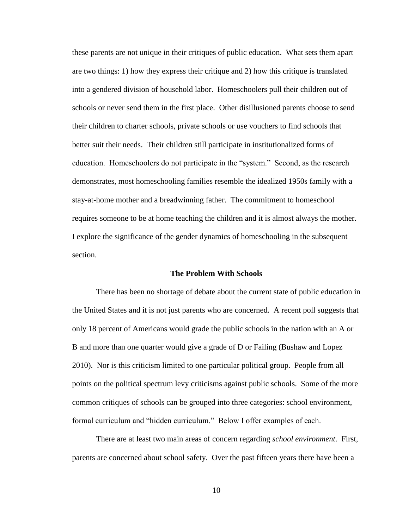these parents are not unique in their critiques of public education. What sets them apart are two things: 1) how they express their critique and 2) how this critique is translated into a gendered division of household labor. Homeschoolers pull their children out of schools or never send them in the first place. Other disillusioned parents choose to send their children to charter schools, private schools or use vouchers to find schools that better suit their needs. Their children still participate in institutionalized forms of education. Homeschoolers do not participate in the "system." Second, as the research demonstrates, most homeschooling families resemble the idealized 1950s family with a stay-at-home mother and a breadwinning father. The commitment to homeschool requires someone to be at home teaching the children and it is almost always the mother. I explore the significance of the gender dynamics of homeschooling in the subsequent section.

#### **The Problem With Schools**

There has been no shortage of debate about the current state of public education in the United States and it is not just parents who are concerned. A recent poll suggests that only 18 percent of Americans would grade the public schools in the nation with an A or B and more than one quarter would give a grade of D or Failing (Bushaw and Lopez 2010). Nor is this criticism limited to one particular political group. People from all points on the political spectrum levy criticisms against public schools. Some of the more common critiques of schools can be grouped into three categories: school environment, formal curriculum and "hidden curriculum." Below I offer examples of each.

There are at least two main areas of concern regarding *school environment*. First, parents are concerned about school safety. Over the past fifteen years there have been a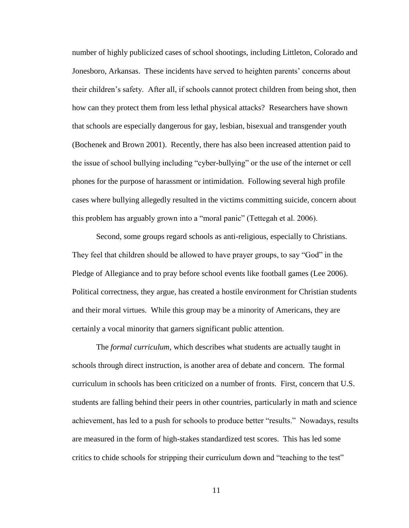number of highly publicized cases of school shootings, including Littleton, Colorado and Jonesboro, Arkansas. These incidents have served to heighten parents' concerns about their children"s safety. After all, if schools cannot protect children from being shot, then how can they protect them from less lethal physical attacks? Researchers have shown that schools are especially dangerous for gay, lesbian, bisexual and transgender youth (Bochenek and Brown 2001). Recently, there has also been increased attention paid to the issue of school bullying including "cyber-bullying" or the use of the internet or cell phones for the purpose of harassment or intimidation. Following several high profile cases where bullying allegedly resulted in the victims committing suicide, concern about this problem has arguably grown into a "moral panic" (Tettegah et al. 2006).

Second, some groups regard schools as anti-religious, especially to Christians. They feel that children should be allowed to have prayer groups, to say "God" in the Pledge of Allegiance and to pray before school events like football games (Lee 2006). Political correctness, they argue, has created a hostile environment for Christian students and their moral virtues. While this group may be a minority of Americans, they are certainly a vocal minority that garners significant public attention.

The *formal curriculum,* which describes what students are actually taught in schools through direct instruction, is another area of debate and concern. The formal curriculum in schools has been criticized on a number of fronts. First, concern that U.S. students are falling behind their peers in other countries, particularly in math and science achievement, has led to a push for schools to produce better "results." Nowadays, results are measured in the form of high-stakes standardized test scores. This has led some critics to chide schools for stripping their curriculum down and "teaching to the test"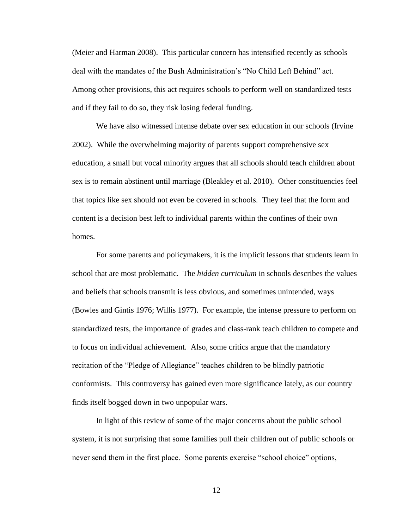(Meier and Harman 2008). This particular concern has intensified recently as schools deal with the mandates of the Bush Administration"s "No Child Left Behind" act. Among other provisions, this act requires schools to perform well on standardized tests and if they fail to do so, they risk losing federal funding.

We have also witnessed intense debate over sex education in our schools (Irvine 2002). While the overwhelming majority of parents support comprehensive sex education, a small but vocal minority argues that all schools should teach children about sex is to remain abstinent until marriage (Bleakley et al. 2010). Other constituencies feel that topics like sex should not even be covered in schools. They feel that the form and content is a decision best left to individual parents within the confines of their own homes.

For some parents and policymakers, it is the implicit lessons that students learn in school that are most problematic. The *hidden curriculum* in schools describes the values and beliefs that schools transmit is less obvious, and sometimes unintended, ways (Bowles and Gintis 1976; Willis 1977). For example, the intense pressure to perform on standardized tests, the importance of grades and class-rank teach children to compete and to focus on individual achievement. Also, some critics argue that the mandatory recitation of the "Pledge of Allegiance" teaches children to be blindly patriotic conformists. This controversy has gained even more significance lately, as our country finds itself bogged down in two unpopular wars.

In light of this review of some of the major concerns about the public school system, it is not surprising that some families pull their children out of public schools or never send them in the first place. Some parents exercise "school choice" options,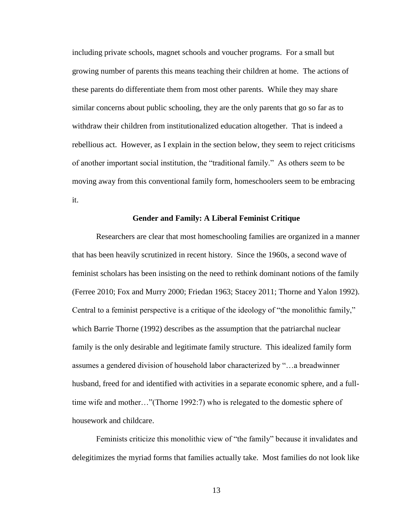including private schools, magnet schools and voucher programs. For a small but growing number of parents this means teaching their children at home. The actions of these parents do differentiate them from most other parents. While they may share similar concerns about public schooling, they are the only parents that go so far as to withdraw their children from institutionalized education altogether. That is indeed a rebellious act. However, as I explain in the section below, they seem to reject criticisms of another important social institution, the "traditional family." As others seem to be moving away from this conventional family form, homeschoolers seem to be embracing it.

#### **Gender and Family: A Liberal Feminist Critique**

Researchers are clear that most homeschooling families are organized in a manner that has been heavily scrutinized in recent history. Since the 1960s, a second wave of feminist scholars has been insisting on the need to rethink dominant notions of the family (Ferree 2010; Fox and Murry 2000; Friedan 1963; Stacey 2011; Thorne and Yalon 1992). Central to a feminist perspective is a critique of the ideology of "the monolithic family," which Barrie Thorne (1992) describes as the assumption that the patriarchal nuclear family is the only desirable and legitimate family structure. This idealized family form assumes a gendered division of household labor characterized by "…a breadwinner husband, freed for and identified with activities in a separate economic sphere, and a fulltime wife and mother…"(Thorne 1992:7) who is relegated to the domestic sphere of housework and childcare.

Feminists criticize this monolithic view of "the family" because it invalidates and delegitimizes the myriad forms that families actually take. Most families do not look like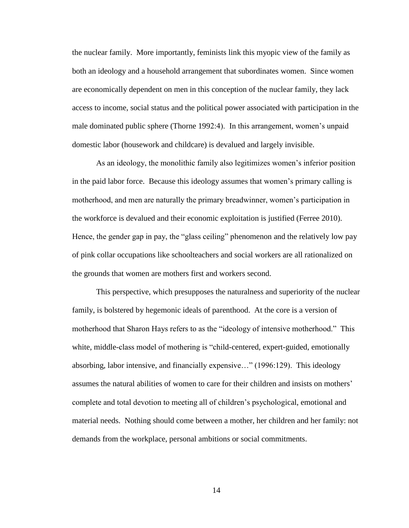the nuclear family. More importantly, feminists link this myopic view of the family as both an ideology and a household arrangement that subordinates women. Since women are economically dependent on men in this conception of the nuclear family, they lack access to income, social status and the political power associated with participation in the male dominated public sphere (Thorne 1992:4). In this arrangement, women"s unpaid domestic labor (housework and childcare) is devalued and largely invisible.

As an ideology, the monolithic family also legitimizes women"s inferior position in the paid labor force. Because this ideology assumes that women"s primary calling is motherhood, and men are naturally the primary breadwinner, women"s participation in the workforce is devalued and their economic exploitation is justified (Ferree 2010). Hence, the gender gap in pay, the "glass ceiling" phenomenon and the relatively low pay of pink collar occupations like schoolteachers and social workers are all rationalized on the grounds that women are mothers first and workers second.

This perspective, which presupposes the naturalness and superiority of the nuclear family, is bolstered by hegemonic ideals of parenthood. At the core is a version of motherhood that Sharon Hays refers to as the "ideology of intensive motherhood." This white, middle-class model of mothering is "child-centered, expert-guided, emotionally absorbing, labor intensive, and financially expensive…" (1996:129). This ideology assumes the natural abilities of women to care for their children and insists on mothers" complete and total devotion to meeting all of children"s psychological, emotional and material needs. Nothing should come between a mother, her children and her family: not demands from the workplace, personal ambitions or social commitments.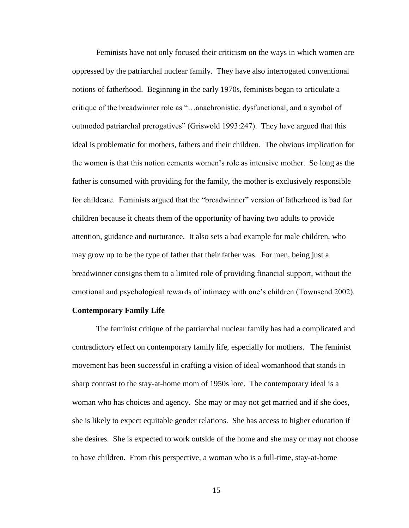Feminists have not only focused their criticism on the ways in which women are oppressed by the patriarchal nuclear family. They have also interrogated conventional notions of fatherhood. Beginning in the early 1970s, feminists began to articulate a critique of the breadwinner role as "…anachronistic, dysfunctional, and a symbol of outmoded patriarchal prerogatives" (Griswold 1993:247). They have argued that this ideal is problematic for mothers, fathers and their children. The obvious implication for the women is that this notion cements women"s role as intensive mother. So long as the father is consumed with providing for the family, the mother is exclusively responsible for childcare. Feminists argued that the "breadwinner" version of fatherhood is bad for children because it cheats them of the opportunity of having two adults to provide attention, guidance and nurturance. It also sets a bad example for male children, who may grow up to be the type of father that their father was. For men, being just a breadwinner consigns them to a limited role of providing financial support, without the emotional and psychological rewards of intimacy with one"s children (Townsend 2002).

#### **Contemporary Family Life**

The feminist critique of the patriarchal nuclear family has had a complicated and contradictory effect on contemporary family life, especially for mothers. The feminist movement has been successful in crafting a vision of ideal womanhood that stands in sharp contrast to the stay-at-home mom of 1950s lore. The contemporary ideal is a woman who has choices and agency. She may or may not get married and if she does, she is likely to expect equitable gender relations. She has access to higher education if she desires. She is expected to work outside of the home and she may or may not choose to have children. From this perspective, a woman who is a full-time, stay-at-home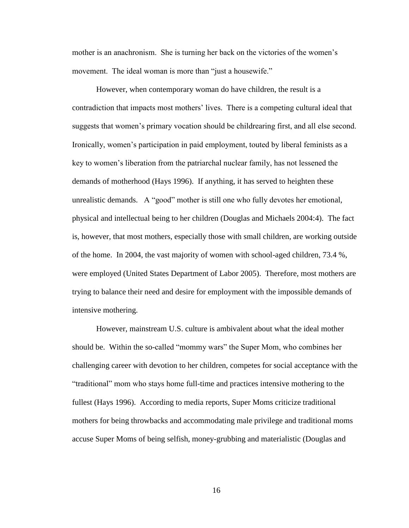mother is an anachronism. She is turning her back on the victories of the women"s movement. The ideal woman is more than "just a housewife."

However, when contemporary woman do have children, the result is a contradiction that impacts most mothers" lives. There is a competing cultural ideal that suggests that women"s primary vocation should be childrearing first, and all else second. Ironically, women"s participation in paid employment, touted by liberal feminists as a key to women"s liberation from the patriarchal nuclear family, has not lessened the demands of motherhood (Hays 1996). If anything, it has served to heighten these unrealistic demands. A "good" mother is still one who fully devotes her emotional, physical and intellectual being to her children (Douglas and Michaels 2004:4). The fact is, however, that most mothers, especially those with small children, are working outside of the home. In 2004, the vast majority of women with school-aged children, 73.4 %, were employed (United States Department of Labor 2005). Therefore, most mothers are trying to balance their need and desire for employment with the impossible demands of intensive mothering.

However, mainstream U.S. culture is ambivalent about what the ideal mother should be. Within the so-called "mommy wars" the Super Mom, who combines her challenging career with devotion to her children, competes for social acceptance with the "traditional" mom who stays home full-time and practices intensive mothering to the fullest (Hays 1996). According to media reports, Super Moms criticize traditional mothers for being throwbacks and accommodating male privilege and traditional moms accuse Super Moms of being selfish, money-grubbing and materialistic (Douglas and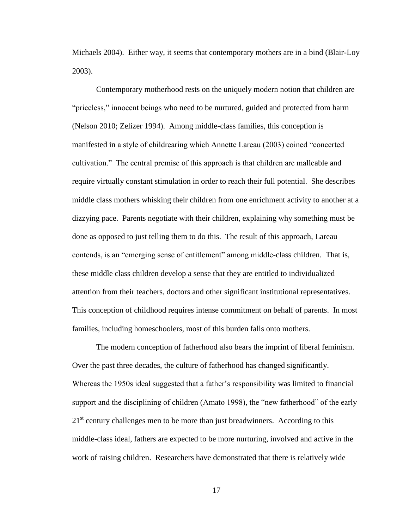Michaels 2004). Either way, it seems that contemporary mothers are in a bind (Blair-Loy 2003).

Contemporary motherhood rests on the uniquely modern notion that children are "priceless," innocent beings who need to be nurtured, guided and protected from harm (Nelson 2010; Zelizer 1994). Among middle-class families, this conception is manifested in a style of childrearing which Annette Lareau (2003) coined "concerted cultivation." The central premise of this approach is that children are malleable and require virtually constant stimulation in order to reach their full potential. She describes middle class mothers whisking their children from one enrichment activity to another at a dizzying pace. Parents negotiate with their children, explaining why something must be done as opposed to just telling them to do this. The result of this approach, Lareau contends, is an "emerging sense of entitlement" among middle-class children. That is, these middle class children develop a sense that they are entitled to individualized attention from their teachers, doctors and other significant institutional representatives. This conception of childhood requires intense commitment on behalf of parents. In most families, including homeschoolers, most of this burden falls onto mothers.

The modern conception of fatherhood also bears the imprint of liberal feminism. Over the past three decades, the culture of fatherhood has changed significantly. Whereas the 1950s ideal suggested that a father"s responsibility was limited to financial support and the disciplining of children (Amato 1998), the "new fatherhood" of the early 21<sup>st</sup> century challenges men to be more than just breadwinners. According to this middle-class ideal, fathers are expected to be more nurturing, involved and active in the work of raising children. Researchers have demonstrated that there is relatively wide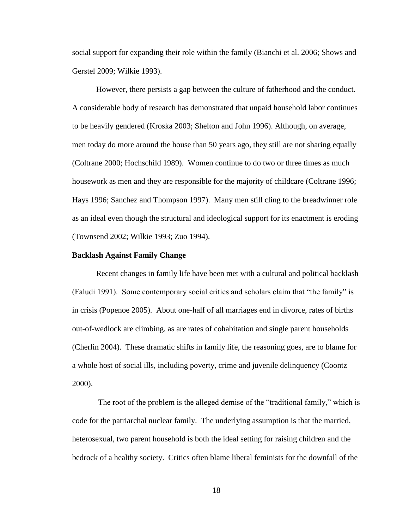social support for expanding their role within the family (Bianchi et al. 2006; Shows and Gerstel 2009; Wilkie 1993).

However, there persists a gap between the culture of fatherhood and the conduct. A considerable body of research has demonstrated that unpaid household labor continues to be heavily gendered (Kroska 2003; Shelton and John 1996). Although, on average, men today do more around the house than 50 years ago, they still are not sharing equally (Coltrane 2000; Hochschild 1989). Women continue to do two or three times as much housework as men and they are responsible for the majority of childcare (Coltrane 1996; Hays 1996; Sanchez and Thompson 1997). Many men still cling to the breadwinner role as an ideal even though the structural and ideological support for its enactment is eroding (Townsend 2002; Wilkie 1993; Zuo 1994).

#### **Backlash Against Family Change**

Recent changes in family life have been met with a cultural and political backlash (Faludi 1991). Some contemporary social critics and scholars claim that "the family" is in crisis (Popenoe 2005). About one-half of all marriages end in divorce, rates of births out-of-wedlock are climbing, as are rates of cohabitation and single parent households (Cherlin 2004). These dramatic shifts in family life, the reasoning goes, are to blame for a whole host of social ills, including poverty, crime and juvenile delinquency (Coontz 2000).

The root of the problem is the alleged demise of the "traditional family," which is code for the patriarchal nuclear family. The underlying assumption is that the married, heterosexual, two parent household is both the ideal setting for raising children and the bedrock of a healthy society. Critics often blame liberal feminists for the downfall of the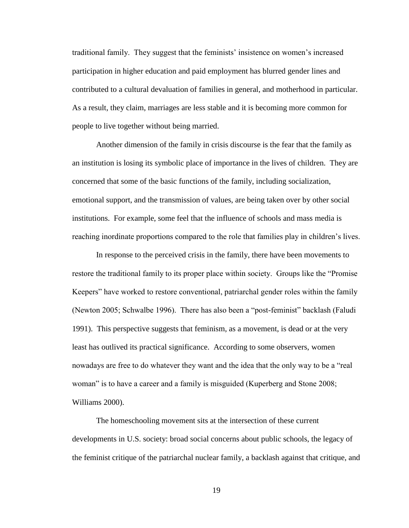traditional family. They suggest that the feminists" insistence on women"s increased participation in higher education and paid employment has blurred gender lines and contributed to a cultural devaluation of families in general, and motherhood in particular. As a result, they claim, marriages are less stable and it is becoming more common for people to live together without being married.

Another dimension of the family in crisis discourse is the fear that the family as an institution is losing its symbolic place of importance in the lives of children. They are concerned that some of the basic functions of the family, including socialization, emotional support, and the transmission of values, are being taken over by other social institutions. For example, some feel that the influence of schools and mass media is reaching inordinate proportions compared to the role that families play in children"s lives.

In response to the perceived crisis in the family, there have been movements to restore the traditional family to its proper place within society. Groups like the "Promise Keepers" have worked to restore conventional, patriarchal gender roles within the family (Newton 2005; Schwalbe 1996). There has also been a "post-feminist" backlash (Faludi 1991). This perspective suggests that feminism, as a movement, is dead or at the very least has outlived its practical significance. According to some observers, women nowadays are free to do whatever they want and the idea that the only way to be a "real woman" is to have a career and a family is misguided (Kuperberg and Stone 2008; Williams 2000).

The homeschooling movement sits at the intersection of these current developments in U.S. society: broad social concerns about public schools, the legacy of the feminist critique of the patriarchal nuclear family, a backlash against that critique, and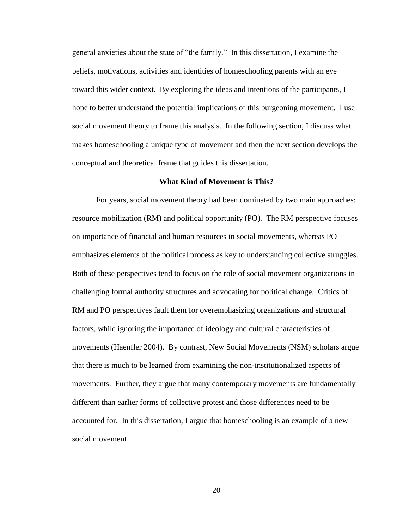general anxieties about the state of "the family." In this dissertation, I examine the beliefs, motivations, activities and identities of homeschooling parents with an eye toward this wider context. By exploring the ideas and intentions of the participants, I hope to better understand the potential implications of this burgeoning movement. I use social movement theory to frame this analysis. In the following section, I discuss what makes homeschooling a unique type of movement and then the next section develops the conceptual and theoretical frame that guides this dissertation.

#### **What Kind of Movement is This?**

For years, social movement theory had been dominated by two main approaches: resource mobilization (RM) and political opportunity (PO). The RM perspective focuses on importance of financial and human resources in social movements, whereas PO emphasizes elements of the political process as key to understanding collective struggles. Both of these perspectives tend to focus on the role of social movement organizations in challenging formal authority structures and advocating for political change. Critics of RM and PO perspectives fault them for overemphasizing organizations and structural factors, while ignoring the importance of ideology and cultural characteristics of movements (Haenfler 2004). By contrast, New Social Movements (NSM) scholars argue that there is much to be learned from examining the non-institutionalized aspects of movements. Further, they argue that many contemporary movements are fundamentally different than earlier forms of collective protest and those differences need to be accounted for. In this dissertation, I argue that homeschooling is an example of a new social movement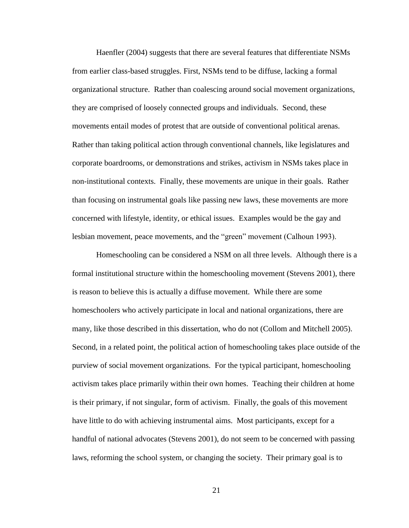Haenfler (2004) suggests that there are several features that differentiate NSMs from earlier class-based struggles. First, NSMs tend to be diffuse, lacking a formal organizational structure. Rather than coalescing around social movement organizations, they are comprised of loosely connected groups and individuals. Second, these movements entail modes of protest that are outside of conventional political arenas. Rather than taking political action through conventional channels, like legislatures and corporate boardrooms, or demonstrations and strikes, activism in NSMs takes place in non-institutional contexts. Finally, these movements are unique in their goals. Rather than focusing on instrumental goals like passing new laws, these movements are more concerned with lifestyle, identity, or ethical issues. Examples would be the gay and lesbian movement, peace movements, and the "green" movement (Calhoun 1993).

Homeschooling can be considered a NSM on all three levels. Although there is a formal institutional structure within the homeschooling movement (Stevens 2001), there is reason to believe this is actually a diffuse movement. While there are some homeschoolers who actively participate in local and national organizations, there are many, like those described in this dissertation, who do not (Collom and Mitchell 2005). Second, in a related point, the political action of homeschooling takes place outside of the purview of social movement organizations. For the typical participant, homeschooling activism takes place primarily within their own homes. Teaching their children at home is their primary, if not singular, form of activism. Finally, the goals of this movement have little to do with achieving instrumental aims. Most participants, except for a handful of national advocates (Stevens 2001), do not seem to be concerned with passing laws, reforming the school system, or changing the society. Their primary goal is to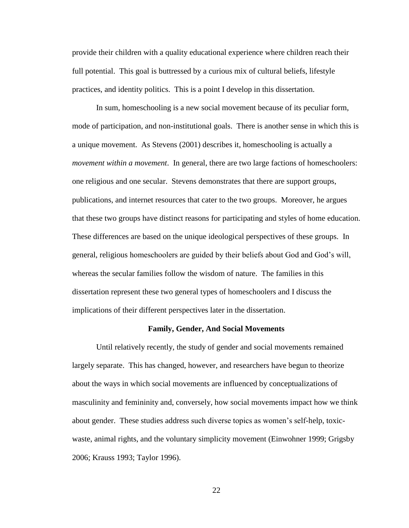provide their children with a quality educational experience where children reach their full potential. This goal is buttressed by a curious mix of cultural beliefs, lifestyle practices, and identity politics. This is a point I develop in this dissertation.

In sum, homeschooling is a new social movement because of its peculiar form, mode of participation, and non-institutional goals. There is another sense in which this is a unique movement. As Stevens (2001) describes it, homeschooling is actually a *movement within a movement*. In general, there are two large factions of homeschoolers: one religious and one secular. Stevens demonstrates that there are support groups, publications, and internet resources that cater to the two groups. Moreover, he argues that these two groups have distinct reasons for participating and styles of home education. These differences are based on the unique ideological perspectives of these groups. In general, religious homeschoolers are guided by their beliefs about God and God"s will, whereas the secular families follow the wisdom of nature. The families in this dissertation represent these two general types of homeschoolers and I discuss the implications of their different perspectives later in the dissertation.

#### **Family, Gender, And Social Movements**

Until relatively recently, the study of gender and social movements remained largely separate. This has changed, however, and researchers have begun to theorize about the ways in which social movements are influenced by conceptualizations of masculinity and femininity and, conversely, how social movements impact how we think about gender. These studies address such diverse topics as women"s self-help, toxicwaste, animal rights, and the voluntary simplicity movement (Einwohner 1999; Grigsby 2006; Krauss 1993; Taylor 1996).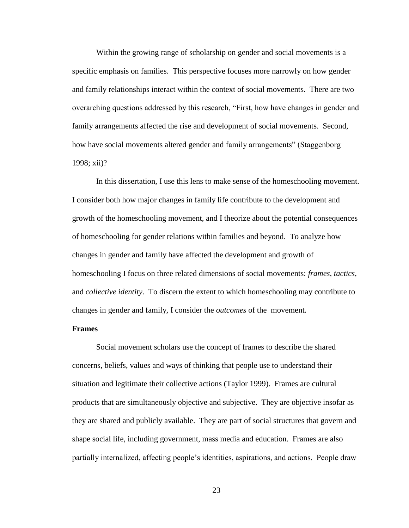Within the growing range of scholarship on gender and social movements is a specific emphasis on families. This perspective focuses more narrowly on how gender and family relationships interact within the context of social movements. There are two overarching questions addressed by this research, "First, how have changes in gender and family arrangements affected the rise and development of social movements. Second, how have social movements altered gender and family arrangements" (Staggenborg 1998; xii)?

In this dissertation, I use this lens to make sense of the homeschooling movement. I consider both how major changes in family life contribute to the development and growth of the homeschooling movement, and I theorize about the potential consequences of homeschooling for gender relations within families and beyond. To analyze how changes in gender and family have affected the development and growth of homeschooling I focus on three related dimensions of social movements: *frames, tactics*, and *collective identity*. To discern the extent to which homeschooling may contribute to changes in gender and family, I consider the *outcomes* of the movement.

#### **Frames**

Social movement scholars use the concept of frames to describe the shared concerns, beliefs, values and ways of thinking that people use to understand their situation and legitimate their collective actions (Taylor 1999). Frames are cultural products that are simultaneously objective and subjective. They are objective insofar as they are shared and publicly available. They are part of social structures that govern and shape social life, including government, mass media and education. Frames are also partially internalized, affecting people"s identities, aspirations, and actions. People draw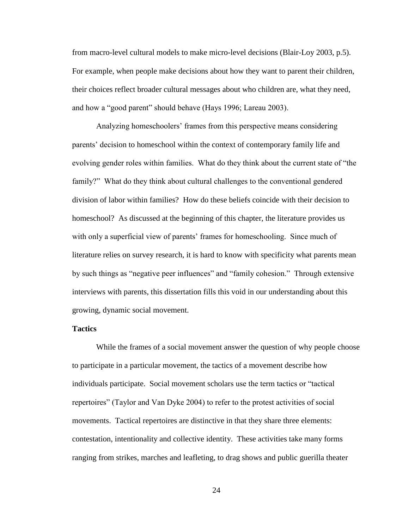from macro-level cultural models to make micro-level decisions (Blair-Loy 2003, p.5). For example, when people make decisions about how they want to parent their children, their choices reflect broader cultural messages about who children are, what they need, and how a "good parent" should behave (Hays 1996; Lareau 2003).

Analyzing homeschoolers" frames from this perspective means considering parents" decision to homeschool within the context of contemporary family life and evolving gender roles within families. What do they think about the current state of "the family?" What do they think about cultural challenges to the conventional gendered division of labor within families? How do these beliefs coincide with their decision to homeschool? As discussed at the beginning of this chapter, the literature provides us with only a superficial view of parents' frames for homeschooling. Since much of literature relies on survey research, it is hard to know with specificity what parents mean by such things as "negative peer influences" and "family cohesion." Through extensive interviews with parents, this dissertation fills this void in our understanding about this growing, dynamic social movement.

#### **Tactics**

While the frames of a social movement answer the question of why people choose to participate in a particular movement, the tactics of a movement describe how individuals participate. Social movement scholars use the term tactics or "tactical repertoires" (Taylor and Van Dyke 2004) to refer to the protest activities of social movements. Tactical repertoires are distinctive in that they share three elements: contestation, intentionality and collective identity. These activities take many forms ranging from strikes, marches and leafleting, to drag shows and public guerilla theater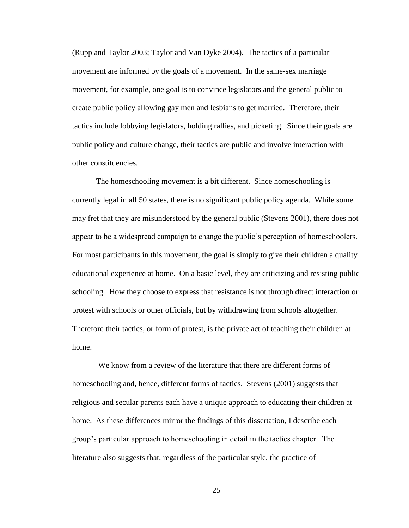(Rupp and Taylor 2003; Taylor and Van Dyke 2004). The tactics of a particular movement are informed by the goals of a movement. In the same-sex marriage movement, for example, one goal is to convince legislators and the general public to create public policy allowing gay men and lesbians to get married. Therefore, their tactics include lobbying legislators, holding rallies, and picketing. Since their goals are public policy and culture change, their tactics are public and involve interaction with other constituencies.

The homeschooling movement is a bit different. Since homeschooling is currently legal in all 50 states, there is no significant public policy agenda. While some may fret that they are misunderstood by the general public (Stevens 2001), there does not appear to be a widespread campaign to change the public's perception of homeschoolers. For most participants in this movement, the goal is simply to give their children a quality educational experience at home. On a basic level, they are criticizing and resisting public schooling. How they choose to express that resistance is not through direct interaction or protest with schools or other officials, but by withdrawing from schools altogether. Therefore their tactics, or form of protest, is the private act of teaching their children at home.

We know from a review of the literature that there are different forms of homeschooling and, hence, different forms of tactics. Stevens (2001) suggests that religious and secular parents each have a unique approach to educating their children at home. As these differences mirror the findings of this dissertation, I describe each group"s particular approach to homeschooling in detail in the tactics chapter. The literature also suggests that, regardless of the particular style, the practice of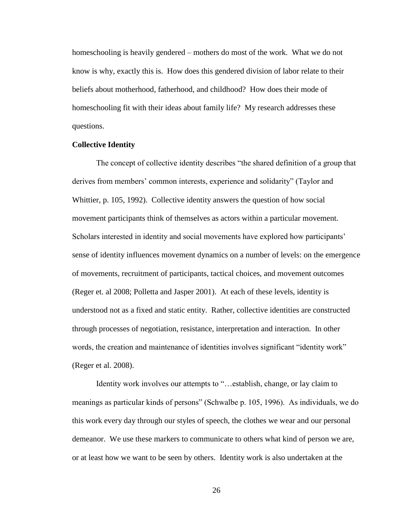homeschooling is heavily gendered – mothers do most of the work. What we do not know is why, exactly this is. How does this gendered division of labor relate to their beliefs about motherhood, fatherhood, and childhood? How does their mode of homeschooling fit with their ideas about family life? My research addresses these questions.

#### **Collective Identity**

The concept of collective identity describes "the shared definition of a group that derives from members' common interests, experience and solidarity" (Taylor and Whittier, p. 105, 1992). Collective identity answers the question of how social movement participants think of themselves as actors within a particular movement. Scholars interested in identity and social movements have explored how participants' sense of identity influences movement dynamics on a number of levels: on the emergence of movements, recruitment of participants, tactical choices, and movement outcomes (Reger et. al 2008; Polletta and Jasper 2001). At each of these levels, identity is understood not as a fixed and static entity. Rather, collective identities are constructed through processes of negotiation, resistance, interpretation and interaction. In other words, the creation and maintenance of identities involves significant "identity work" (Reger et al. 2008).

Identity work involves our attempts to "…establish, change, or lay claim to meanings as particular kinds of persons" (Schwalbe p. 105, 1996). As individuals, we do this work every day through our styles of speech, the clothes we wear and our personal demeanor. We use these markers to communicate to others what kind of person we are, or at least how we want to be seen by others. Identity work is also undertaken at the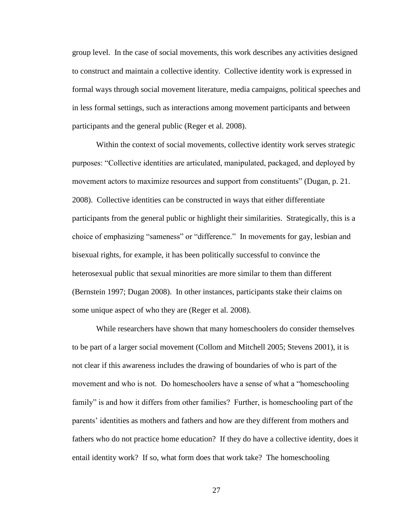group level. In the case of social movements, this work describes any activities designed to construct and maintain a collective identity. Collective identity work is expressed in formal ways through social movement literature, media campaigns, political speeches and in less formal settings, such as interactions among movement participants and between participants and the general public (Reger et al. 2008).

Within the context of social movements, collective identity work serves strategic purposes: "Collective identities are articulated, manipulated, packaged, and deployed by movement actors to maximize resources and support from constituents" (Dugan, p. 21. 2008). Collective identities can be constructed in ways that either differentiate participants from the general public or highlight their similarities. Strategically, this is a choice of emphasizing "sameness" or "difference." In movements for gay, lesbian and bisexual rights, for example, it has been politically successful to convince the heterosexual public that sexual minorities are more similar to them than different (Bernstein 1997; Dugan 2008). In other instances, participants stake their claims on some unique aspect of who they are (Reger et al. 2008).

While researchers have shown that many homeschoolers do consider themselves to be part of a larger social movement (Collom and Mitchell 2005; Stevens 2001), it is not clear if this awareness includes the drawing of boundaries of who is part of the movement and who is not. Do homeschoolers have a sense of what a "homeschooling family" is and how it differs from other families? Further, is homeschooling part of the parents" identities as mothers and fathers and how are they different from mothers and fathers who do not practice home education? If they do have a collective identity, does it entail identity work? If so, what form does that work take? The homeschooling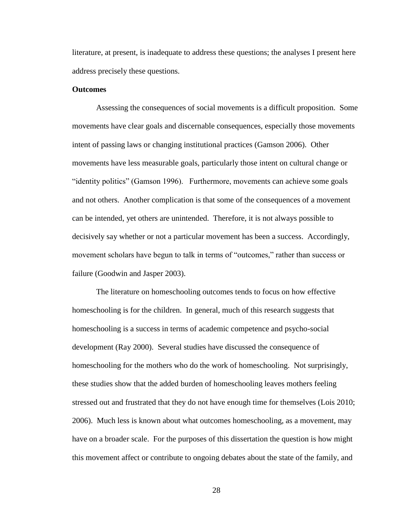literature, at present, is inadequate to address these questions; the analyses I present here address precisely these questions.

#### **Outcomes**

Assessing the consequences of social movements is a difficult proposition. Some movements have clear goals and discernable consequences, especially those movements intent of passing laws or changing institutional practices (Gamson 2006). Other movements have less measurable goals, particularly those intent on cultural change or "identity politics" (Gamson 1996). Furthermore, movements can achieve some goals and not others. Another complication is that some of the consequences of a movement can be intended, yet others are unintended. Therefore, it is not always possible to decisively say whether or not a particular movement has been a success. Accordingly, movement scholars have begun to talk in terms of "outcomes," rather than success or failure (Goodwin and Jasper 2003).

The literature on homeschooling outcomes tends to focus on how effective homeschooling is for the children. In general, much of this research suggests that homeschooling is a success in terms of academic competence and psycho-social development (Ray 2000). Several studies have discussed the consequence of homeschooling for the mothers who do the work of homeschooling. Not surprisingly, these studies show that the added burden of homeschooling leaves mothers feeling stressed out and frustrated that they do not have enough time for themselves (Lois 2010; 2006). Much less is known about what outcomes homeschooling, as a movement, may have on a broader scale. For the purposes of this dissertation the question is how might this movement affect or contribute to ongoing debates about the state of the family, and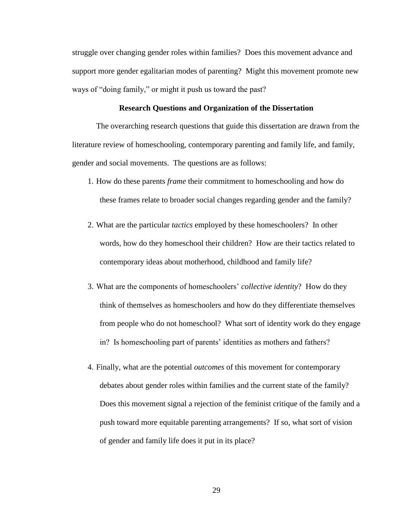struggle over changing gender roles within families? Does this movement advance and support more gender egalitarian modes of parenting? Might this movement promote new ways of "doing family," or might it push us toward the past?

## **Research Questions and Organization of the Dissertation**

The overarching research questions that guide this dissertation are drawn from the literature review of homeschooling, contemporary parenting and family life, and family, gender and social movements. The questions are as follows:

- 1. How do these parents *frame* their commitment to homeschooling and how do these frames relate to broader social changes regarding gender and the family?
- 2. What are the particular *tactics* employed by these homeschoolers? In other words, how do they homeschool their children? How are their tactics related to contemporary ideas about motherhood, childhood and family life?
- 3. What are the components of homeschoolers" *collective identity*? How do they think of themselves as homeschoolers and how do they differentiate themselves from people who do not homeschool? What sort of identity work do they engage in? Is homeschooling part of parents' identities as mothers and fathers?
- 4. Finally, what are the potential *outcomes* of this movement for contemporary debates about gender roles within families and the current state of the family? Does this movement signal a rejection of the feminist critique of the family and a push toward more equitable parenting arrangements? If so, what sort of vision of gender and family life does it put in its place?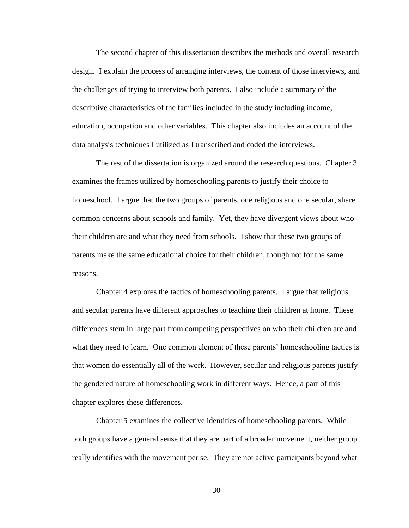The second chapter of this dissertation describes the methods and overall research design. I explain the process of arranging interviews, the content of those interviews, and the challenges of trying to interview both parents. I also include a summary of the descriptive characteristics of the families included in the study including income, education, occupation and other variables. This chapter also includes an account of the data analysis techniques I utilized as I transcribed and coded the interviews.

The rest of the dissertation is organized around the research questions. Chapter 3 examines the frames utilized by homeschooling parents to justify their choice to homeschool. I argue that the two groups of parents, one religious and one secular, share common concerns about schools and family. Yet, they have divergent views about who their children are and what they need from schools. I show that these two groups of parents make the same educational choice for their children, though not for the same reasons.

Chapter 4 explores the tactics of homeschooling parents. I argue that religious and secular parents have different approaches to teaching their children at home. These differences stem in large part from competing perspectives on who their children are and what they need to learn. One common element of these parents' homeschooling tactics is that women do essentially all of the work. However, secular and religious parents justify the gendered nature of homeschooling work in different ways. Hence, a part of this chapter explores these differences.

Chapter 5 examines the collective identities of homeschooling parents. While both groups have a general sense that they are part of a broader movement, neither group really identifies with the movement per se. They are not active participants beyond what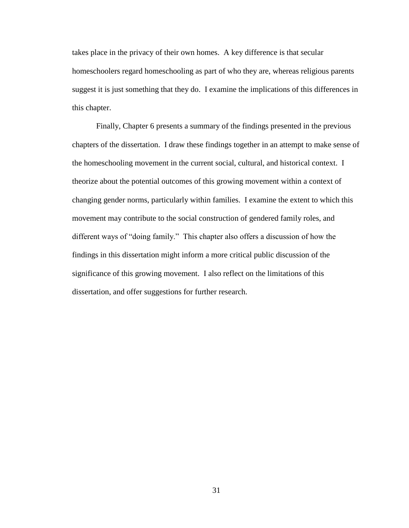takes place in the privacy of their own homes. A key difference is that secular homeschoolers regard homeschooling as part of who they are, whereas religious parents suggest it is just something that they do. I examine the implications of this differences in this chapter.

Finally, Chapter 6 presents a summary of the findings presented in the previous chapters of the dissertation. I draw these findings together in an attempt to make sense of the homeschooling movement in the current social, cultural, and historical context. I theorize about the potential outcomes of this growing movement within a context of changing gender norms, particularly within families. I examine the extent to which this movement may contribute to the social construction of gendered family roles, and different ways of "doing family." This chapter also offers a discussion of how the findings in this dissertation might inform a more critical public discussion of the significance of this growing movement. I also reflect on the limitations of this dissertation, and offer suggestions for further research.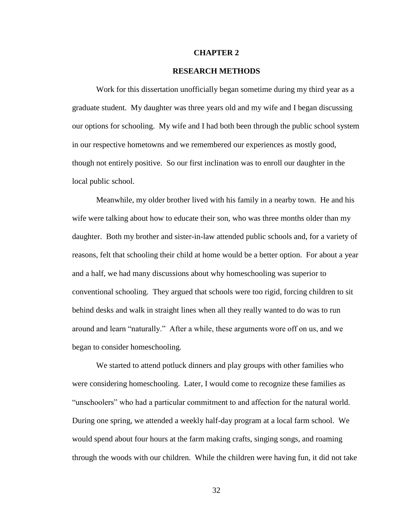### **CHAPTER 2**

### **RESEARCH METHODS**

Work for this dissertation unofficially began sometime during my third year as a graduate student. My daughter was three years old and my wife and I began discussing our options for schooling. My wife and I had both been through the public school system in our respective hometowns and we remembered our experiences as mostly good, though not entirely positive. So our first inclination was to enroll our daughter in the local public school.

Meanwhile, my older brother lived with his family in a nearby town. He and his wife were talking about how to educate their son, who was three months older than my daughter. Both my brother and sister-in-law attended public schools and, for a variety of reasons, felt that schooling their child at home would be a better option. For about a year and a half, we had many discussions about why homeschooling was superior to conventional schooling. They argued that schools were too rigid, forcing children to sit behind desks and walk in straight lines when all they really wanted to do was to run around and learn "naturally." After a while, these arguments wore off on us, and we began to consider homeschooling.

We started to attend potluck dinners and play groups with other families who were considering homeschooling. Later, I would come to recognize these families as "unschoolers" who had a particular commitment to and affection for the natural world. During one spring, we attended a weekly half-day program at a local farm school. We would spend about four hours at the farm making crafts, singing songs, and roaming through the woods with our children. While the children were having fun, it did not take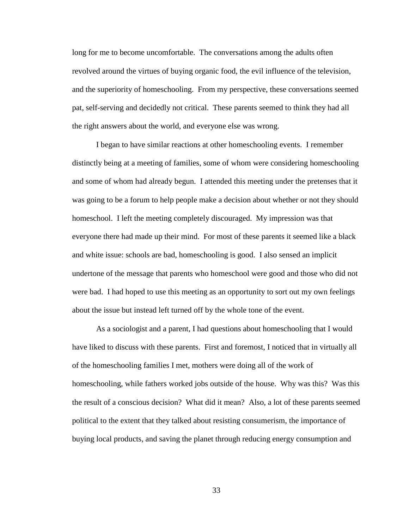long for me to become uncomfortable. The conversations among the adults often revolved around the virtues of buying organic food, the evil influence of the television, and the superiority of homeschooling. From my perspective, these conversations seemed pat, self-serving and decidedly not critical. These parents seemed to think they had all the right answers about the world, and everyone else was wrong.

I began to have similar reactions at other homeschooling events. I remember distinctly being at a meeting of families, some of whom were considering homeschooling and some of whom had already begun. I attended this meeting under the pretenses that it was going to be a forum to help people make a decision about whether or not they should homeschool. I left the meeting completely discouraged. My impression was that everyone there had made up their mind. For most of these parents it seemed like a black and white issue: schools are bad, homeschooling is good. I also sensed an implicit undertone of the message that parents who homeschool were good and those who did not were bad. I had hoped to use this meeting as an opportunity to sort out my own feelings about the issue but instead left turned off by the whole tone of the event.

As a sociologist and a parent, I had questions about homeschooling that I would have liked to discuss with these parents. First and foremost, I noticed that in virtually all of the homeschooling families I met, mothers were doing all of the work of homeschooling, while fathers worked jobs outside of the house. Why was this? Was this the result of a conscious decision? What did it mean? Also, a lot of these parents seemed political to the extent that they talked about resisting consumerism, the importance of buying local products, and saving the planet through reducing energy consumption and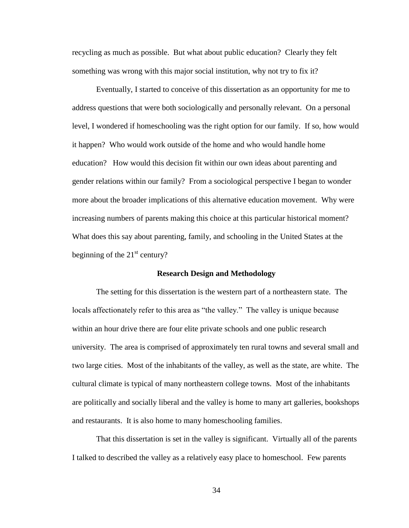recycling as much as possible. But what about public education? Clearly they felt something was wrong with this major social institution, why not try to fix it?

Eventually, I started to conceive of this dissertation as an opportunity for me to address questions that were both sociologically and personally relevant. On a personal level, I wondered if homeschooling was the right option for our family. If so, how would it happen? Who would work outside of the home and who would handle home education? How would this decision fit within our own ideas about parenting and gender relations within our family? From a sociological perspective I began to wonder more about the broader implications of this alternative education movement. Why were increasing numbers of parents making this choice at this particular historical moment? What does this say about parenting, family, and schooling in the United States at the beginning of the  $21<sup>st</sup>$  century?

## **Research Design and Methodology**

The setting for this dissertation is the western part of a northeastern state. The locals affectionately refer to this area as "the valley." The valley is unique because within an hour drive there are four elite private schools and one public research university. The area is comprised of approximately ten rural towns and several small and two large cities. Most of the inhabitants of the valley, as well as the state, are white. The cultural climate is typical of many northeastern college towns. Most of the inhabitants are politically and socially liberal and the valley is home to many art galleries, bookshops and restaurants. It is also home to many homeschooling families.

That this dissertation is set in the valley is significant. Virtually all of the parents I talked to described the valley as a relatively easy place to homeschool. Few parents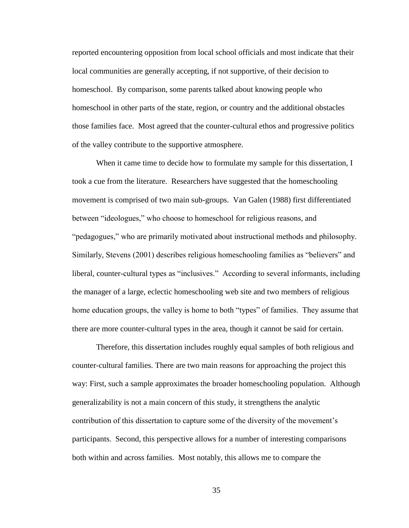reported encountering opposition from local school officials and most indicate that their local communities are generally accepting, if not supportive, of their decision to homeschool. By comparison, some parents talked about knowing people who homeschool in other parts of the state, region, or country and the additional obstacles those families face. Most agreed that the counter-cultural ethos and progressive politics of the valley contribute to the supportive atmosphere.

When it came time to decide how to formulate my sample for this dissertation, I took a cue from the literature. Researchers have suggested that the homeschooling movement is comprised of two main sub-groups. Van Galen (1988) first differentiated between "ideologues," who choose to homeschool for religious reasons, and "pedagogues," who are primarily motivated about instructional methods and philosophy. Similarly, Stevens (2001) describes religious homeschooling families as "believers" and liberal, counter-cultural types as "inclusives." According to several informants, including the manager of a large, eclectic homeschooling web site and two members of religious home education groups, the valley is home to both "types" of families. They assume that there are more counter-cultural types in the area, though it cannot be said for certain.

Therefore, this dissertation includes roughly equal samples of both religious and counter-cultural families. There are two main reasons for approaching the project this way: First, such a sample approximates the broader homeschooling population. Although generalizability is not a main concern of this study, it strengthens the analytic contribution of this dissertation to capture some of the diversity of the movement"s participants. Second, this perspective allows for a number of interesting comparisons both within and across families. Most notably, this allows me to compare the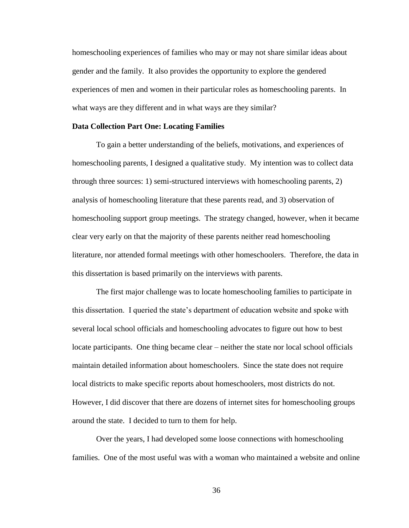homeschooling experiences of families who may or may not share similar ideas about gender and the family. It also provides the opportunity to explore the gendered experiences of men and women in their particular roles as homeschooling parents. In what ways are they different and in what ways are they similar?

## **Data Collection Part One: Locating Families**

To gain a better understanding of the beliefs, motivations, and experiences of homeschooling parents, I designed a qualitative study. My intention was to collect data through three sources: 1) semi-structured interviews with homeschooling parents, 2) analysis of homeschooling literature that these parents read, and 3) observation of homeschooling support group meetings. The strategy changed, however, when it became clear very early on that the majority of these parents neither read homeschooling literature, nor attended formal meetings with other homeschoolers. Therefore, the data in this dissertation is based primarily on the interviews with parents.

The first major challenge was to locate homeschooling families to participate in this dissertation. I queried the state"s department of education website and spoke with several local school officials and homeschooling advocates to figure out how to best locate participants. One thing became clear – neither the state nor local school officials maintain detailed information about homeschoolers. Since the state does not require local districts to make specific reports about homeschoolers, most districts do not. However, I did discover that there are dozens of internet sites for homeschooling groups around the state. I decided to turn to them for help.

Over the years, I had developed some loose connections with homeschooling families. One of the most useful was with a woman who maintained a website and online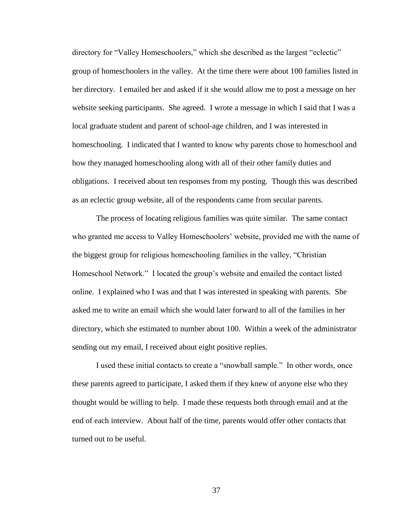directory for "Valley Homeschoolers," which she described as the largest "eclectic" group of homeschoolers in the valley. At the time there were about 100 families listed in her directory. I emailed her and asked if it she would allow me to post a message on her website seeking participants. She agreed. I wrote a message in which I said that I was a local graduate student and parent of school-age children, and I was interested in homeschooling. I indicated that I wanted to know why parents chose to homeschool and how they managed homeschooling along with all of their other family duties and obligations. I received about ten responses from my posting. Though this was described as an eclectic group website, all of the respondents came from secular parents.

The process of locating religious families was quite similar. The same contact who granted me access to Valley Homeschoolers' website, provided me with the name of the biggest group for religious homeschooling families in the valley, "Christian Homeschool Network." I located the group"s website and emailed the contact listed online. I explained who I was and that I was interested in speaking with parents. She asked me to write an email which she would later forward to all of the families in her directory, which she estimated to number about 100. Within a week of the administrator sending out my email, I received about eight positive replies.

I used these initial contacts to create a "snowball sample." In other words, once these parents agreed to participate, I asked them if they knew of anyone else who they thought would be willing to help. I made these requests both through email and at the end of each interview. About half of the time, parents would offer other contacts that turned out to be useful.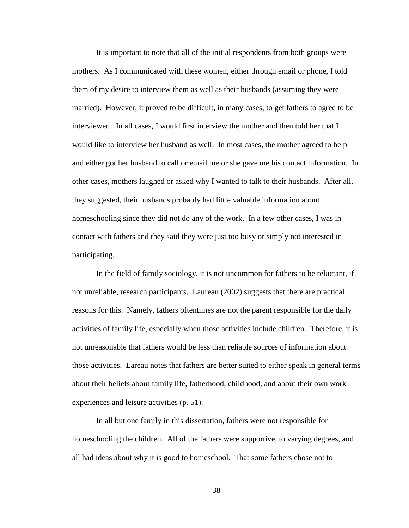It is important to note that all of the initial respondents from both groups were mothers. As I communicated with these women, either through email or phone, I told them of my desire to interview them as well as their husbands (assuming they were married). However, it proved to be difficult, in many cases, to get fathers to agree to be interviewed. In all cases, I would first interview the mother and then told her that I would like to interview her husband as well. In most cases, the mother agreed to help and either got her husband to call or email me or she gave me his contact information. In other cases, mothers laughed or asked why I wanted to talk to their husbands. After all, they suggested, their husbands probably had little valuable information about homeschooling since they did not do any of the work. In a few other cases, I was in contact with fathers and they said they were just too busy or simply not interested in participating.

In the field of family sociology, it is not uncommon for fathers to be reluctant, if not unreliable, research participants. Laureau (2002) suggests that there are practical reasons for this. Namely, fathers oftentimes are not the parent responsible for the daily activities of family life, especially when those activities include children. Therefore, it is not unreasonable that fathers would be less than reliable sources of information about those activities. Lareau notes that fathers are better suited to either speak in general terms about their beliefs about family life, fatherhood, childhood, and about their own work experiences and leisure activities (p. 51).

In all but one family in this dissertation, fathers were not responsible for homeschooling the children. All of the fathers were supportive, to varying degrees, and all had ideas about why it is good to homeschool. That some fathers chose not to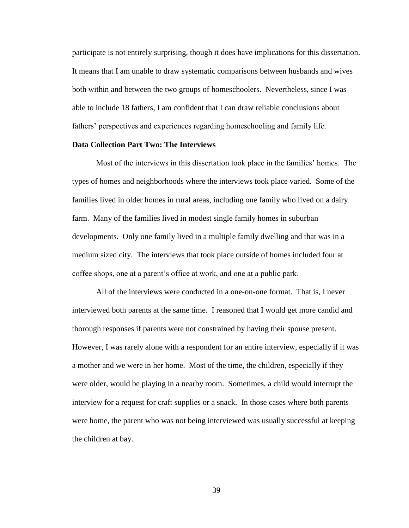participate is not entirely surprising, though it does have implications for this dissertation. It means that I am unable to draw systematic comparisons between husbands and wives both within and between the two groups of homeschoolers. Nevertheless, since I was able to include 18 fathers, I am confident that I can draw reliable conclusions about fathers" perspectives and experiences regarding homeschooling and family life.

## **Data Collection Part Two: The Interviews**

Most of the interviews in this dissertation took place in the families" homes. The types of homes and neighborhoods where the interviews took place varied. Some of the families lived in older homes in rural areas, including one family who lived on a dairy farm. Many of the families lived in modest single family homes in suburban developments. Only one family lived in a multiple family dwelling and that was in a medium sized city. The interviews that took place outside of homes included four at coffee shops, one at a parent"s office at work, and one at a public park.

All of the interviews were conducted in a one-on-one format. That is, I never interviewed both parents at the same time. I reasoned that I would get more candid and thorough responses if parents were not constrained by having their spouse present. However, I was rarely alone with a respondent for an entire interview, especially if it was a mother and we were in her home. Most of the time, the children, especially if they were older, would be playing in a nearby room. Sometimes, a child would interrupt the interview for a request for craft supplies or a snack. In those cases where both parents were home, the parent who was not being interviewed was usually successful at keeping the children at bay.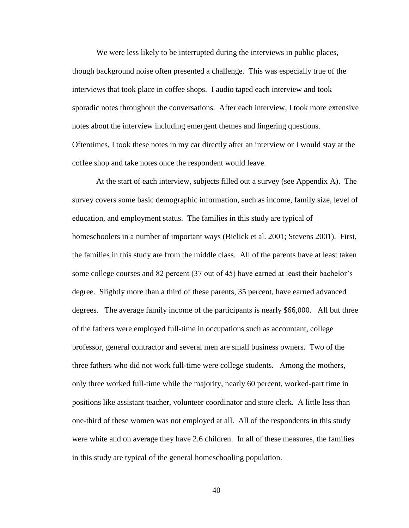We were less likely to be interrupted during the interviews in public places, though background noise often presented a challenge. This was especially true of the interviews that took place in coffee shops. I audio taped each interview and took sporadic notes throughout the conversations. After each interview, I took more extensive notes about the interview including emergent themes and lingering questions. Oftentimes, I took these notes in my car directly after an interview or I would stay at the coffee shop and take notes once the respondent would leave.

At the start of each interview, subjects filled out a survey (see Appendix A). The survey covers some basic demographic information, such as income, family size, level of education, and employment status. The families in this study are typical of homeschoolers in a number of important ways (Bielick et al. 2001; Stevens 2001). First, the families in this study are from the middle class. All of the parents have at least taken some college courses and 82 percent (37 out of 45) have earned at least their bachelor's degree. Slightly more than a third of these parents, 35 percent, have earned advanced degrees. The average family income of the participants is nearly \$66,000. All but three of the fathers were employed full-time in occupations such as accountant, college professor, general contractor and several men are small business owners. Two of the three fathers who did not work full-time were college students. Among the mothers, only three worked full-time while the majority, nearly 60 percent, worked-part time in positions like assistant teacher, volunteer coordinator and store clerk. A little less than one-third of these women was not employed at all. All of the respondents in this study were white and on average they have 2.6 children. In all of these measures, the families in this study are typical of the general homeschooling population.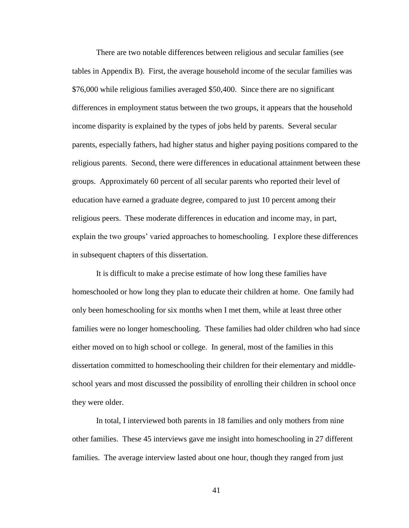There are two notable differences between religious and secular families (see tables in Appendix B). First, the average household income of the secular families was \$76,000 while religious families averaged \$50,400. Since there are no significant differences in employment status between the two groups, it appears that the household income disparity is explained by the types of jobs held by parents. Several secular parents, especially fathers, had higher status and higher paying positions compared to the religious parents. Second, there were differences in educational attainment between these groups. Approximately 60 percent of all secular parents who reported their level of education have earned a graduate degree, compared to just 10 percent among their religious peers. These moderate differences in education and income may, in part, explain the two groups' varied approaches to homeschooling. I explore these differences in subsequent chapters of this dissertation.

It is difficult to make a precise estimate of how long these families have homeschooled or how long they plan to educate their children at home. One family had only been homeschooling for six months when I met them, while at least three other families were no longer homeschooling. These families had older children who had since either moved on to high school or college. In general, most of the families in this dissertation committed to homeschooling their children for their elementary and middleschool years and most discussed the possibility of enrolling their children in school once they were older.

In total, I interviewed both parents in 18 families and only mothers from nine other families. These 45 interviews gave me insight into homeschooling in 27 different families. The average interview lasted about one hour, though they ranged from just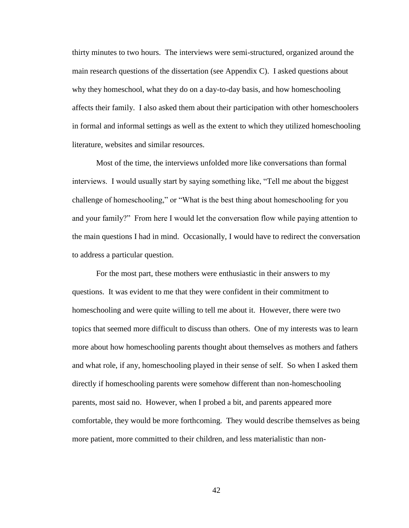thirty minutes to two hours. The interviews were semi-structured, organized around the main research questions of the dissertation (see Appendix C). I asked questions about why they homeschool, what they do on a day-to-day basis, and how homeschooling affects their family. I also asked them about their participation with other homeschoolers in formal and informal settings as well as the extent to which they utilized homeschooling literature, websites and similar resources.

Most of the time, the interviews unfolded more like conversations than formal interviews. I would usually start by saying something like, "Tell me about the biggest challenge of homeschooling," or "What is the best thing about homeschooling for you and your family?" From here I would let the conversation flow while paying attention to the main questions I had in mind. Occasionally, I would have to redirect the conversation to address a particular question.

For the most part, these mothers were enthusiastic in their answers to my questions. It was evident to me that they were confident in their commitment to homeschooling and were quite willing to tell me about it. However, there were two topics that seemed more difficult to discuss than others. One of my interests was to learn more about how homeschooling parents thought about themselves as mothers and fathers and what role, if any, homeschooling played in their sense of self. So when I asked them directly if homeschooling parents were somehow different than non-homeschooling parents, most said no. However, when I probed a bit, and parents appeared more comfortable, they would be more forthcoming. They would describe themselves as being more patient, more committed to their children, and less materialistic than non-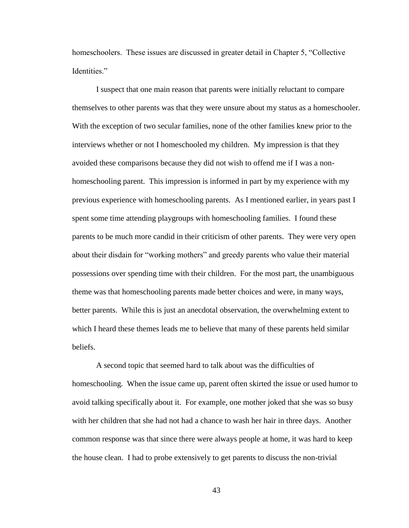homeschoolers. These issues are discussed in greater detail in Chapter 5, "Collective Identities."

I suspect that one main reason that parents were initially reluctant to compare themselves to other parents was that they were unsure about my status as a homeschooler. With the exception of two secular families, none of the other families knew prior to the interviews whether or not I homeschooled my children. My impression is that they avoided these comparisons because they did not wish to offend me if I was a nonhomeschooling parent. This impression is informed in part by my experience with my previous experience with homeschooling parents. As I mentioned earlier, in years past I spent some time attending playgroups with homeschooling families. I found these parents to be much more candid in their criticism of other parents. They were very open about their disdain for "working mothers" and greedy parents who value their material possessions over spending time with their children. For the most part, the unambiguous theme was that homeschooling parents made better choices and were, in many ways, better parents. While this is just an anecdotal observation, the overwhelming extent to which I heard these themes leads me to believe that many of these parents held similar beliefs.

A second topic that seemed hard to talk about was the difficulties of homeschooling. When the issue came up, parent often skirted the issue or used humor to avoid talking specifically about it. For example, one mother joked that she was so busy with her children that she had not had a chance to wash her hair in three days. Another common response was that since there were always people at home, it was hard to keep the house clean. I had to probe extensively to get parents to discuss the non-trivial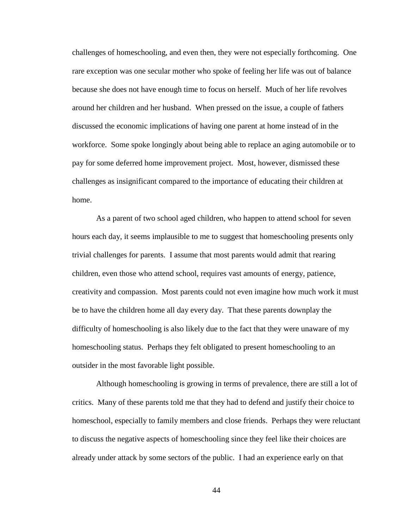challenges of homeschooling, and even then, they were not especially forthcoming. One rare exception was one secular mother who spoke of feeling her life was out of balance because she does not have enough time to focus on herself. Much of her life revolves around her children and her husband. When pressed on the issue, a couple of fathers discussed the economic implications of having one parent at home instead of in the workforce. Some spoke longingly about being able to replace an aging automobile or to pay for some deferred home improvement project. Most, however, dismissed these challenges as insignificant compared to the importance of educating their children at home.

As a parent of two school aged children, who happen to attend school for seven hours each day, it seems implausible to me to suggest that homeschooling presents only trivial challenges for parents. I assume that most parents would admit that rearing children, even those who attend school, requires vast amounts of energy, patience, creativity and compassion. Most parents could not even imagine how much work it must be to have the children home all day every day. That these parents downplay the difficulty of homeschooling is also likely due to the fact that they were unaware of my homeschooling status. Perhaps they felt obligated to present homeschooling to an outsider in the most favorable light possible.

Although homeschooling is growing in terms of prevalence, there are still a lot of critics. Many of these parents told me that they had to defend and justify their choice to homeschool, especially to family members and close friends. Perhaps they were reluctant to discuss the negative aspects of homeschooling since they feel like their choices are already under attack by some sectors of the public. I had an experience early on that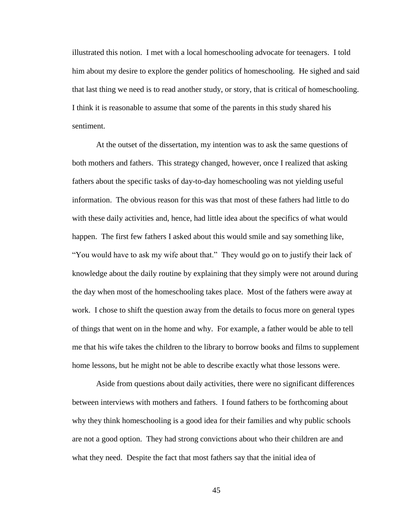illustrated this notion. I met with a local homeschooling advocate for teenagers. I told him about my desire to explore the gender politics of homeschooling. He sighed and said that last thing we need is to read another study, or story, that is critical of homeschooling. I think it is reasonable to assume that some of the parents in this study shared his sentiment.

At the outset of the dissertation, my intention was to ask the same questions of both mothers and fathers. This strategy changed, however, once I realized that asking fathers about the specific tasks of day-to-day homeschooling was not yielding useful information. The obvious reason for this was that most of these fathers had little to do with these daily activities and, hence, had little idea about the specifics of what would happen. The first few fathers I asked about this would smile and say something like, "You would have to ask my wife about that." They would go on to justify their lack of knowledge about the daily routine by explaining that they simply were not around during the day when most of the homeschooling takes place. Most of the fathers were away at work. I chose to shift the question away from the details to focus more on general types of things that went on in the home and why. For example, a father would be able to tell me that his wife takes the children to the library to borrow books and films to supplement home lessons, but he might not be able to describe exactly what those lessons were.

Aside from questions about daily activities, there were no significant differences between interviews with mothers and fathers. I found fathers to be forthcoming about why they think homeschooling is a good idea for their families and why public schools are not a good option. They had strong convictions about who their children are and what they need. Despite the fact that most fathers say that the initial idea of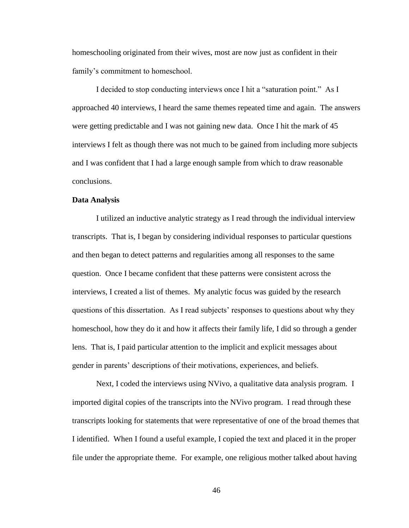homeschooling originated from their wives, most are now just as confident in their family's commitment to homeschool.

I decided to stop conducting interviews once I hit a "saturation point." As I approached 40 interviews, I heard the same themes repeated time and again. The answers were getting predictable and I was not gaining new data. Once I hit the mark of 45 interviews I felt as though there was not much to be gained from including more subjects and I was confident that I had a large enough sample from which to draw reasonable conclusions.

# **Data Analysis**

I utilized an inductive analytic strategy as I read through the individual interview transcripts. That is, I began by considering individual responses to particular questions and then began to detect patterns and regularities among all responses to the same question. Once I became confident that these patterns were consistent across the interviews, I created a list of themes. My analytic focus was guided by the research questions of this dissertation. As I read subjects' responses to questions about why they homeschool, how they do it and how it affects their family life, I did so through a gender lens. That is, I paid particular attention to the implicit and explicit messages about gender in parents' descriptions of their motivations, experiences, and beliefs.

Next, I coded the interviews using NVivo, a qualitative data analysis program. I imported digital copies of the transcripts into the NVivo program. I read through these transcripts looking for statements that were representative of one of the broad themes that I identified. When I found a useful example, I copied the text and placed it in the proper file under the appropriate theme. For example, one religious mother talked about having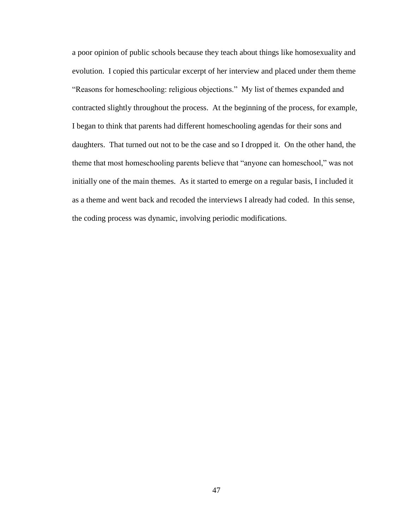a poor opinion of public schools because they teach about things like homosexuality and evolution. I copied this particular excerpt of her interview and placed under them theme "Reasons for homeschooling: religious objections." My list of themes expanded and contracted slightly throughout the process. At the beginning of the process, for example, I began to think that parents had different homeschooling agendas for their sons and daughters. That turned out not to be the case and so I dropped it. On the other hand, the theme that most homeschooling parents believe that "anyone can homeschool," was not initially one of the main themes. As it started to emerge on a regular basis, I included it as a theme and went back and recoded the interviews I already had coded. In this sense, the coding process was dynamic, involving periodic modifications.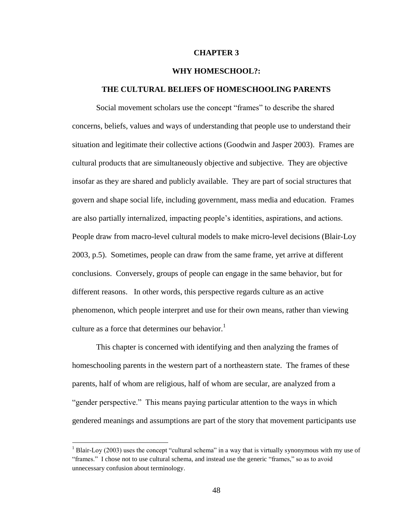## **CHAPTER 3**

# **WHY HOMESCHOOL?:**

# **THE CULTURAL BELIEFS OF HOMESCHOOLING PARENTS**

Social movement scholars use the concept "frames" to describe the shared concerns, beliefs, values and ways of understanding that people use to understand their situation and legitimate their collective actions (Goodwin and Jasper 2003). Frames are cultural products that are simultaneously objective and subjective. They are objective insofar as they are shared and publicly available. They are part of social structures that govern and shape social life, including government, mass media and education. Frames are also partially internalized, impacting people"s identities, aspirations, and actions. People draw from macro-level cultural models to make micro-level decisions (Blair-Loy 2003, p.5). Sometimes, people can draw from the same frame, yet arrive at different conclusions. Conversely, groups of people can engage in the same behavior, but for different reasons. In other words, this perspective regards culture as an active phenomenon, which people interpret and use for their own means, rather than viewing culture as a force that determines our behavior.<sup>1</sup>

This chapter is concerned with identifying and then analyzing the frames of homeschooling parents in the western part of a northeastern state. The frames of these parents, half of whom are religious, half of whom are secular, are analyzed from a "gender perspective." This means paying particular attention to the ways in which gendered meanings and assumptions are part of the story that movement participants use

 $\overline{a}$ 

<sup>&</sup>lt;sup>1</sup> Blair-Loy (2003) uses the concept "cultural schema" in a way that is virtually synonymous with my use of "frames." I chose not to use cultural schema, and instead use the generic "frames," so as to avoid unnecessary confusion about terminology.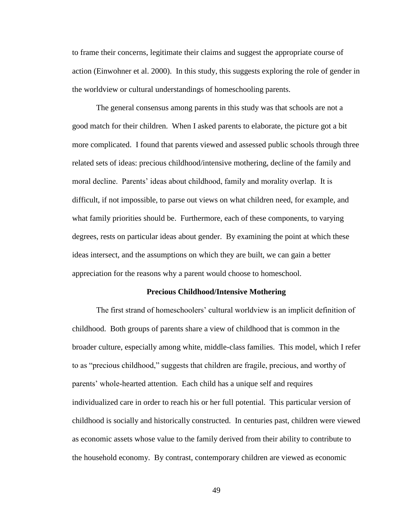to frame their concerns, legitimate their claims and suggest the appropriate course of action (Einwohner et al. 2000). In this study, this suggests exploring the role of gender in the worldview or cultural understandings of homeschooling parents.

The general consensus among parents in this study was that schools are not a good match for their children. When I asked parents to elaborate, the picture got a bit more complicated. I found that parents viewed and assessed public schools through three related sets of ideas: precious childhood/intensive mothering, decline of the family and moral decline. Parents" ideas about childhood, family and morality overlap. It is difficult, if not impossible, to parse out views on what children need, for example, and what family priorities should be. Furthermore, each of these components, to varying degrees, rests on particular ideas about gender. By examining the point at which these ideas intersect, and the assumptions on which they are built, we can gain a better appreciation for the reasons why a parent would choose to homeschool.

#### **Precious Childhood/Intensive Mothering**

The first strand of homeschoolers' cultural worldview is an implicit definition of childhood. Both groups of parents share a view of childhood that is common in the broader culture, especially among white, middle-class families. This model, which I refer to as "precious childhood," suggests that children are fragile, precious, and worthy of parents' whole-hearted attention. Each child has a unique self and requires individualized care in order to reach his or her full potential. This particular version of childhood is socially and historically constructed. In centuries past, children were viewed as economic assets whose value to the family derived from their ability to contribute to the household economy. By contrast, contemporary children are viewed as economic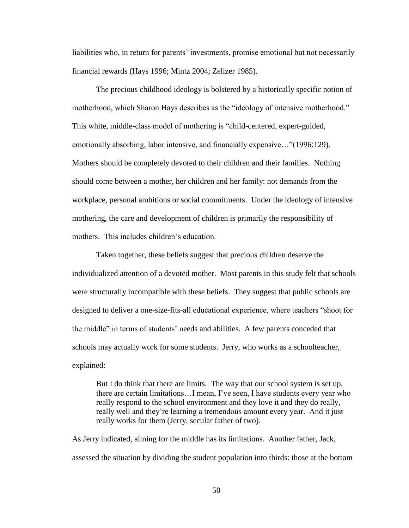liabilities who, in return for parents" investments, promise emotional but not necessarily financial rewards (Hays 1996; Mintz 2004; Zelizer 1985).

The precious childhood ideology is bolstered by a historically specific notion of motherhood, which Sharon Hays describes as the "ideology of intensive motherhood." This white, middle-class model of mothering is "child-centered, expert-guided, emotionally absorbing, labor intensive, and financially expensive…"(1996:129). Mothers should be completely devoted to their children and their families. Nothing should come between a mother, her children and her family: not demands from the workplace, personal ambitions or social commitments. Under the ideology of intensive mothering, the care and development of children is primarily the responsibility of mothers. This includes children's education.

Taken together, these beliefs suggest that precious children deserve the individualized attention of a devoted mother. Most parents in this study felt that schools were structurally incompatible with these beliefs. They suggest that public schools are designed to deliver a one-size-fits-all educational experience, where teachers "shoot for the middle" in terms of students' needs and abilities. A few parents conceded that schools may actually work for some students. Jerry, who works as a schoolteacher, explained:

But I do think that there are limits. The way that our school system is set up, there are certain limitations…I mean, I"ve seen, I have students every year who really respond to the school environment and they love it and they do really, really well and they"re learning a tremendous amount every year. And it just really works for them (Jerry, secular father of two).

As Jerry indicated, aiming for the middle has its limitations. Another father, Jack, assessed the situation by dividing the student population into thirds: those at the bottom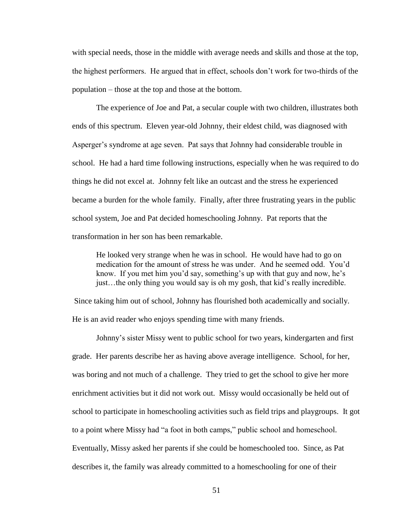with special needs, those in the middle with average needs and skills and those at the top, the highest performers. He argued that in effect, schools don"t work for two-thirds of the population – those at the top and those at the bottom.

The experience of Joe and Pat, a secular couple with two children, illustrates both ends of this spectrum. Eleven year-old Johnny, their eldest child, was diagnosed with Asperger's syndrome at age seven. Pat says that Johnny had considerable trouble in school. He had a hard time following instructions, especially when he was required to do things he did not excel at. Johnny felt like an outcast and the stress he experienced became a burden for the whole family. Finally, after three frustrating years in the public school system, Joe and Pat decided homeschooling Johnny. Pat reports that the transformation in her son has been remarkable.

He looked very strange when he was in school. He would have had to go on medication for the amount of stress he was under. And he seemed odd. You"d know. If you met him you'd say, something's up with that guy and now, he's just…the only thing you would say is oh my gosh, that kid"s really incredible.

Since taking him out of school, Johnny has flourished both academically and socially. He is an avid reader who enjoys spending time with many friends.

Johnny"s sister Missy went to public school for two years, kindergarten and first grade. Her parents describe her as having above average intelligence. School, for her, was boring and not much of a challenge. They tried to get the school to give her more enrichment activities but it did not work out. Missy would occasionally be held out of school to participate in homeschooling activities such as field trips and playgroups. It got to a point where Missy had "a foot in both camps," public school and homeschool. Eventually, Missy asked her parents if she could be homeschooled too. Since, as Pat describes it, the family was already committed to a homeschooling for one of their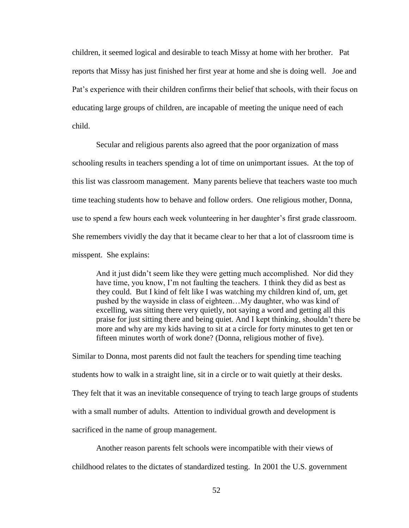children, it seemed logical and desirable to teach Missy at home with her brother. Pat reports that Missy has just finished her first year at home and she is doing well. Joe and Pat"s experience with their children confirms their belief that schools, with their focus on educating large groups of children, are incapable of meeting the unique need of each child.

Secular and religious parents also agreed that the poor organization of mass schooling results in teachers spending a lot of time on unimportant issues. At the top of this list was classroom management. Many parents believe that teachers waste too much time teaching students how to behave and follow orders. One religious mother, Donna, use to spend a few hours each week volunteering in her daughter's first grade classroom. She remembers vividly the day that it became clear to her that a lot of classroom time is misspent. She explains:

And it just didn"t seem like they were getting much accomplished. Nor did they have time, you know, I'm not faulting the teachers. I think they did as best as they could. But I kind of felt like I was watching my children kind of, um, get pushed by the wayside in class of eighteen…My daughter, who was kind of excelling, was sitting there very quietly, not saying a word and getting all this praise for just sitting there and being quiet. And I kept thinking, shouldn"t there be more and why are my kids having to sit at a circle for forty minutes to get ten or fifteen minutes worth of work done? (Donna, religious mother of five).

Similar to Donna, most parents did not fault the teachers for spending time teaching students how to walk in a straight line, sit in a circle or to wait quietly at their desks. They felt that it was an inevitable consequence of trying to teach large groups of students with a small number of adults. Attention to individual growth and development is sacrificed in the name of group management.

Another reason parents felt schools were incompatible with their views of childhood relates to the dictates of standardized testing. In 2001 the U.S. government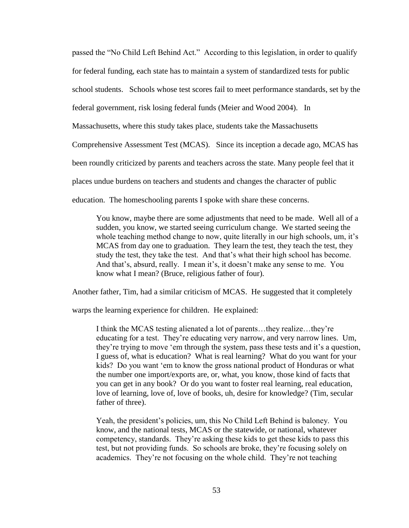passed the "No Child Left Behind Act." According to this legislation, in order to qualify for federal funding, each state has to maintain a system of standardized tests for public school students. Schools whose test scores fail to meet performance standards, set by the federal government, risk losing federal funds (Meier and Wood 2004). In Massachusetts, where this study takes place, students take the Massachusetts Comprehensive Assessment Test (MCAS). Since its inception a decade ago, MCAS has been roundly criticized by parents and teachers across the state. Many people feel that it places undue burdens on teachers and students and changes the character of public education. The homeschooling parents I spoke with share these concerns.

You know, maybe there are some adjustments that need to be made. Well all of a sudden, you know, we started seeing curriculum change. We started seeing the whole teaching method change to now, quite literally in our high schools, um, it's MCAS from day one to graduation. They learn the test, they teach the test, they study the test, they take the test. And that"s what their high school has become. And that's, absurd, really. I mean it's, it doesn't make any sense to me. You know what I mean? (Bruce, religious father of four).

Another father, Tim, had a similar criticism of MCAS. He suggested that it completely

warps the learning experience for children. He explained:

I think the MCAS testing alienated a lot of parents…they realize…they"re educating for a test. They"re educating very narrow, and very narrow lines. Um, they"re trying to move "em through the system, pass these tests and it"s a question, I guess of, what is education? What is real learning? What do you want for your kids? Do you want "em to know the gross national product of Honduras or what the number one import/exports are, or, what, you know, those kind of facts that you can get in any book? Or do you want to foster real learning, real education, love of learning, love of, love of books, uh, desire for knowledge? (Tim, secular father of three).

Yeah, the president"s policies, um, this No Child Left Behind is baloney. You know, and the national tests, MCAS or the statewide, or national, whatever competency, standards. They"re asking these kids to get these kids to pass this test, but not providing funds. So schools are broke, they"re focusing solely on academics. They"re not focusing on the whole child. They"re not teaching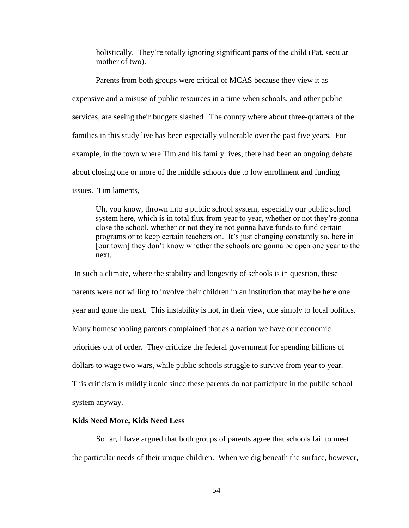holistically. They're totally ignoring significant parts of the child (Pat, secular mother of two).

Parents from both groups were critical of MCAS because they view it as expensive and a misuse of public resources in a time when schools, and other public services, are seeing their budgets slashed. The county where about three-quarters of the families in this study live has been especially vulnerable over the past five years. For example, in the town where Tim and his family lives, there had been an ongoing debate about closing one or more of the middle schools due to low enrollment and funding issues. Tim laments,

Uh, you know, thrown into a public school system, especially our public school system here, which is in total flux from year to year, whether or not they're gonna close the school, whether or not they"re not gonna have funds to fund certain programs or to keep certain teachers on. It"s just changing constantly so, here in [our town] they don"t know whether the schools are gonna be open one year to the next.

In such a climate, where the stability and longevity of schools is in question, these parents were not willing to involve their children in an institution that may be here one year and gone the next. This instability is not, in their view, due simply to local politics. Many homeschooling parents complained that as a nation we have our economic priorities out of order. They criticize the federal government for spending billions of dollars to wage two wars, while public schools struggle to survive from year to year. This criticism is mildly ironic since these parents do not participate in the public school system anyway.

### **Kids Need More, Kids Need Less**

So far, I have argued that both groups of parents agree that schools fail to meet the particular needs of their unique children. When we dig beneath the surface, however,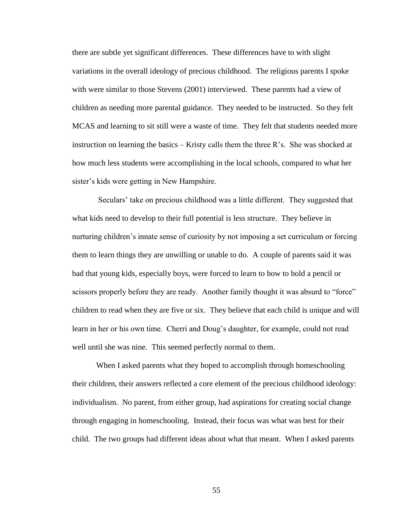there are subtle yet significant differences. These differences have to with slight variations in the overall ideology of precious childhood. The religious parents I spoke with were similar to those Stevens (2001) interviewed. These parents had a view of children as needing more parental guidance. They needed to be instructed. So they felt MCAS and learning to sit still were a waste of time. They felt that students needed more instruction on learning the basics – Kristy calls them the three  $R$ 's. She was shocked at how much less students were accomplishing in the local schools, compared to what her sister's kids were getting in New Hampshire.

Seculars" take on precious childhood was a little different. They suggested that what kids need to develop to their full potential is less structure. They believe in nurturing children"s innate sense of curiosity by not imposing a set curriculum or forcing them to learn things they are unwilling or unable to do. A couple of parents said it was bad that young kids, especially boys, were forced to learn to how to hold a pencil or scissors properly before they are ready. Another family thought it was absurd to "force" children to read when they are five or six. They believe that each child is unique and will learn in her or his own time. Cherri and Doug's daughter, for example, could not read well until she was nine. This seemed perfectly normal to them.

When I asked parents what they hoped to accomplish through homeschooling their children, their answers reflected a core element of the precious childhood ideology: individualism. No parent, from either group, had aspirations for creating social change through engaging in homeschooling. Instead, their focus was what was best for their child. The two groups had different ideas about what that meant. When I asked parents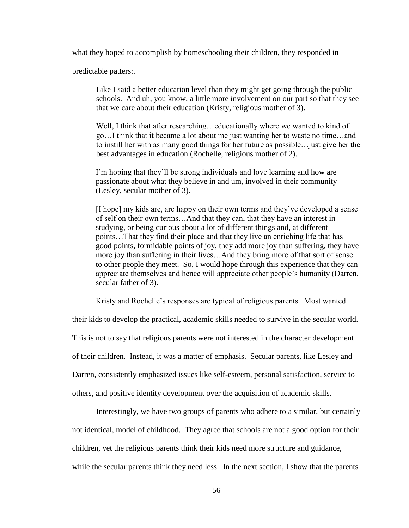what they hoped to accomplish by homeschooling their children, they responded in

predictable patters:.

Like I said a better education level than they might get going through the public schools. And uh, you know, a little more involvement on our part so that they see that we care about their education (Kristy, religious mother of 3).

Well, I think that after researching...educationally where we wanted to kind of go…I think that it became a lot about me just wanting her to waste no time…and to instill her with as many good things for her future as possible…just give her the best advantages in education (Rochelle, religious mother of 2).

I'm hoping that they'll be strong individuals and love learning and how are passionate about what they believe in and um, involved in their community (Lesley, secular mother of 3).

[I hope] my kids are, are happy on their own terms and they"ve developed a sense of self on their own terms…And that they can, that they have an interest in studying, or being curious about a lot of different things and, at different points…That they find their place and that they live an enriching life that has good points, formidable points of joy, they add more joy than suffering, they have more joy than suffering in their lives…And they bring more of that sort of sense to other people they meet. So, I would hope through this experience that they can appreciate themselves and hence will appreciate other people"s humanity (Darren, secular father of 3).

Kristy and Rochelle"s responses are typical of religious parents. Most wanted

their kids to develop the practical, academic skills needed to survive in the secular world.

This is not to say that religious parents were not interested in the character development

of their children. Instead, it was a matter of emphasis. Secular parents, like Lesley and

Darren, consistently emphasized issues like self-esteem, personal satisfaction, service to

others, and positive identity development over the acquisition of academic skills.

Interestingly, we have two groups of parents who adhere to a similar, but certainly not identical, model of childhood. They agree that schools are not a good option for their children, yet the religious parents think their kids need more structure and guidance, while the secular parents think they need less. In the next section, I show that the parents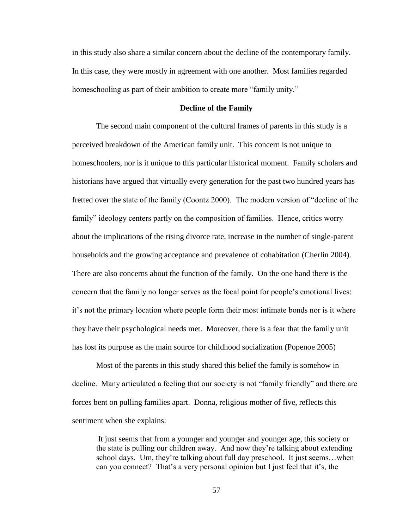in this study also share a similar concern about the decline of the contemporary family. In this case, they were mostly in agreement with one another. Most families regarded homeschooling as part of their ambition to create more "family unity."

## **Decline of the Family**

The second main component of the cultural frames of parents in this study is a perceived breakdown of the American family unit. This concern is not unique to homeschoolers, nor is it unique to this particular historical moment. Family scholars and historians have argued that virtually every generation for the past two hundred years has fretted over the state of the family (Coontz 2000). The modern version of "decline of the family" ideology centers partly on the composition of families. Hence, critics worry about the implications of the rising divorce rate, increase in the number of single-parent households and the growing acceptance and prevalence of cohabitation (Cherlin 2004). There are also concerns about the function of the family. On the one hand there is the concern that the family no longer serves as the focal point for people"s emotional lives: it"s not the primary location where people form their most intimate bonds nor is it where they have their psychological needs met. Moreover, there is a fear that the family unit has lost its purpose as the main source for childhood socialization (Popenoe 2005)

Most of the parents in this study shared this belief the family is somehow in decline. Many articulated a feeling that our society is not "family friendly" and there are forces bent on pulling families apart. Donna, religious mother of five, reflects this sentiment when she explains:

It just seems that from a younger and younger and younger age, this society or the state is pulling our children away. And now they"re talking about extending school days. Um, they're talking about full day preschool. It just seems...when can you connect? That's a very personal opinion but I just feel that it's, the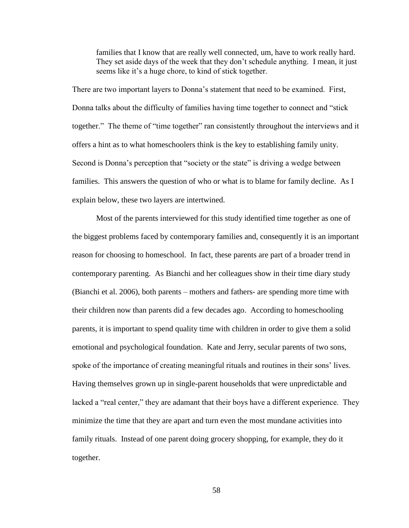families that I know that are really well connected, um, have to work really hard. They set aside days of the week that they don"t schedule anything. I mean, it just seems like it's a huge chore, to kind of stick together.

There are two important layers to Donna"s statement that need to be examined. First, Donna talks about the difficulty of families having time together to connect and "stick together." The theme of "time together" ran consistently throughout the interviews and it offers a hint as to what homeschoolers think is the key to establishing family unity. Second is Donna's perception that "society or the state" is driving a wedge between families. This answers the question of who or what is to blame for family decline. As I explain below, these two layers are intertwined.

Most of the parents interviewed for this study identified time together as one of the biggest problems faced by contemporary families and, consequently it is an important reason for choosing to homeschool. In fact, these parents are part of a broader trend in contemporary parenting. As Bianchi and her colleagues show in their time diary study (Bianchi et al. 2006), both parents – mothers and fathers- are spending more time with their children now than parents did a few decades ago. According to homeschooling parents, it is important to spend quality time with children in order to give them a solid emotional and psychological foundation. Kate and Jerry, secular parents of two sons, spoke of the importance of creating meaningful rituals and routines in their sons' lives. Having themselves grown up in single-parent households that were unpredictable and lacked a "real center," they are adamant that their boys have a different experience. They minimize the time that they are apart and turn even the most mundane activities into family rituals. Instead of one parent doing grocery shopping, for example, they do it together.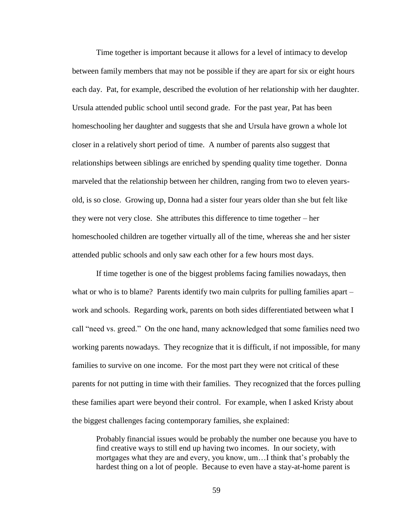Time together is important because it allows for a level of intimacy to develop between family members that may not be possible if they are apart for six or eight hours each day. Pat, for example, described the evolution of her relationship with her daughter. Ursula attended public school until second grade. For the past year, Pat has been homeschooling her daughter and suggests that she and Ursula have grown a whole lot closer in a relatively short period of time. A number of parents also suggest that relationships between siblings are enriched by spending quality time together. Donna marveled that the relationship between her children, ranging from two to eleven yearsold, is so close. Growing up, Donna had a sister four years older than she but felt like they were not very close. She attributes this difference to time together – her homeschooled children are together virtually all of the time, whereas she and her sister attended public schools and only saw each other for a few hours most days.

If time together is one of the biggest problems facing families nowadays, then what or who is to blame? Parents identify two main culprits for pulling families apart – work and schools. Regarding work, parents on both sides differentiated between what I call "need vs. greed." On the one hand, many acknowledged that some families need two working parents nowadays. They recognize that it is difficult, if not impossible, for many families to survive on one income. For the most part they were not critical of these parents for not putting in time with their families. They recognized that the forces pulling these families apart were beyond their control. For example, when I asked Kristy about the biggest challenges facing contemporary families, she explained:

Probably financial issues would be probably the number one because you have to find creative ways to still end up having two incomes. In our society, with mortgages what they are and every, you know, um...I think that's probably the hardest thing on a lot of people. Because to even have a stay-at-home parent is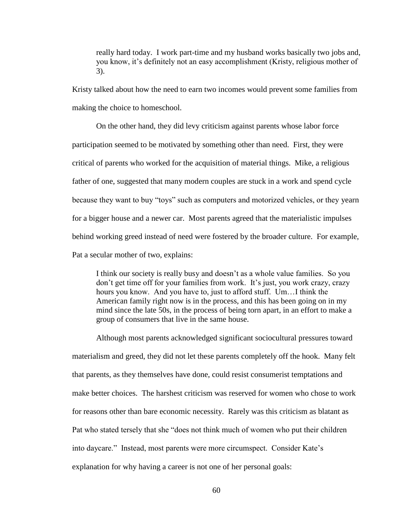really hard today. I work part-time and my husband works basically two jobs and, you know, it"s definitely not an easy accomplishment (Kristy, religious mother of 3).

Kristy talked about how the need to earn two incomes would prevent some families from making the choice to homeschool.

On the other hand, they did levy criticism against parents whose labor force participation seemed to be motivated by something other than need. First, they were critical of parents who worked for the acquisition of material things. Mike, a religious father of one, suggested that many modern couples are stuck in a work and spend cycle because they want to buy "toys" such as computers and motorized vehicles, or they yearn for a bigger house and a newer car. Most parents agreed that the materialistic impulses behind working greed instead of need were fostered by the broader culture. For example, Pat a secular mother of two, explains:

I think our society is really busy and doesn"t as a whole value families. So you don't get time off for your families from work. It's just, you work crazy, crazy hours you know. And you have to, just to afford stuff. Um…I think the American family right now is in the process, and this has been going on in my mind since the late 50s, in the process of being torn apart, in an effort to make a group of consumers that live in the same house.

Although most parents acknowledged significant sociocultural pressures toward materialism and greed, they did not let these parents completely off the hook. Many felt that parents, as they themselves have done, could resist consumerist temptations and make better choices. The harshest criticism was reserved for women who chose to work for reasons other than bare economic necessity. Rarely was this criticism as blatant as Pat who stated tersely that she "does not think much of women who put their children into daycare." Instead, most parents were more circumspect. Consider Kate's explanation for why having a career is not one of her personal goals: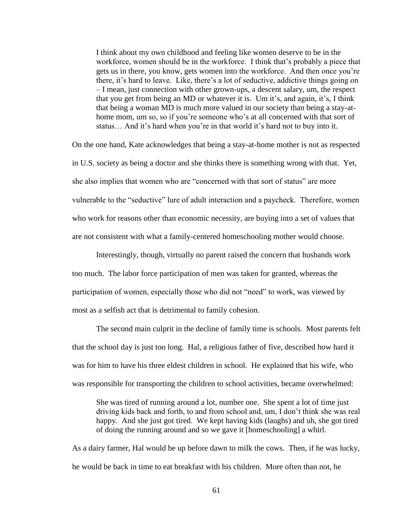I think about my own childhood and feeling like women deserve to be in the workforce, women should be in the workforce. I think that"s probably a piece that gets us in there, you know, gets women into the workforce. And then once you"re there, it"s hard to leave. Like, there"s a lot of seductive, addictive things going on – I mean, just connection with other grown-ups, a descent salary, um, the respect that you get from being an MD or whatever it is. Um it"s, and again, it"s, I think that being a woman MD is much more valued in our society than being a stay-athome mom, um so, so if you're someone who's at all concerned with that sort of status... And it's hard when you're in that world it's hard not to buy into it.

On the one hand, Kate acknowledges that being a stay-at-home mother is not as respected in U.S. society as being a doctor and she thinks there is something wrong with that. Yet, she also implies that women who are "concerned with that sort of status" are more vulnerable to the "seductive" lure of adult interaction and a paycheck. Therefore, women who work for reasons other than economic necessity, are buying into a set of values that are not consistent with what a family-centered homeschooling mother would choose.

Interestingly, though, virtually no parent raised the concern that husbands work too much. The labor force participation of men was taken for granted, whereas the participation of women, especially those who did not "need" to work, was viewed by most as a selfish act that is detrimental to family cohesion.

The second main culprit in the decline of family time is schools. Most parents felt that the school day is just too long. Hal, a religious father of five, described how hard it was for him to have his three eldest children in school. He explained that his wife, who was responsible for transporting the children to school activities, became overwhelmed:

She was tired of running around a lot, number one. She spent a lot of time just driving kids back and forth, to and from school and, um, I don"t think she was real happy. And she just got tired. We kept having kids (laughs) and uh, she got tired of doing the running around and so we gave it [homeschooling] a whirl.

As a dairy farmer, Hal would be up before dawn to milk the cows. Then, if he was lucky, he would be back in time to eat breakfast with his children. More often than not, he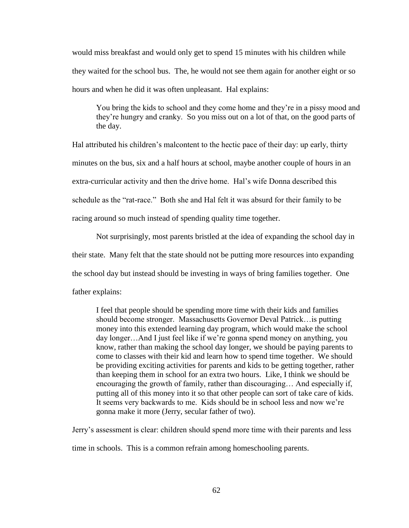would miss breakfast and would only get to spend 15 minutes with his children while they waited for the school bus. The, he would not see them again for another eight or so hours and when he did it was often unpleasant. Hal explains:

You bring the kids to school and they come home and they"re in a pissy mood and they"re hungry and cranky. So you miss out on a lot of that, on the good parts of the day.

Hal attributed his children"s malcontent to the hectic pace of their day: up early, thirty minutes on the bus, six and a half hours at school, maybe another couple of hours in an extra-curricular activity and then the drive home. Hal"s wife Donna described this schedule as the "rat-race." Both she and Hal felt it was absurd for their family to be racing around so much instead of spending quality time together.

Not surprisingly, most parents bristled at the idea of expanding the school day in their state. Many felt that the state should not be putting more resources into expanding the school day but instead should be investing in ways of bring families together. One father explains:

I feel that people should be spending more time with their kids and families should become stronger. Massachusetts Governor Deval Patrick…is putting money into this extended learning day program, which would make the school day longer…And I just feel like if we"re gonna spend money on anything, you know, rather than making the school day longer, we should be paying parents to come to classes with their kid and learn how to spend time together. We should be providing exciting activities for parents and kids to be getting together, rather than keeping them in school for an extra two hours. Like, I think we should be encouraging the growth of family, rather than discouraging… And especially if, putting all of this money into it so that other people can sort of take care of kids. It seems very backwards to me. Kids should be in school less and now we"re gonna make it more (Jerry, secular father of two).

Jerry"s assessment is clear: children should spend more time with their parents and less time in schools. This is a common refrain among homeschooling parents.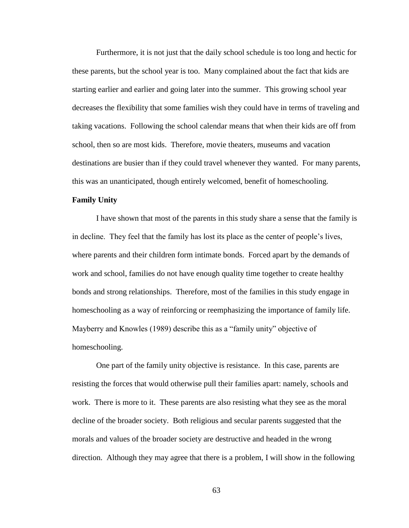Furthermore, it is not just that the daily school schedule is too long and hectic for these parents, but the school year is too. Many complained about the fact that kids are starting earlier and earlier and going later into the summer. This growing school year decreases the flexibility that some families wish they could have in terms of traveling and taking vacations. Following the school calendar means that when their kids are off from school, then so are most kids. Therefore, movie theaters, museums and vacation destinations are busier than if they could travel whenever they wanted. For many parents, this was an unanticipated, though entirely welcomed, benefit of homeschooling.

## **Family Unity**

I have shown that most of the parents in this study share a sense that the family is in decline. They feel that the family has lost its place as the center of people"s lives, where parents and their children form intimate bonds. Forced apart by the demands of work and school, families do not have enough quality time together to create healthy bonds and strong relationships. Therefore, most of the families in this study engage in homeschooling as a way of reinforcing or reemphasizing the importance of family life. Mayberry and Knowles (1989) describe this as a "family unity" objective of homeschooling.

One part of the family unity objective is resistance. In this case, parents are resisting the forces that would otherwise pull their families apart: namely, schools and work. There is more to it. These parents are also resisting what they see as the moral decline of the broader society. Both religious and secular parents suggested that the morals and values of the broader society are destructive and headed in the wrong direction. Although they may agree that there is a problem, I will show in the following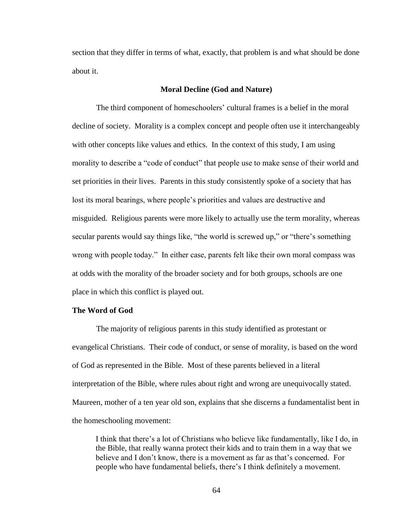section that they differ in terms of what, exactly, that problem is and what should be done about it.

#### **Moral Decline (God and Nature)**

The third component of homeschoolers" cultural frames is a belief in the moral decline of society. Morality is a complex concept and people often use it interchangeably with other concepts like values and ethics. In the context of this study, I am using morality to describe a "code of conduct" that people use to make sense of their world and set priorities in their lives. Parents in this study consistently spoke of a society that has lost its moral bearings, where people"s priorities and values are destructive and misguided. Religious parents were more likely to actually use the term morality, whereas secular parents would say things like, "the world is screwed up," or "there's something wrong with people today." In either case, parents felt like their own moral compass was at odds with the morality of the broader society and for both groups, schools are one place in which this conflict is played out.

### **The Word of God**

The majority of religious parents in this study identified as protestant or evangelical Christians. Their code of conduct, or sense of morality, is based on the word of God as represented in the Bible. Most of these parents believed in a literal interpretation of the Bible, where rules about right and wrong are unequivocally stated. Maureen, mother of a ten year old son, explains that she discerns a fundamentalist bent in the homeschooling movement:

I think that there"s a lot of Christians who believe like fundamentally, like I do, in the Bible, that really wanna protect their kids and to train them in a way that we believe and I don't know, there is a movement as far as that's concerned. For people who have fundamental beliefs, there"s I think definitely a movement.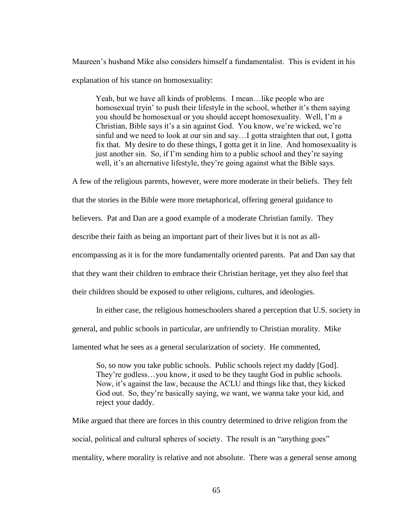Maureen"s husband Mike also considers himself a fundamentalist. This is evident in his explanation of his stance on homosexuality:

Yeah, but we have all kinds of problems. I mean…like people who are homosexual tryin' to push their lifestyle in the school, whether it's them saying you should be homosexual or you should accept homosexuality. Well, I"m a Christian, Bible says it's a sin against God. You know, we're wicked, we're sinful and we need to look at our sin and say…I gotta straighten that out, I gotta fix that. My desire to do these things, I gotta get it in line. And homosexuality is just another sin. So, if I'm sending him to a public school and they're saying well, it's an alternative lifestyle, they're going against what the Bible says.

A few of the religious parents, however, were more moderate in their beliefs. They felt

that the stories in the Bible were more metaphorical, offering general guidance to

believers. Pat and Dan are a good example of a moderate Christian family. They

describe their faith as being an important part of their lives but it is not as all-

encompassing as it is for the more fundamentally oriented parents. Pat and Dan say that

that they want their children to embrace their Christian heritage, yet they also feel that

their children should be exposed to other religions, cultures, and ideologies.

In either case, the religious homeschoolers shared a perception that U.S. society in general, and public schools in particular, are unfriendly to Christian morality. Mike lamented what he sees as a general secularization of society. He commented,

So, so now you take public schools. Public schools reject my daddy [God]. They"re godless…you know, it used to be they taught God in public schools. Now, it's against the law, because the ACLU and things like that, they kicked God out. So, they"re basically saying, we want, we wanna take your kid, and reject your daddy.

Mike argued that there are forces in this country determined to drive religion from the social, political and cultural spheres of society. The result is an "anything goes" mentality, where morality is relative and not absolute. There was a general sense among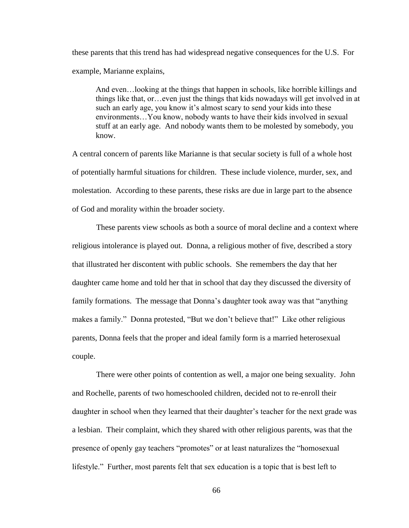these parents that this trend has had widespread negative consequences for the U.S. For example, Marianne explains,

And even…looking at the things that happen in schools, like horrible killings and things like that, or…even just the things that kids nowadays will get involved in at such an early age, you know it's almost scary to send your kids into these environments…You know, nobody wants to have their kids involved in sexual stuff at an early age. And nobody wants them to be molested by somebody, you know.

A central concern of parents like Marianne is that secular society is full of a whole host of potentially harmful situations for children. These include violence, murder, sex, and molestation. According to these parents, these risks are due in large part to the absence of God and morality within the broader society.

These parents view schools as both a source of moral decline and a context where religious intolerance is played out. Donna, a religious mother of five, described a story that illustrated her discontent with public schools. She remembers the day that her daughter came home and told her that in school that day they discussed the diversity of family formations. The message that Donna"s daughter took away was that "anything makes a family." Donna protested, "But we don"t believe that!" Like other religious parents, Donna feels that the proper and ideal family form is a married heterosexual couple.

There were other points of contention as well, a major one being sexuality. John and Rochelle, parents of two homeschooled children, decided not to re-enroll their daughter in school when they learned that their daughter's teacher for the next grade was a lesbian. Their complaint, which they shared with other religious parents, was that the presence of openly gay teachers "promotes" or at least naturalizes the "homosexual lifestyle." Further, most parents felt that sex education is a topic that is best left to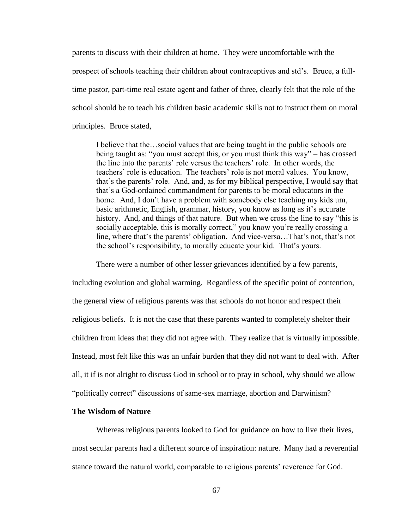parents to discuss with their children at home. They were uncomfortable with the prospect of schools teaching their children about contraceptives and std"s. Bruce, a fulltime pastor, part-time real estate agent and father of three, clearly felt that the role of the school should be to teach his children basic academic skills not to instruct them on moral principles. Bruce stated,

I believe that the…social values that are being taught in the public schools are being taught as: "you must accept this, or you must think this way" – has crossed the line into the parents' role versus the teachers' role. In other words, the teachers' role is education. The teachers' role is not moral values. You know, that"s the parents" role. And, and, as for my biblical perspective, I would say that that"s a God-ordained commandment for parents to be moral educators in the home. And, I don"t have a problem with somebody else teaching my kids um, basic arithmetic, English, grammar, history, you know as long as it's accurate history. And, and things of that nature. But when we cross the line to say "this is socially acceptable, this is morally correct," you know you're really crossing a line, where that's the parents' obligation. And vice-versa...That's not, that's not the school"s responsibility, to morally educate your kid. That"s yours.

There were a number of other lesser grievances identified by a few parents,

including evolution and global warming. Regardless of the specific point of contention, the general view of religious parents was that schools do not honor and respect their religious beliefs. It is not the case that these parents wanted to completely shelter their children from ideas that they did not agree with. They realize that is virtually impossible. Instead, most felt like this was an unfair burden that they did not want to deal with. After all, it if is not alright to discuss God in school or to pray in school, why should we allow "politically correct" discussions of same-sex marriage, abortion and Darwinism?

# **The Wisdom of Nature**

Whereas religious parents looked to God for guidance on how to live their lives, most secular parents had a different source of inspiration: nature. Many had a reverential stance toward the natural world, comparable to religious parents" reverence for God.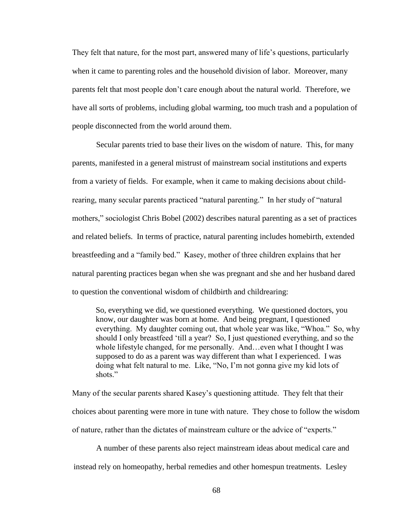They felt that nature, for the most part, answered many of life"s questions, particularly when it came to parenting roles and the household division of labor. Moreover, many parents felt that most people don"t care enough about the natural world. Therefore, we have all sorts of problems, including global warming, too much trash and a population of people disconnected from the world around them.

Secular parents tried to base their lives on the wisdom of nature. This, for many parents, manifested in a general mistrust of mainstream social institutions and experts from a variety of fields. For example, when it came to making decisions about childrearing, many secular parents practiced "natural parenting." In her study of "natural mothers," sociologist Chris Bobel (2002) describes natural parenting as a set of practices and related beliefs. In terms of practice, natural parenting includes homebirth, extended breastfeeding and a "family bed." Kasey, mother of three children explains that her natural parenting practices began when she was pregnant and she and her husband dared to question the conventional wisdom of childbirth and childrearing:

So, everything we did, we questioned everything. We questioned doctors, you know, our daughter was born at home. And being pregnant, I questioned everything. My daughter coming out, that whole year was like, "Whoa." So, why should I only breastfeed "till a year? So, I just questioned everything, and so the whole lifestyle changed, for me personally. And…even what I thought I was supposed to do as a parent was way different than what I experienced. I was doing what felt natural to me. Like, "No, I"m not gonna give my kid lots of shots."

Many of the secular parents shared Kasey"s questioning attitude. They felt that their choices about parenting were more in tune with nature. They chose to follow the wisdom of nature, rather than the dictates of mainstream culture or the advice of "experts."

A number of these parents also reject mainstream ideas about medical care and instead rely on homeopathy, herbal remedies and other homespun treatments. Lesley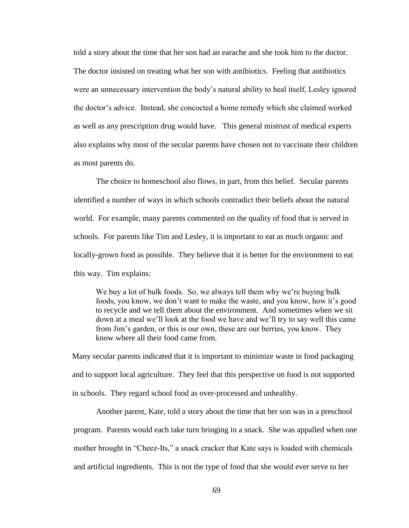told a story about the time that her son had an earache and she took him to the doctor. The doctor insisted on treating what her son with antibiotics. Feeling that antibiotics were an unnecessary intervention the body"s natural ability to heal itself, Lesley ignored the doctor"s advice. Instead, she concocted a home remedy which she claimed worked as well as any prescription drug would have. This general mistrust of medical experts also explains why most of the secular parents have chosen not to vaccinate their children as most parents do.

The choice to homeschool also flows, in part, from this belief. Secular parents identified a number of ways in which schools contradict their beliefs about the natural world. For example, many parents commented on the quality of food that is served in schools. For parents like Tim and Lesley, it is important to eat as much organic and locally-grown food as possible. They believe that it is better for the environment to eat this way. Tim explains:

We buy a lot of bulk foods. So, we always tell them why we're buying bulk foods, you know, we don't want to make the waste, and you know, how it's good to recycle and we tell them about the environment. And sometimes when we sit down at a meal we"ll look at the food we have and we"ll try to say well this came from Jim"s garden, or this is our own, these are our berries, you know. They know where all their food came from.

Many secular parents indicated that it is important to minimize waste in food packaging and to support local agriculture. They feel that this perspective on food is not supported in schools. They regard school food as over-processed and unhealthy.

Another parent, Kate, told a story about the time that her son was in a preschool program. Parents would each take turn bringing in a snack. She was appalled when one mother brought in "Cheez-Its," a snack cracker that Kate says is loaded with chemicals and artificial ingredients. This is not the type of food that she would ever serve to her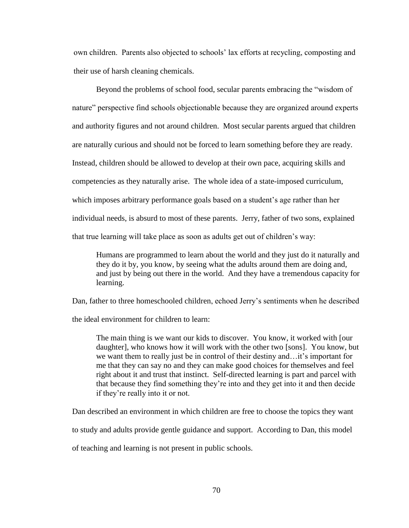own children. Parents also objected to schools" lax efforts at recycling, composting and their use of harsh cleaning chemicals.

Beyond the problems of school food, secular parents embracing the "wisdom of nature" perspective find schools objectionable because they are organized around experts and authority figures and not around children. Most secular parents argued that children are naturally curious and should not be forced to learn something before they are ready. Instead, children should be allowed to develop at their own pace, acquiring skills and competencies as they naturally arise. The whole idea of a state-imposed curriculum, which imposes arbitrary performance goals based on a student's age rather than her individual needs, is absurd to most of these parents. Jerry, father of two sons, explained that true learning will take place as soon as adults get out of children"s way:

Humans are programmed to learn about the world and they just do it naturally and they do it by, you know, by seeing what the adults around them are doing and, and just by being out there in the world. And they have a tremendous capacity for learning.

Dan, father to three homeschooled children, echoed Jerry"s sentiments when he described

the ideal environment for children to learn:

The main thing is we want our kids to discover. You know, it worked with [our daughter], who knows how it will work with the other two [sons]. You know, but we want them to really just be in control of their destiny and…it"s important for me that they can say no and they can make good choices for themselves and feel right about it and trust that instinct. Self-directed learning is part and parcel with that because they find something they"re into and they get into it and then decide if they"re really into it or not.

Dan described an environment in which children are free to choose the topics they want

to study and adults provide gentle guidance and support. According to Dan, this model

of teaching and learning is not present in public schools.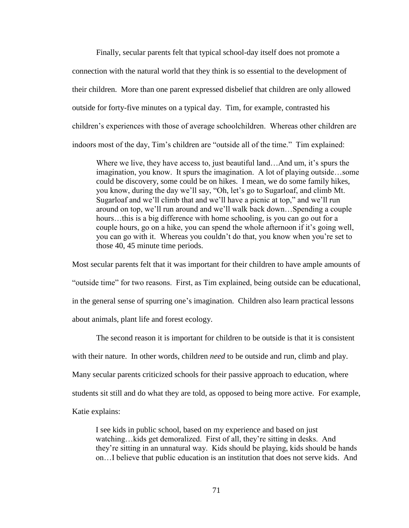Finally, secular parents felt that typical school-day itself does not promote a connection with the natural world that they think is so essential to the development of their children. More than one parent expressed disbelief that children are only allowed outside for forty-five minutes on a typical day. Tim, for example, contrasted his children"s experiences with those of average schoolchildren. Whereas other children are indoors most of the day, Tim"s children are "outside all of the time." Tim explained:

Where we live, they have access to, just beautiful land…And um, it's spurs the imagination, you know. It spurs the imagination. A lot of playing outside…some could be discovery, some could be on hikes. I mean, we do some family hikes, you know, during the day we"ll say, "Oh, let"s go to Sugarloaf, and climb Mt. Sugarloaf and we"ll climb that and we"ll have a picnic at top," and we"ll run around on top, we"ll run around and we"ll walk back down…Spending a couple hours...this is a big difference with home schooling, is you can go out for a couple hours, go on a hike, you can spend the whole afternoon if it's going well, you can go with it. Whereas you couldn"t do that, you know when you"re set to those 40, 45 minute time periods.

Most secular parents felt that it was important for their children to have ample amounts of "outside time" for two reasons. First, as Tim explained, being outside can be educational, in the general sense of spurring one"s imagination. Children also learn practical lessons about animals, plant life and forest ecology.

The second reason it is important for children to be outside is that it is consistent with their nature. In other words, children *need* to be outside and run, climb and play. Many secular parents criticized schools for their passive approach to education, where students sit still and do what they are told, as opposed to being more active. For example, Katie explains:

I see kids in public school, based on my experience and based on just watching…kids get demoralized. First of all, they're sitting in desks. And they"re sitting in an unnatural way. Kids should be playing, kids should be hands on…I believe that public education is an institution that does not serve kids. And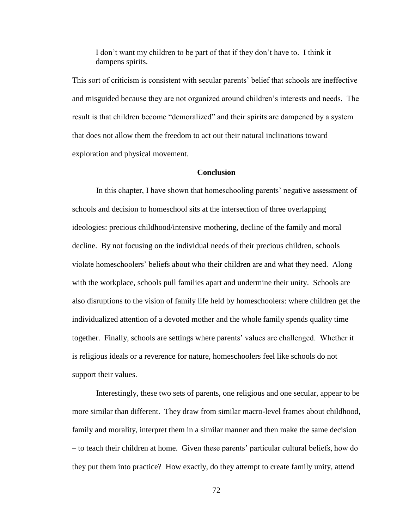I don"t want my children to be part of that if they don"t have to. I think it dampens spirits.

This sort of criticism is consistent with secular parents" belief that schools are ineffective and misguided because they are not organized around children"s interests and needs. The result is that children become "demoralized" and their spirits are dampened by a system that does not allow them the freedom to act out their natural inclinations toward exploration and physical movement.

# **Conclusion**

In this chapter, I have shown that homeschooling parents' negative assessment of schools and decision to homeschool sits at the intersection of three overlapping ideologies: precious childhood/intensive mothering, decline of the family and moral decline. By not focusing on the individual needs of their precious children, schools violate homeschoolers" beliefs about who their children are and what they need. Along with the workplace, schools pull families apart and undermine their unity. Schools are also disruptions to the vision of family life held by homeschoolers: where children get the individualized attention of a devoted mother and the whole family spends quality time together. Finally, schools are settings where parents" values are challenged. Whether it is religious ideals or a reverence for nature, homeschoolers feel like schools do not support their values.

Interestingly, these two sets of parents, one religious and one secular, appear to be more similar than different. They draw from similar macro-level frames about childhood, family and morality, interpret them in a similar manner and then make the same decision – to teach their children at home. Given these parents" particular cultural beliefs, how do they put them into practice? How exactly, do they attempt to create family unity, attend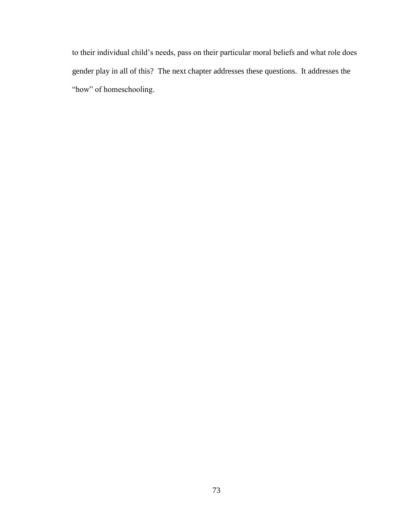to their individual child"s needs, pass on their particular moral beliefs and what role does gender play in all of this? The next chapter addresses these questions. It addresses the "how" of homeschooling.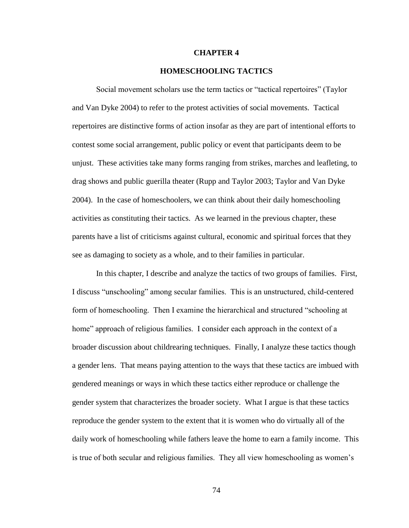#### **CHAPTER 4**

#### **HOMESCHOOLING TACTICS**

Social movement scholars use the term tactics or "tactical repertoires" (Taylor and Van Dyke 2004) to refer to the protest activities of social movements. Tactical repertoires are distinctive forms of action insofar as they are part of intentional efforts to contest some social arrangement, public policy or event that participants deem to be unjust. These activities take many forms ranging from strikes, marches and leafleting, to drag shows and public guerilla theater (Rupp and Taylor 2003; Taylor and Van Dyke 2004). In the case of homeschoolers, we can think about their daily homeschooling activities as constituting their tactics. As we learned in the previous chapter, these parents have a list of criticisms against cultural, economic and spiritual forces that they see as damaging to society as a whole, and to their families in particular.

In this chapter, I describe and analyze the tactics of two groups of families. First, I discuss "unschooling" among secular families. This is an unstructured, child-centered form of homeschooling. Then I examine the hierarchical and structured "schooling at home" approach of religious families. I consider each approach in the context of a broader discussion about childrearing techniques. Finally, I analyze these tactics though a gender lens. That means paying attention to the ways that these tactics are imbued with gendered meanings or ways in which these tactics either reproduce or challenge the gender system that characterizes the broader society. What I argue is that these tactics reproduce the gender system to the extent that it is women who do virtually all of the daily work of homeschooling while fathers leave the home to earn a family income. This is true of both secular and religious families. They all view homeschooling as women"s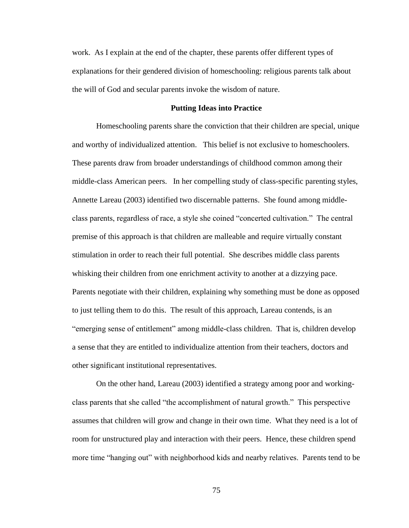work. As I explain at the end of the chapter, these parents offer different types of explanations for their gendered division of homeschooling: religious parents talk about the will of God and secular parents invoke the wisdom of nature.

### **Putting Ideas into Practice**

Homeschooling parents share the conviction that their children are special, unique and worthy of individualized attention. This belief is not exclusive to homeschoolers. These parents draw from broader understandings of childhood common among their middle-class American peers. In her compelling study of class-specific parenting styles, Annette Lareau (2003) identified two discernable patterns. She found among middleclass parents, regardless of race, a style she coined "concerted cultivation." The central premise of this approach is that children are malleable and require virtually constant stimulation in order to reach their full potential. She describes middle class parents whisking their children from one enrichment activity to another at a dizzying pace. Parents negotiate with their children, explaining why something must be done as opposed to just telling them to do this. The result of this approach, Lareau contends, is an "emerging sense of entitlement" among middle-class children. That is, children develop a sense that they are entitled to individualize attention from their teachers, doctors and other significant institutional representatives.

On the other hand, Lareau (2003) identified a strategy among poor and workingclass parents that she called "the accomplishment of natural growth." This perspective assumes that children will grow and change in their own time. What they need is a lot of room for unstructured play and interaction with their peers. Hence, these children spend more time "hanging out" with neighborhood kids and nearby relatives. Parents tend to be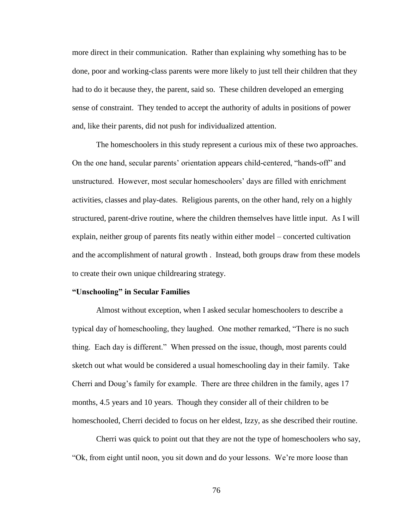more direct in their communication. Rather than explaining why something has to be done, poor and working-class parents were more likely to just tell their children that they had to do it because they, the parent, said so. These children developed an emerging sense of constraint. They tended to accept the authority of adults in positions of power and, like their parents, did not push for individualized attention.

The homeschoolers in this study represent a curious mix of these two approaches. On the one hand, secular parents" orientation appears child-centered, "hands-off" and unstructured. However, most secular homeschoolers" days are filled with enrichment activities, classes and play-dates. Religious parents, on the other hand, rely on a highly structured, parent-drive routine, where the children themselves have little input. As I will explain, neither group of parents fits neatly within either model – concerted cultivation and the accomplishment of natural growth . Instead, both groups draw from these models to create their own unique childrearing strategy.

### **"Unschooling" in Secular Families**

Almost without exception, when I asked secular homeschoolers to describe a typical day of homeschooling, they laughed. One mother remarked, "There is no such thing. Each day is different." When pressed on the issue, though, most parents could sketch out what would be considered a usual homeschooling day in their family. Take Cherri and Doug"s family for example. There are three children in the family, ages 17 months, 4.5 years and 10 years. Though they consider all of their children to be homeschooled, Cherri decided to focus on her eldest, Izzy, as she described their routine.

Cherri was quick to point out that they are not the type of homeschoolers who say, "Ok, from eight until noon, you sit down and do your lessons. We"re more loose than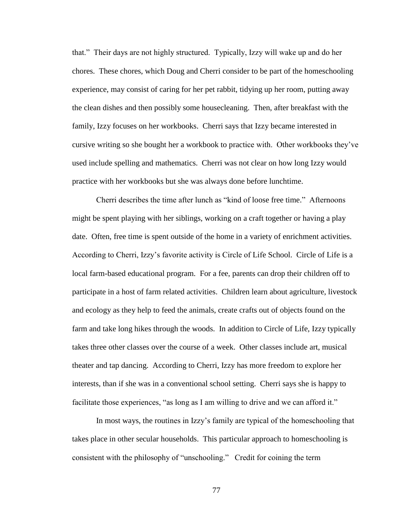that." Their days are not highly structured. Typically, Izzy will wake up and do her chores. These chores, which Doug and Cherri consider to be part of the homeschooling experience, may consist of caring for her pet rabbit, tidying up her room, putting away the clean dishes and then possibly some housecleaning. Then, after breakfast with the family, Izzy focuses on her workbooks. Cherri says that Izzy became interested in cursive writing so she bought her a workbook to practice with. Other workbooks they"ve used include spelling and mathematics. Cherri was not clear on how long Izzy would practice with her workbooks but she was always done before lunchtime.

Cherri describes the time after lunch as "kind of loose free time." Afternoons might be spent playing with her siblings, working on a craft together or having a play date. Often, free time is spent outside of the home in a variety of enrichment activities. According to Cherri, Izzy"s favorite activity is Circle of Life School. Circle of Life is a local farm-based educational program. For a fee, parents can drop their children off to participate in a host of farm related activities. Children learn about agriculture, livestock and ecology as they help to feed the animals, create crafts out of objects found on the farm and take long hikes through the woods. In addition to Circle of Life, Izzy typically takes three other classes over the course of a week. Other classes include art, musical theater and tap dancing. According to Cherri, Izzy has more freedom to explore her interests, than if she was in a conventional school setting. Cherri says she is happy to facilitate those experiences, "as long as I am willing to drive and we can afford it."

In most ways, the routines in Izzy"s family are typical of the homeschooling that takes place in other secular households. This particular approach to homeschooling is consistent with the philosophy of "unschooling." Credit for coining the term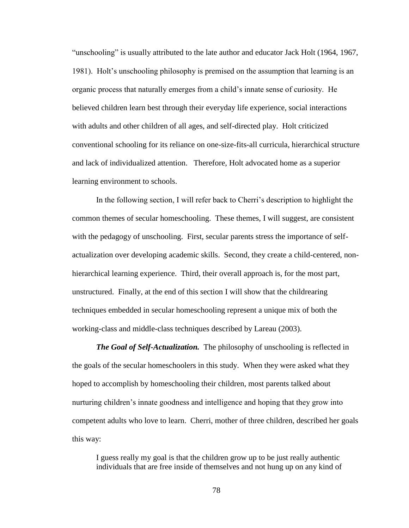"unschooling" is usually attributed to the late author and educator Jack Holt (1964, 1967, 1981). Holt's unschooling philosophy is premised on the assumption that learning is an organic process that naturally emerges from a child"s innate sense of curiosity. He believed children learn best through their everyday life experience, social interactions with adults and other children of all ages, and self-directed play. Holt criticized conventional schooling for its reliance on one-size-fits-all curricula, hierarchical structure and lack of individualized attention. Therefore, Holt advocated home as a superior learning environment to schools.

In the following section, I will refer back to Cherri's description to highlight the common themes of secular homeschooling. These themes, I will suggest, are consistent with the pedagogy of unschooling. First, secular parents stress the importance of selfactualization over developing academic skills. Second, they create a child-centered, nonhierarchical learning experience. Third, their overall approach is, for the most part, unstructured. Finally, at the end of this section I will show that the childrearing techniques embedded in secular homeschooling represent a unique mix of both the working-class and middle-class techniques described by Lareau (2003).

*The Goal of Self-Actualization.* The philosophy of unschooling is reflected in the goals of the secular homeschoolers in this study. When they were asked what they hoped to accomplish by homeschooling their children, most parents talked about nurturing children"s innate goodness and intelligence and hoping that they grow into competent adults who love to learn. Cherri, mother of three children, described her goals this way:

I guess really my goal is that the children grow up to be just really authentic individuals that are free inside of themselves and not hung up on any kind of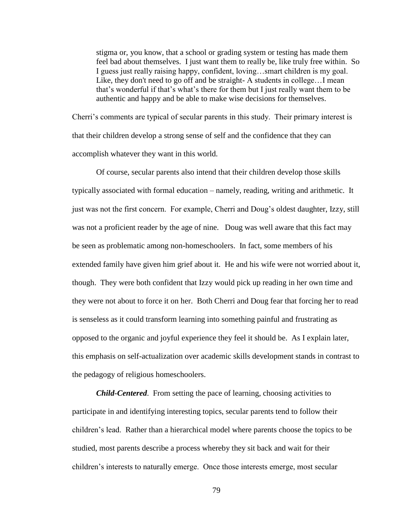stigma or, you know, that a school or grading system or testing has made them feel bad about themselves. I just want them to really be, like truly free within. So I guess just really raising happy, confident, loving…smart children is my goal. Like, they don't need to go off and be straight- A students in college…I mean that"s wonderful if that"s what"s there for them but I just really want them to be authentic and happy and be able to make wise decisions for themselves.

Cherri"s comments are typical of secular parents in this study. Their primary interest is that their children develop a strong sense of self and the confidence that they can accomplish whatever they want in this world.

Of course, secular parents also intend that their children develop those skills typically associated with formal education – namely, reading, writing and arithmetic. It just was not the first concern. For example, Cherri and Doug's oldest daughter, Izzy, still was not a proficient reader by the age of nine. Doug was well aware that this fact may be seen as problematic among non-homeschoolers. In fact, some members of his extended family have given him grief about it. He and his wife were not worried about it, though. They were both confident that Izzy would pick up reading in her own time and they were not about to force it on her. Both Cherri and Doug fear that forcing her to read is senseless as it could transform learning into something painful and frustrating as opposed to the organic and joyful experience they feel it should be. As I explain later, this emphasis on self-actualization over academic skills development stands in contrast to the pedagogy of religious homeschoolers.

*Child-Centered*. From setting the pace of learning, choosing activities to participate in and identifying interesting topics, secular parents tend to follow their children"s lead. Rather than a hierarchical model where parents choose the topics to be studied, most parents describe a process whereby they sit back and wait for their children"s interests to naturally emerge. Once those interests emerge, most secular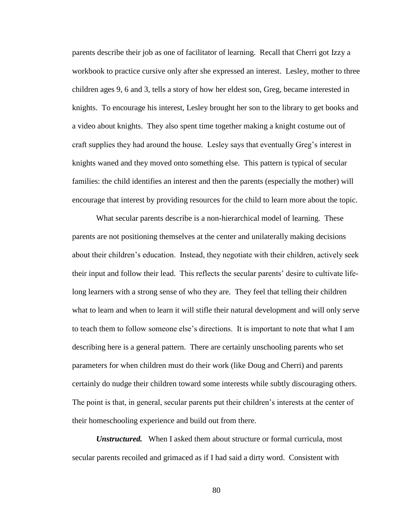parents describe their job as one of facilitator of learning. Recall that Cherri got Izzy a workbook to practice cursive only after she expressed an interest. Lesley, mother to three children ages 9, 6 and 3, tells a story of how her eldest son, Greg, became interested in knights. To encourage his interest, Lesley brought her son to the library to get books and a video about knights. They also spent time together making a knight costume out of craft supplies they had around the house. Lesley says that eventually Greg"s interest in knights waned and they moved onto something else. This pattern is typical of secular families: the child identifies an interest and then the parents (especially the mother) will encourage that interest by providing resources for the child to learn more about the topic.

What secular parents describe is a non-hierarchical model of learning. These parents are not positioning themselves at the center and unilaterally making decisions about their children"s education. Instead, they negotiate with their children, actively seek their input and follow their lead. This reflects the secular parents" desire to cultivate lifelong learners with a strong sense of who they are. They feel that telling their children what to learn and when to learn it will stifle their natural development and will only serve to teach them to follow someone else"s directions. It is important to note that what I am describing here is a general pattern. There are certainly unschooling parents who set parameters for when children must do their work (like Doug and Cherri) and parents certainly do nudge their children toward some interests while subtly discouraging others. The point is that, in general, secular parents put their children"s interests at the center of their homeschooling experience and build out from there.

*Unstructured.* When I asked them about structure or formal curricula, most secular parents recoiled and grimaced as if I had said a dirty word. Consistent with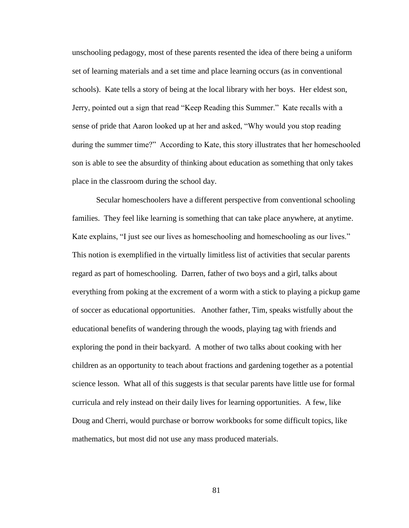unschooling pedagogy, most of these parents resented the idea of there being a uniform set of learning materials and a set time and place learning occurs (as in conventional schools). Kate tells a story of being at the local library with her boys. Her eldest son, Jerry, pointed out a sign that read "Keep Reading this Summer." Kate recalls with a sense of pride that Aaron looked up at her and asked, "Why would you stop reading during the summer time?" According to Kate, this story illustrates that her homeschooled son is able to see the absurdity of thinking about education as something that only takes place in the classroom during the school day.

Secular homeschoolers have a different perspective from conventional schooling families. They feel like learning is something that can take place anywhere, at anytime. Kate explains, "I just see our lives as homeschooling and homeschooling as our lives." This notion is exemplified in the virtually limitless list of activities that secular parents regard as part of homeschooling. Darren, father of two boys and a girl, talks about everything from poking at the excrement of a worm with a stick to playing a pickup game of soccer as educational opportunities. Another father, Tim, speaks wistfully about the educational benefits of wandering through the woods, playing tag with friends and exploring the pond in their backyard. A mother of two talks about cooking with her children as an opportunity to teach about fractions and gardening together as a potential science lesson. What all of this suggests is that secular parents have little use for formal curricula and rely instead on their daily lives for learning opportunities. A few, like Doug and Cherri, would purchase or borrow workbooks for some difficult topics, like mathematics, but most did not use any mass produced materials.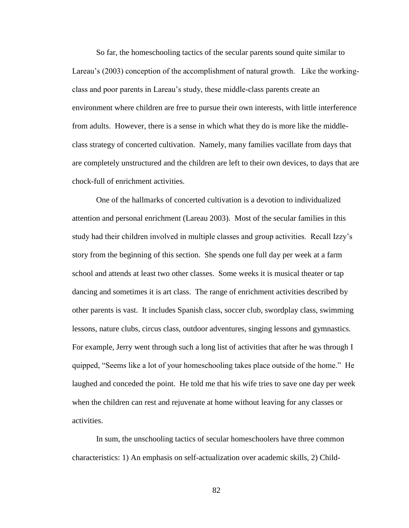So far, the homeschooling tactics of the secular parents sound quite similar to Lareau's (2003) conception of the accomplishment of natural growth. Like the workingclass and poor parents in Lareau"s study, these middle-class parents create an environment where children are free to pursue their own interests, with little interference from adults. However, there is a sense in which what they do is more like the middleclass strategy of concerted cultivation. Namely, many families vacillate from days that are completely unstructured and the children are left to their own devices, to days that are chock-full of enrichment activities.

One of the hallmarks of concerted cultivation is a devotion to individualized attention and personal enrichment (Lareau 2003). Most of the secular families in this study had their children involved in multiple classes and group activities. Recall Izzy"s story from the beginning of this section. She spends one full day per week at a farm school and attends at least two other classes. Some weeks it is musical theater or tap dancing and sometimes it is art class. The range of enrichment activities described by other parents is vast. It includes Spanish class, soccer club, swordplay class, swimming lessons, nature clubs, circus class, outdoor adventures, singing lessons and gymnastics. For example, Jerry went through such a long list of activities that after he was through I quipped, "Seems like a lot of your homeschooling takes place outside of the home." He laughed and conceded the point. He told me that his wife tries to save one day per week when the children can rest and rejuvenate at home without leaving for any classes or activities.

In sum, the unschooling tactics of secular homeschoolers have three common characteristics: 1) An emphasis on self-actualization over academic skills, 2) Child-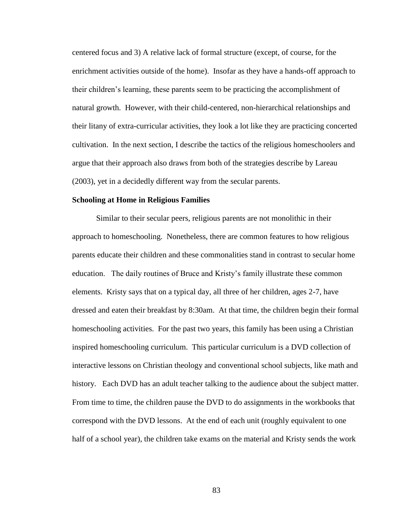centered focus and 3) A relative lack of formal structure (except, of course, for the enrichment activities outside of the home). Insofar as they have a hands-off approach to their children"s learning, these parents seem to be practicing the accomplishment of natural growth. However, with their child-centered, non-hierarchical relationships and their litany of extra-curricular activities, they look a lot like they are practicing concerted cultivation. In the next section, I describe the tactics of the religious homeschoolers and argue that their approach also draws from both of the strategies describe by Lareau (2003), yet in a decidedly different way from the secular parents.

#### **Schooling at Home in Religious Families**

Similar to their secular peers, religious parents are not monolithic in their approach to homeschooling. Nonetheless, there are common features to how religious parents educate their children and these commonalities stand in contrast to secular home education. The daily routines of Bruce and Kristy"s family illustrate these common elements. Kristy says that on a typical day, all three of her children, ages 2-7, have dressed and eaten their breakfast by 8:30am. At that time, the children begin their formal homeschooling activities. For the past two years, this family has been using a Christian inspired homeschooling curriculum. This particular curriculum is a DVD collection of interactive lessons on Christian theology and conventional school subjects, like math and history. Each DVD has an adult teacher talking to the audience about the subject matter. From time to time, the children pause the DVD to do assignments in the workbooks that correspond with the DVD lessons. At the end of each unit (roughly equivalent to one half of a school year), the children take exams on the material and Kristy sends the work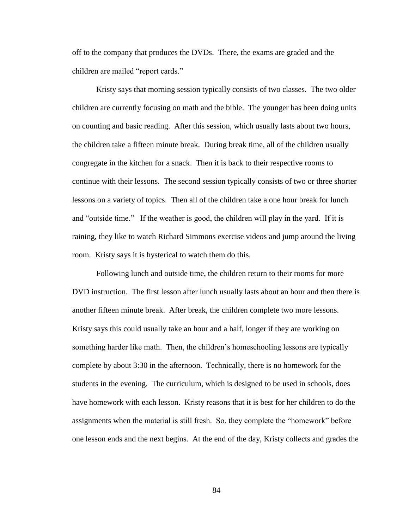off to the company that produces the DVDs. There, the exams are graded and the children are mailed "report cards."

Kristy says that morning session typically consists of two classes. The two older children are currently focusing on math and the bible. The younger has been doing units on counting and basic reading. After this session, which usually lasts about two hours, the children take a fifteen minute break. During break time, all of the children usually congregate in the kitchen for a snack. Then it is back to their respective rooms to continue with their lessons. The second session typically consists of two or three shorter lessons on a variety of topics. Then all of the children take a one hour break for lunch and "outside time." If the weather is good, the children will play in the yard. If it is raining, they like to watch Richard Simmons exercise videos and jump around the living room. Kristy says it is hysterical to watch them do this.

Following lunch and outside time, the children return to their rooms for more DVD instruction. The first lesson after lunch usually lasts about an hour and then there is another fifteen minute break. After break, the children complete two more lessons. Kristy says this could usually take an hour and a half, longer if they are working on something harder like math. Then, the children"s homeschooling lessons are typically complete by about 3:30 in the afternoon. Technically, there is no homework for the students in the evening. The curriculum, which is designed to be used in schools, does have homework with each lesson. Kristy reasons that it is best for her children to do the assignments when the material is still fresh. So, they complete the "homework" before one lesson ends and the next begins. At the end of the day, Kristy collects and grades the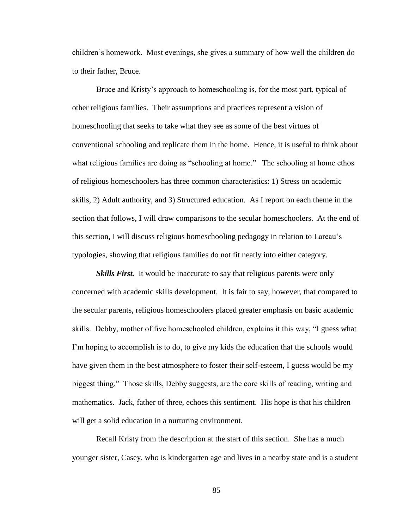children"s homework. Most evenings, she gives a summary of how well the children do to their father, Bruce.

Bruce and Kristy"s approach to homeschooling is, for the most part, typical of other religious families. Their assumptions and practices represent a vision of homeschooling that seeks to take what they see as some of the best virtues of conventional schooling and replicate them in the home. Hence, it is useful to think about what religious families are doing as "schooling at home." The schooling at home ethos of religious homeschoolers has three common characteristics: 1) Stress on academic skills, 2) Adult authority, and 3) Structured education. As I report on each theme in the section that follows, I will draw comparisons to the secular homeschoolers. At the end of this section, I will discuss religious homeschooling pedagogy in relation to Lareau"s typologies, showing that religious families do not fit neatly into either category.

*Skills First.* It would be inaccurate to say that religious parents were only concerned with academic skills development. It is fair to say, however, that compared to the secular parents, religious homeschoolers placed greater emphasis on basic academic skills. Debby, mother of five homeschooled children, explains it this way, "I guess what I'm hoping to accomplish is to do, to give my kids the education that the schools would have given them in the best atmosphere to foster their self-esteem, I guess would be my biggest thing." Those skills, Debby suggests, are the core skills of reading, writing and mathematics. Jack, father of three, echoes this sentiment. His hope is that his children will get a solid education in a nurturing environment.

Recall Kristy from the description at the start of this section. She has a much younger sister, Casey, who is kindergarten age and lives in a nearby state and is a student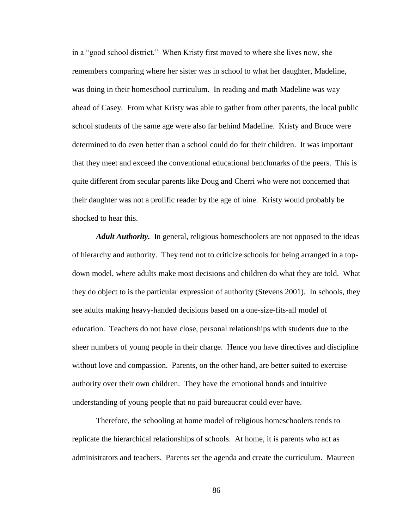in a "good school district." When Kristy first moved to where she lives now, she remembers comparing where her sister was in school to what her daughter, Madeline, was doing in their homeschool curriculum. In reading and math Madeline was way ahead of Casey. From what Kristy was able to gather from other parents, the local public school students of the same age were also far behind Madeline. Kristy and Bruce were determined to do even better than a school could do for their children. It was important that they meet and exceed the conventional educational benchmarks of the peers. This is quite different from secular parents like Doug and Cherri who were not concerned that their daughter was not a prolific reader by the age of nine. Kristy would probably be shocked to hear this.

*Adult Authority.* In general, religious homeschoolers are not opposed to the ideas of hierarchy and authority. They tend not to criticize schools for being arranged in a topdown model, where adults make most decisions and children do what they are told. What they do object to is the particular expression of authority (Stevens 2001). In schools, they see adults making heavy-handed decisions based on a one-size-fits-all model of education. Teachers do not have close, personal relationships with students due to the sheer numbers of young people in their charge. Hence you have directives and discipline without love and compassion. Parents, on the other hand, are better suited to exercise authority over their own children. They have the emotional bonds and intuitive understanding of young people that no paid bureaucrat could ever have.

Therefore, the schooling at home model of religious homeschoolers tends to replicate the hierarchical relationships of schools. At home, it is parents who act as administrators and teachers. Parents set the agenda and create the curriculum. Maureen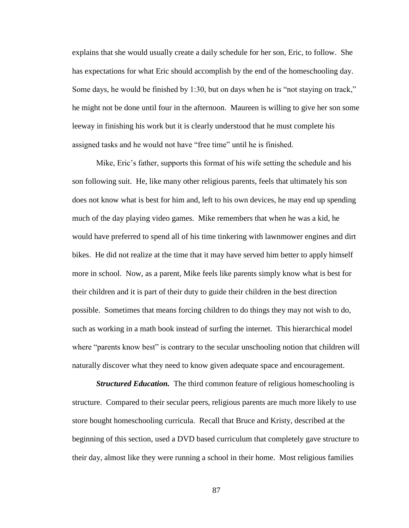explains that she would usually create a daily schedule for her son, Eric, to follow. She has expectations for what Eric should accomplish by the end of the homeschooling day. Some days, he would be finished by 1:30, but on days when he is "not staying on track," he might not be done until four in the afternoon. Maureen is willing to give her son some leeway in finishing his work but it is clearly understood that he must complete his assigned tasks and he would not have "free time" until he is finished.

Mike, Eric's father, supports this format of his wife setting the schedule and his son following suit. He, like many other religious parents, feels that ultimately his son does not know what is best for him and, left to his own devices, he may end up spending much of the day playing video games. Mike remembers that when he was a kid, he would have preferred to spend all of his time tinkering with lawnmower engines and dirt bikes. He did not realize at the time that it may have served him better to apply himself more in school. Now, as a parent, Mike feels like parents simply know what is best for their children and it is part of their duty to guide their children in the best direction possible. Sometimes that means forcing children to do things they may not wish to do, such as working in a math book instead of surfing the internet. This hierarchical model where "parents know best" is contrary to the secular unschooling notion that children will naturally discover what they need to know given adequate space and encouragement.

*Structured Education.* The third common feature of religious homeschooling is structure. Compared to their secular peers, religious parents are much more likely to use store bought homeschooling curricula. Recall that Bruce and Kristy, described at the beginning of this section, used a DVD based curriculum that completely gave structure to their day, almost like they were running a school in their home. Most religious families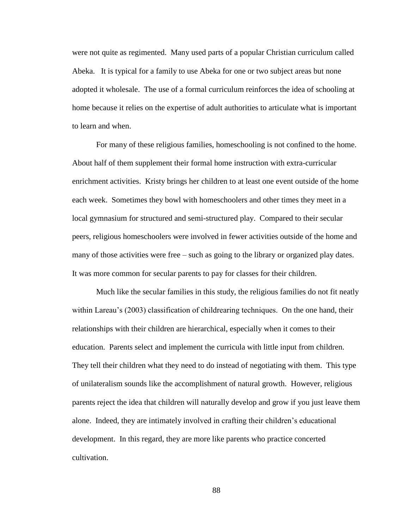were not quite as regimented. Many used parts of a popular Christian curriculum called Abeka. It is typical for a family to use Abeka for one or two subject areas but none adopted it wholesale. The use of a formal curriculum reinforces the idea of schooling at home because it relies on the expertise of adult authorities to articulate what is important to learn and when.

For many of these religious families, homeschooling is not confined to the home. About half of them supplement their formal home instruction with extra-curricular enrichment activities. Kristy brings her children to at least one event outside of the home each week. Sometimes they bowl with homeschoolers and other times they meet in a local gymnasium for structured and semi-structured play. Compared to their secular peers, religious homeschoolers were involved in fewer activities outside of the home and many of those activities were free – such as going to the library or organized play dates. It was more common for secular parents to pay for classes for their children.

Much like the secular families in this study, the religious families do not fit neatly within Lareau's (2003) classification of childrearing techniques. On the one hand, their relationships with their children are hierarchical, especially when it comes to their education. Parents select and implement the curricula with little input from children. They tell their children what they need to do instead of negotiating with them. This type of unilateralism sounds like the accomplishment of natural growth. However, religious parents reject the idea that children will naturally develop and grow if you just leave them alone. Indeed, they are intimately involved in crafting their children's educational development. In this regard, they are more like parents who practice concerted cultivation.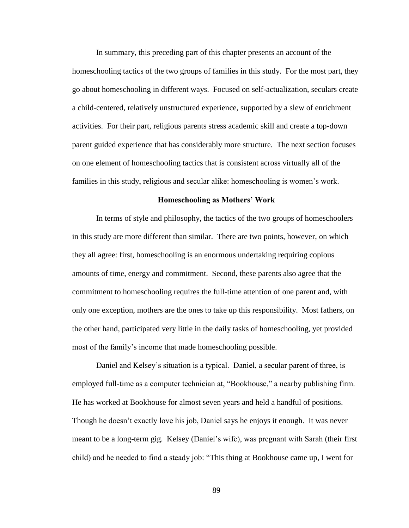In summary, this preceding part of this chapter presents an account of the homeschooling tactics of the two groups of families in this study. For the most part, they go about homeschooling in different ways. Focused on self-actualization, seculars create a child-centered, relatively unstructured experience, supported by a slew of enrichment activities. For their part, religious parents stress academic skill and create a top-down parent guided experience that has considerably more structure. The next section focuses on one element of homeschooling tactics that is consistent across virtually all of the families in this study, religious and secular alike: homeschooling is women"s work.

### **Homeschooling as Mothers' Work**

In terms of style and philosophy, the tactics of the two groups of homeschoolers in this study are more different than similar. There are two points, however, on which they all agree: first, homeschooling is an enormous undertaking requiring copious amounts of time, energy and commitment. Second, these parents also agree that the commitment to homeschooling requires the full-time attention of one parent and, with only one exception, mothers are the ones to take up this responsibility. Most fathers, on the other hand, participated very little in the daily tasks of homeschooling, yet provided most of the family"s income that made homeschooling possible.

Daniel and Kelsey's situation is a typical. Daniel, a secular parent of three, is employed full-time as a computer technician at, "Bookhouse," a nearby publishing firm. He has worked at Bookhouse for almost seven years and held a handful of positions. Though he doesn"t exactly love his job, Daniel says he enjoys it enough. It was never meant to be a long-term gig. Kelsey (Daniel"s wife), was pregnant with Sarah (their first child) and he needed to find a steady job: "This thing at Bookhouse came up, I went for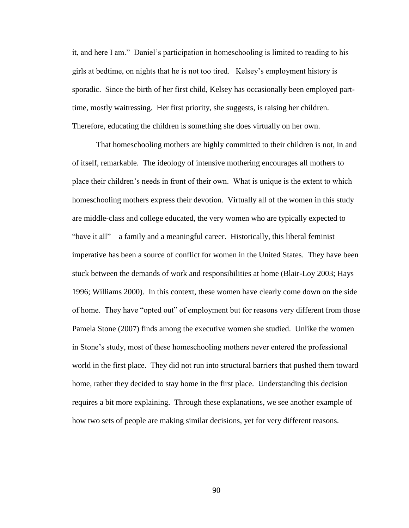it, and here I am." Daniel"s participation in homeschooling is limited to reading to his girls at bedtime, on nights that he is not too tired. Kelsey"s employment history is sporadic. Since the birth of her first child, Kelsey has occasionally been employed parttime, mostly waitressing. Her first priority, she suggests, is raising her children. Therefore, educating the children is something she does virtually on her own.

That homeschooling mothers are highly committed to their children is not, in and of itself, remarkable. The ideology of intensive mothering encourages all mothers to place their children"s needs in front of their own. What is unique is the extent to which homeschooling mothers express their devotion. Virtually all of the women in this study are middle-class and college educated, the very women who are typically expected to "have it all" – a family and a meaningful career. Historically, this liberal feminist imperative has been a source of conflict for women in the United States. They have been stuck between the demands of work and responsibilities at home (Blair-Loy 2003; Hays 1996; Williams 2000). In this context, these women have clearly come down on the side of home. They have "opted out" of employment but for reasons very different from those Pamela Stone (2007) finds among the executive women she studied. Unlike the women in Stone"s study, most of these homeschooling mothers never entered the professional world in the first place. They did not run into structural barriers that pushed them toward home, rather they decided to stay home in the first place. Understanding this decision requires a bit more explaining. Through these explanations, we see another example of how two sets of people are making similar decisions, yet for very different reasons.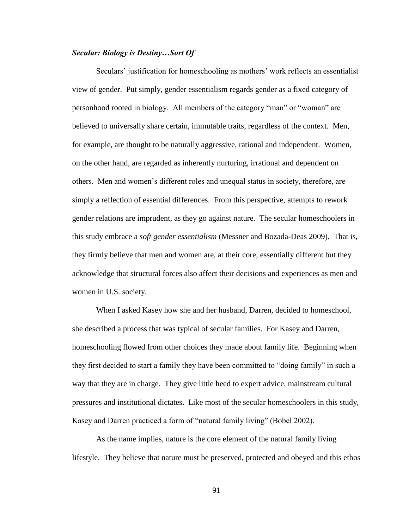## *Secular: Biology is Destiny…Sort Of*

Seculars' justification for homeschooling as mothers' work reflects an essentialist view of gender. Put simply, gender essentialism regards gender as a fixed category of personhood rooted in biology. All members of the category "man" or "woman" are believed to universally share certain, immutable traits, regardless of the context. Men, for example, are thought to be naturally aggressive, rational and independent. Women, on the other hand, are regarded as inherently nurturing, irrational and dependent on others. Men and women"s different roles and unequal status in society, therefore, are simply a reflection of essential differences. From this perspective, attempts to rework gender relations are imprudent, as they go against nature. The secular homeschoolers in this study embrace a *soft gender essentialism* (Messner and Bozada-Deas 2009). That is, they firmly believe that men and women are, at their core, essentially different but they acknowledge that structural forces also affect their decisions and experiences as men and women in U.S. society.

When I asked Kasey how she and her husband, Darren, decided to homeschool, she described a process that was typical of secular families. For Kasey and Darren, homeschooling flowed from other choices they made about family life. Beginning when they first decided to start a family they have been committed to "doing family" in such a way that they are in charge. They give little heed to expert advice, mainstream cultural pressures and institutional dictates. Like most of the secular homeschoolers in this study, Kasey and Darren practiced a form of "natural family living" (Bobel 2002).

As the name implies, nature is the core element of the natural family living lifestyle. They believe that nature must be preserved, protected and obeyed and this ethos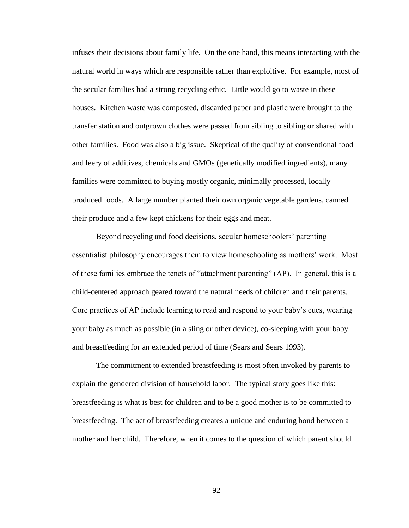infuses their decisions about family life. On the one hand, this means interacting with the natural world in ways which are responsible rather than exploitive. For example, most of the secular families had a strong recycling ethic. Little would go to waste in these houses. Kitchen waste was composted, discarded paper and plastic were brought to the transfer station and outgrown clothes were passed from sibling to sibling or shared with other families. Food was also a big issue. Skeptical of the quality of conventional food and leery of additives, chemicals and GMOs (genetically modified ingredients), many families were committed to buying mostly organic, minimally processed, locally produced foods. A large number planted their own organic vegetable gardens, canned their produce and a few kept chickens for their eggs and meat.

Beyond recycling and food decisions, secular homeschoolers' parenting essentialist philosophy encourages them to view homeschooling as mothers" work. Most of these families embrace the tenets of "attachment parenting" (AP). In general, this is a child-centered approach geared toward the natural needs of children and their parents. Core practices of AP include learning to read and respond to your baby"s cues, wearing your baby as much as possible (in a sling or other device), co-sleeping with your baby and breastfeeding for an extended period of time (Sears and Sears 1993).

The commitment to extended breastfeeding is most often invoked by parents to explain the gendered division of household labor. The typical story goes like this: breastfeeding is what is best for children and to be a good mother is to be committed to breastfeeding. The act of breastfeeding creates a unique and enduring bond between a mother and her child. Therefore, when it comes to the question of which parent should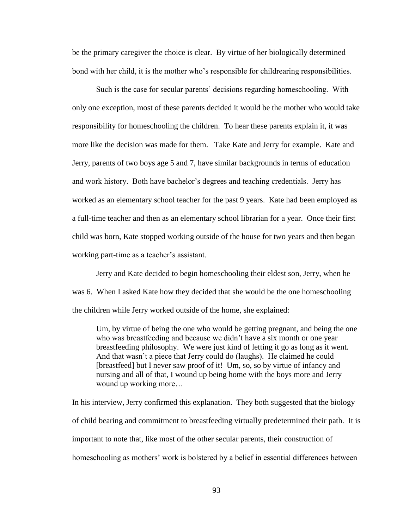be the primary caregiver the choice is clear. By virtue of her biologically determined bond with her child, it is the mother who"s responsible for childrearing responsibilities.

Such is the case for secular parents" decisions regarding homeschooling. With only one exception, most of these parents decided it would be the mother who would take responsibility for homeschooling the children. To hear these parents explain it, it was more like the decision was made for them. Take Kate and Jerry for example. Kate and Jerry, parents of two boys age 5 and 7, have similar backgrounds in terms of education and work history. Both have bachelor"s degrees and teaching credentials. Jerry has worked as an elementary school teacher for the past 9 years. Kate had been employed as a full-time teacher and then as an elementary school librarian for a year. Once their first child was born, Kate stopped working outside of the house for two years and then began working part-time as a teacher's assistant.

Jerry and Kate decided to begin homeschooling their eldest son, Jerry, when he was 6. When I asked Kate how they decided that she would be the one homeschooling the children while Jerry worked outside of the home, she explained:

Um, by virtue of being the one who would be getting pregnant, and being the one who was breastfeeding and because we didn"t have a six month or one year breastfeeding philosophy. We were just kind of letting it go as long as it went. And that wasn"t a piece that Jerry could do (laughs). He claimed he could [breastfeed] but I never saw proof of it! Um, so, so by virtue of infancy and nursing and all of that, I wound up being home with the boys more and Jerry wound up working more…

In his interview, Jerry confirmed this explanation. They both suggested that the biology of child bearing and commitment to breastfeeding virtually predetermined their path. It is important to note that, like most of the other secular parents, their construction of homeschooling as mothers' work is bolstered by a belief in essential differences between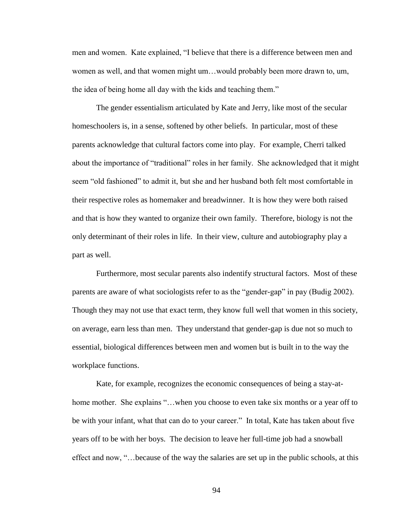men and women. Kate explained, "I believe that there is a difference between men and women as well, and that women might um…would probably been more drawn to, um, the idea of being home all day with the kids and teaching them."

The gender essentialism articulated by Kate and Jerry, like most of the secular homeschoolers is, in a sense, softened by other beliefs. In particular, most of these parents acknowledge that cultural factors come into play. For example, Cherri talked about the importance of "traditional" roles in her family. She acknowledged that it might seem "old fashioned" to admit it, but she and her husband both felt most comfortable in their respective roles as homemaker and breadwinner. It is how they were both raised and that is how they wanted to organize their own family. Therefore, biology is not the only determinant of their roles in life. In their view, culture and autobiography play a part as well.

Furthermore, most secular parents also indentify structural factors. Most of these parents are aware of what sociologists refer to as the "gender-gap" in pay (Budig 2002). Though they may not use that exact term, they know full well that women in this society, on average, earn less than men. They understand that gender-gap is due not so much to essential, biological differences between men and women but is built in to the way the workplace functions.

Kate, for example, recognizes the economic consequences of being a stay-athome mother. She explains "...when you choose to even take six months or a year off to be with your infant, what that can do to your career." In total, Kate has taken about five years off to be with her boys. The decision to leave her full-time job had a snowball effect and now, "…because of the way the salaries are set up in the public schools, at this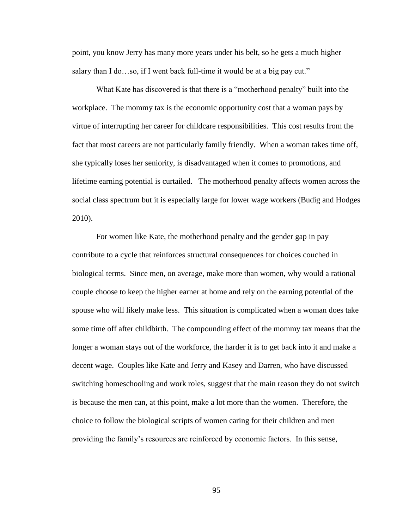point, you know Jerry has many more years under his belt, so he gets a much higher salary than I do...so, if I went back full-time it would be at a big pay cut."

What Kate has discovered is that there is a "motherhood penalty" built into the workplace. The mommy tax is the economic opportunity cost that a woman pays by virtue of interrupting her career for childcare responsibilities. This cost results from the fact that most careers are not particularly family friendly. When a woman takes time off, she typically loses her seniority, is disadvantaged when it comes to promotions, and lifetime earning potential is curtailed. The motherhood penalty affects women across the social class spectrum but it is especially large for lower wage workers (Budig and Hodges 2010).

For women like Kate, the motherhood penalty and the gender gap in pay contribute to a cycle that reinforces structural consequences for choices couched in biological terms. Since men, on average, make more than women, why would a rational couple choose to keep the higher earner at home and rely on the earning potential of the spouse who will likely make less. This situation is complicated when a woman does take some time off after childbirth. The compounding effect of the mommy tax means that the longer a woman stays out of the workforce, the harder it is to get back into it and make a decent wage. Couples like Kate and Jerry and Kasey and Darren, who have discussed switching homeschooling and work roles, suggest that the main reason they do not switch is because the men can, at this point, make a lot more than the women. Therefore, the choice to follow the biological scripts of women caring for their children and men providing the family"s resources are reinforced by economic factors. In this sense,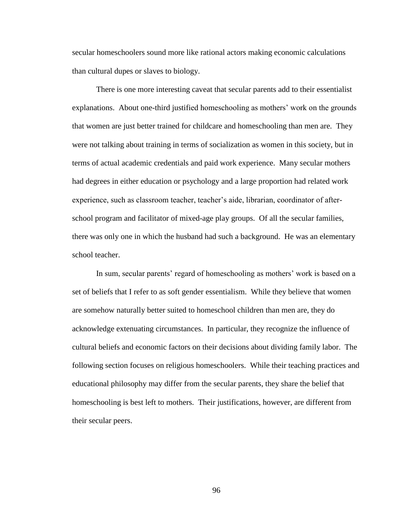secular homeschoolers sound more like rational actors making economic calculations than cultural dupes or slaves to biology.

There is one more interesting caveat that secular parents add to their essentialist explanations. About one-third justified homeschooling as mothers" work on the grounds that women are just better trained for childcare and homeschooling than men are. They were not talking about training in terms of socialization as women in this society, but in terms of actual academic credentials and paid work experience. Many secular mothers had degrees in either education or psychology and a large proportion had related work experience, such as classroom teacher, teacher's aide, librarian, coordinator of afterschool program and facilitator of mixed-age play groups. Of all the secular families, there was only one in which the husband had such a background. He was an elementary school teacher.

In sum, secular parents' regard of homeschooling as mothers' work is based on a set of beliefs that I refer to as soft gender essentialism. While they believe that women are somehow naturally better suited to homeschool children than men are, they do acknowledge extenuating circumstances. In particular, they recognize the influence of cultural beliefs and economic factors on their decisions about dividing family labor. The following section focuses on religious homeschoolers. While their teaching practices and educational philosophy may differ from the secular parents, they share the belief that homeschooling is best left to mothers. Their justifications, however, are different from their secular peers.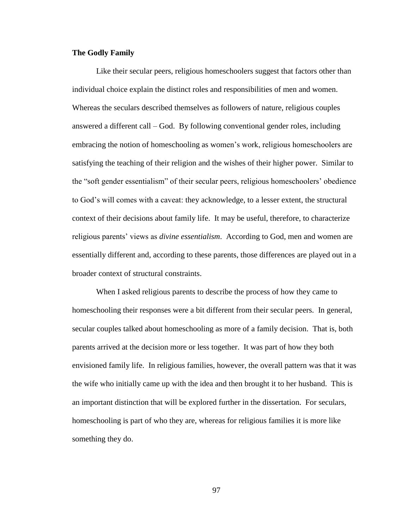# **The Godly Family**

Like their secular peers, religious homeschoolers suggest that factors other than individual choice explain the distinct roles and responsibilities of men and women. Whereas the seculars described themselves as followers of nature, religious couples answered a different call – God. By following conventional gender roles, including embracing the notion of homeschooling as women"s work, religious homeschoolers are satisfying the teaching of their religion and the wishes of their higher power. Similar to the "soft gender essentialism" of their secular peers, religious homeschoolers" obedience to God"s will comes with a caveat: they acknowledge, to a lesser extent, the structural context of their decisions about family life. It may be useful, therefore, to characterize religious parents' views as *divine essentialism*. According to God, men and women are essentially different and, according to these parents, those differences are played out in a broader context of structural constraints.

When I asked religious parents to describe the process of how they came to homeschooling their responses were a bit different from their secular peers. In general, secular couples talked about homeschooling as more of a family decision. That is, both parents arrived at the decision more or less together. It was part of how they both envisioned family life. In religious families, however, the overall pattern was that it was the wife who initially came up with the idea and then brought it to her husband. This is an important distinction that will be explored further in the dissertation. For seculars, homeschooling is part of who they are, whereas for religious families it is more like something they do.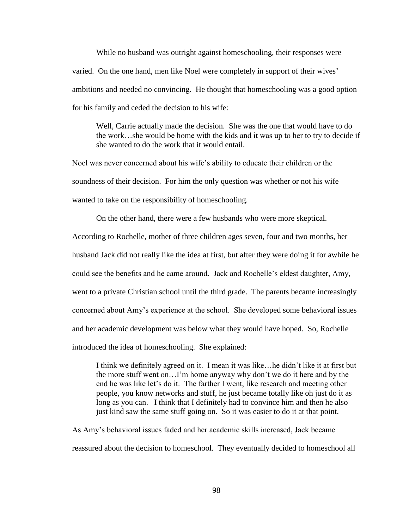While no husband was outright against homeschooling, their responses were varied. On the one hand, men like Noel were completely in support of their wives" ambitions and needed no convincing. He thought that homeschooling was a good option for his family and ceded the decision to his wife:

Well, Carrie actually made the decision. She was the one that would have to do the work…she would be home with the kids and it was up to her to try to decide if she wanted to do the work that it would entail.

Noel was never concerned about his wife"s ability to educate their children or the soundness of their decision. For him the only question was whether or not his wife wanted to take on the responsibility of homeschooling.

On the other hand, there were a few husbands who were more skeptical. According to Rochelle, mother of three children ages seven, four and two months, her husband Jack did not really like the idea at first, but after they were doing it for awhile he could see the benefits and he came around. Jack and Rochelle"s eldest daughter, Amy, went to a private Christian school until the third grade. The parents became increasingly concerned about Amy"s experience at the school. She developed some behavioral issues and her academic development was below what they would have hoped. So, Rochelle introduced the idea of homeschooling. She explained:

I think we definitely agreed on it. I mean it was like…he didn"t like it at first but the more stuff went on…I"m home anyway why don"t we do it here and by the end he was like let's do it. The farther I went, like research and meeting other people, you know networks and stuff, he just became totally like oh just do it as long as you can. I think that I definitely had to convince him and then he also just kind saw the same stuff going on. So it was easier to do it at that point.

As Amy"s behavioral issues faded and her academic skills increased, Jack became reassured about the decision to homeschool. They eventually decided to homeschool all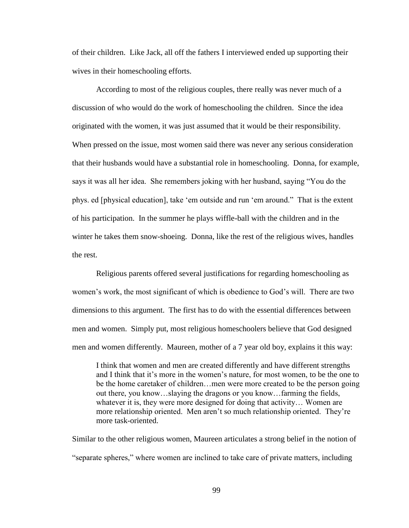of their children. Like Jack, all off the fathers I interviewed ended up supporting their wives in their homeschooling efforts.

According to most of the religious couples, there really was never much of a discussion of who would do the work of homeschooling the children. Since the idea originated with the women, it was just assumed that it would be their responsibility. When pressed on the issue, most women said there was never any serious consideration that their husbands would have a substantial role in homeschooling. Donna, for example, says it was all her idea. She remembers joking with her husband, saying "You do the phys. ed [physical education], take "em outside and run "em around." That is the extent of his participation. In the summer he plays wiffle-ball with the children and in the winter he takes them snow-shoeing. Donna, like the rest of the religious wives, handles the rest.

Religious parents offered several justifications for regarding homeschooling as women's work, the most significant of which is obedience to God's will. There are two dimensions to this argument. The first has to do with the essential differences between men and women. Simply put, most religious homeschoolers believe that God designed men and women differently. Maureen, mother of a 7 year old boy, explains it this way:

I think that women and men are created differently and have different strengths and I think that it"s more in the women"s nature, for most women, to be the one to be the home caretaker of children…men were more created to be the person going out there, you know…slaying the dragons or you know…farming the fields, whatever it is, they were more designed for doing that activity… Women are more relationship oriented. Men aren"t so much relationship oriented. They"re more task-oriented.

Similar to the other religious women, Maureen articulates a strong belief in the notion of "separate spheres," where women are inclined to take care of private matters, including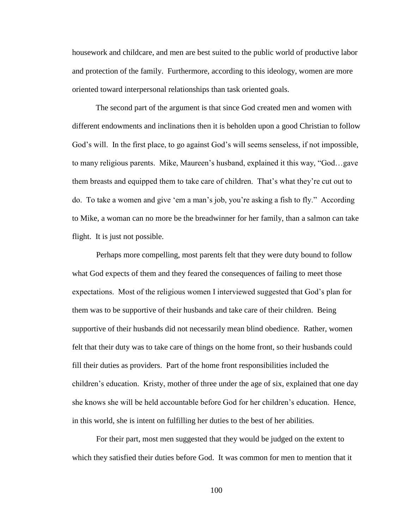housework and childcare, and men are best suited to the public world of productive labor and protection of the family. Furthermore, according to this ideology, women are more oriented toward interpersonal relationships than task oriented goals.

The second part of the argument is that since God created men and women with different endowments and inclinations then it is beholden upon a good Christian to follow God's will. In the first place, to go against God's will seems senseless, if not impossible, to many religious parents. Mike, Maureen"s husband, explained it this way, "God…gave them breasts and equipped them to take care of children. That"s what they"re cut out to do. To take a women and give "em a man"s job, you"re asking a fish to fly." According to Mike, a woman can no more be the breadwinner for her family, than a salmon can take flight. It is just not possible.

Perhaps more compelling, most parents felt that they were duty bound to follow what God expects of them and they feared the consequences of failing to meet those expectations. Most of the religious women I interviewed suggested that God"s plan for them was to be supportive of their husbands and take care of their children. Being supportive of their husbands did not necessarily mean blind obedience. Rather, women felt that their duty was to take care of things on the home front, so their husbands could fill their duties as providers. Part of the home front responsibilities included the children"s education. Kristy, mother of three under the age of six, explained that one day she knows she will be held accountable before God for her children"s education. Hence, in this world, she is intent on fulfilling her duties to the best of her abilities.

For their part, most men suggested that they would be judged on the extent to which they satisfied their duties before God. It was common for men to mention that it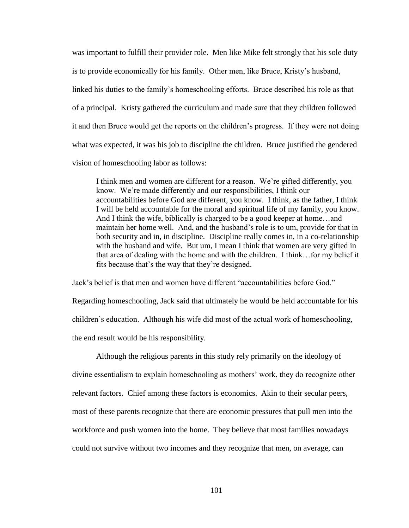was important to fulfill their provider role. Men like Mike felt strongly that his sole duty is to provide economically for his family. Other men, like Bruce, Kristy"s husband, linked his duties to the family"s homeschooling efforts. Bruce described his role as that of a principal. Kristy gathered the curriculum and made sure that they children followed it and then Bruce would get the reports on the children"s progress. If they were not doing what was expected, it was his job to discipline the children. Bruce justified the gendered vision of homeschooling labor as follows:

I think men and women are different for a reason. We"re gifted differently, you know. We"re made differently and our responsibilities, I think our accountabilities before God are different, you know. I think, as the father, I think I will be held accountable for the moral and spiritual life of my family, you know. And I think the wife, biblically is charged to be a good keeper at home…and maintain her home well. And, and the husband"s role is to um, provide for that in both security and in, in discipline. Discipline really comes in, in a co-relationship with the husband and wife. But um, I mean I think that women are very gifted in that area of dealing with the home and with the children. I think…for my belief it fits because that"s the way that they"re designed.

Jack"s belief is that men and women have different "accountabilities before God." Regarding homeschooling, Jack said that ultimately he would be held accountable for his children"s education. Although his wife did most of the actual work of homeschooling, the end result would be his responsibility.

Although the religious parents in this study rely primarily on the ideology of divine essentialism to explain homeschooling as mothers" work, they do recognize other relevant factors. Chief among these factors is economics. Akin to their secular peers, most of these parents recognize that there are economic pressures that pull men into the workforce and push women into the home. They believe that most families nowadays could not survive without two incomes and they recognize that men, on average, can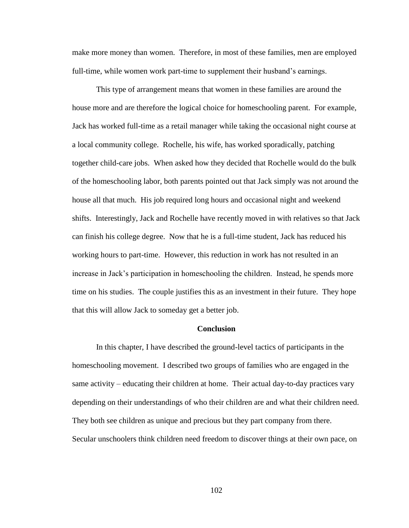make more money than women. Therefore, in most of these families, men are employed full-time, while women work part-time to supplement their husband's earnings.

This type of arrangement means that women in these families are around the house more and are therefore the logical choice for homeschooling parent. For example, Jack has worked full-time as a retail manager while taking the occasional night course at a local community college. Rochelle, his wife, has worked sporadically, patching together child-care jobs. When asked how they decided that Rochelle would do the bulk of the homeschooling labor, both parents pointed out that Jack simply was not around the house all that much. His job required long hours and occasional night and weekend shifts. Interestingly, Jack and Rochelle have recently moved in with relatives so that Jack can finish his college degree. Now that he is a full-time student, Jack has reduced his working hours to part-time. However, this reduction in work has not resulted in an increase in Jack"s participation in homeschooling the children. Instead, he spends more time on his studies. The couple justifies this as an investment in their future. They hope that this will allow Jack to someday get a better job.

# **Conclusion**

In this chapter, I have described the ground-level tactics of participants in the homeschooling movement. I described two groups of families who are engaged in the same activity – educating their children at home. Their actual day-to-day practices vary depending on their understandings of who their children are and what their children need. They both see children as unique and precious but they part company from there. Secular unschoolers think children need freedom to discover things at their own pace, on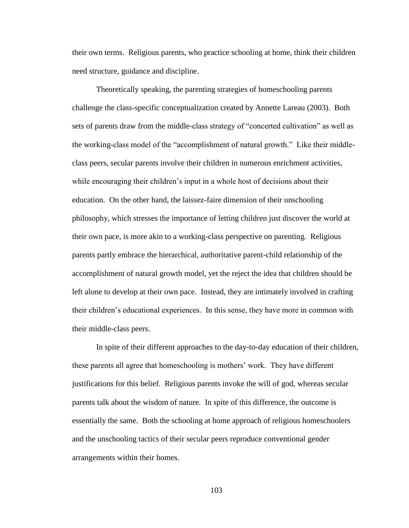their own terms. Religious parents, who practice schooling at home, think their children need structure, guidance and discipline.

Theoretically speaking, the parenting strategies of homeschooling parents challenge the class-specific conceptualization created by Annette Lareau (2003). Both sets of parents draw from the middle-class strategy of "concerted cultivation" as well as the working-class model of the "accomplishment of natural growth." Like their middleclass peers, secular parents involve their children in numerous enrichment activities, while encouraging their children's input in a whole host of decisions about their education. On the other hand, the laissez-faire dimension of their unschooling philosophy, which stresses the importance of letting children just discover the world at their own pace, is more akin to a working-class perspective on parenting. Religious parents partly embrace the hierarchical, authoritative parent-child relationship of the accomplishment of natural growth model, yet the reject the idea that children should be left alone to develop at their own pace. Instead, they are intimately involved in crafting their children"s educational experiences. In this sense, they have more in common with their middle-class peers.

In spite of their different approaches to the day-to-day education of their children, these parents all agree that homeschooling is mothers" work. They have different justifications for this belief. Religious parents invoke the will of god, whereas secular parents talk about the wisdom of nature. In spite of this difference, the outcome is essentially the same. Both the schooling at home approach of religious homeschoolers and the unschooling tactics of their secular peers reproduce conventional gender arrangements within their homes.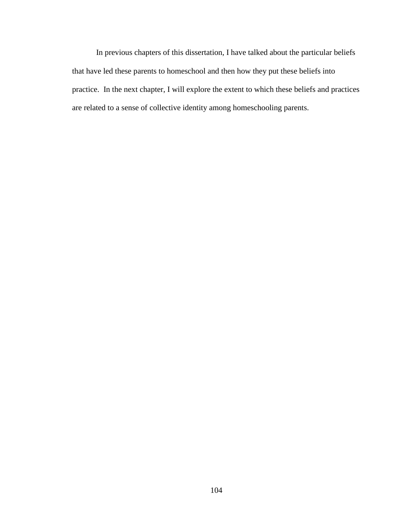In previous chapters of this dissertation, I have talked about the particular beliefs that have led these parents to homeschool and then how they put these beliefs into practice. In the next chapter, I will explore the extent to which these beliefs and practices are related to a sense of collective identity among homeschooling parents.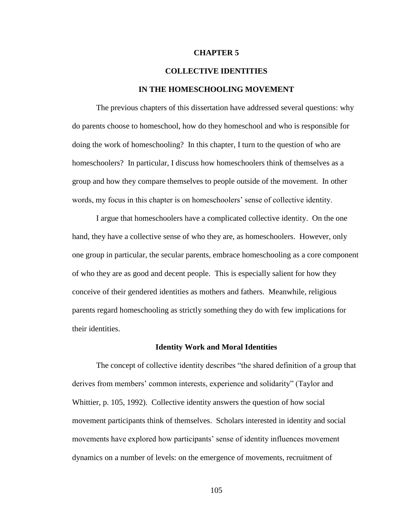### **CHAPTER 5**

## **COLLECTIVE IDENTITIES**

### **IN THE HOMESCHOOLING MOVEMENT**

The previous chapters of this dissertation have addressed several questions: why do parents choose to homeschool, how do they homeschool and who is responsible for doing the work of homeschooling? In this chapter, I turn to the question of who are homeschoolers? In particular, I discuss how homeschoolers think of themselves as a group and how they compare themselves to people outside of the movement. In other words, my focus in this chapter is on homeschoolers' sense of collective identity.

I argue that homeschoolers have a complicated collective identity. On the one hand, they have a collective sense of who they are, as homeschoolers. However, only one group in particular, the secular parents, embrace homeschooling as a core component of who they are as good and decent people. This is especially salient for how they conceive of their gendered identities as mothers and fathers. Meanwhile, religious parents regard homeschooling as strictly something they do with few implications for their identities.

#### **Identity Work and Moral Identities**

The concept of collective identity describes "the shared definition of a group that derives from members" common interests, experience and solidarity" (Taylor and Whittier, p. 105, 1992). Collective identity answers the question of how social movement participants think of themselves. Scholars interested in identity and social movements have explored how participants" sense of identity influences movement dynamics on a number of levels: on the emergence of movements, recruitment of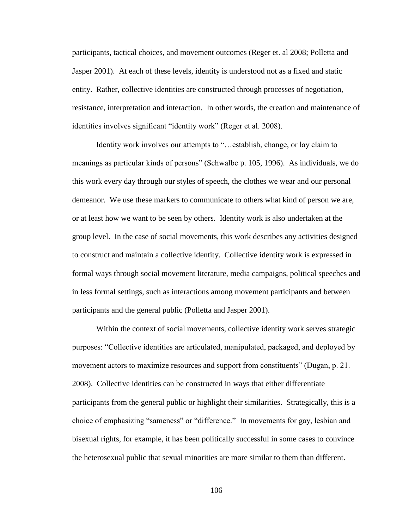participants, tactical choices, and movement outcomes (Reger et. al 2008; Polletta and Jasper 2001). At each of these levels, identity is understood not as a fixed and static entity. Rather, collective identities are constructed through processes of negotiation, resistance, interpretation and interaction. In other words, the creation and maintenance of identities involves significant "identity work" (Reger et al. 2008).

Identity work involves our attempts to "…establish, change, or lay claim to meanings as particular kinds of persons" (Schwalbe p. 105, 1996). As individuals, we do this work every day through our styles of speech, the clothes we wear and our personal demeanor. We use these markers to communicate to others what kind of person we are, or at least how we want to be seen by others. Identity work is also undertaken at the group level. In the case of social movements, this work describes any activities designed to construct and maintain a collective identity. Collective identity work is expressed in formal ways through social movement literature, media campaigns, political speeches and in less formal settings, such as interactions among movement participants and between participants and the general public (Polletta and Jasper 2001).

Within the context of social movements, collective identity work serves strategic purposes: "Collective identities are articulated, manipulated, packaged, and deployed by movement actors to maximize resources and support from constituents" (Dugan, p. 21. 2008). Collective identities can be constructed in ways that either differentiate participants from the general public or highlight their similarities. Strategically, this is a choice of emphasizing "sameness" or "difference." In movements for gay, lesbian and bisexual rights, for example, it has been politically successful in some cases to convince the heterosexual public that sexual minorities are more similar to them than different.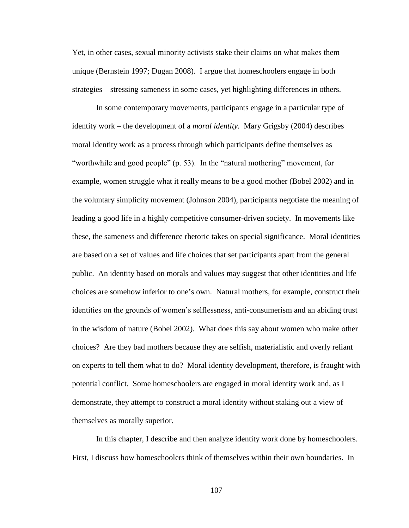Yet, in other cases, sexual minority activists stake their claims on what makes them unique (Bernstein 1997; Dugan 2008). I argue that homeschoolers engage in both strategies – stressing sameness in some cases, yet highlighting differences in others.

In some contemporary movements, participants engage in a particular type of identity work – the development of a *moral identity*. Mary Grigsby (2004) describes moral identity work as a process through which participants define themselves as "worthwhile and good people" (p. 53). In the "natural mothering" movement, for example, women struggle what it really means to be a good mother (Bobel 2002) and in the voluntary simplicity movement (Johnson 2004), participants negotiate the meaning of leading a good life in a highly competitive consumer-driven society. In movements like these, the sameness and difference rhetoric takes on special significance. Moral identities are based on a set of values and life choices that set participants apart from the general public. An identity based on morals and values may suggest that other identities and life choices are somehow inferior to one"s own. Natural mothers, for example, construct their identities on the grounds of women"s selflessness, anti-consumerism and an abiding trust in the wisdom of nature (Bobel 2002). What does this say about women who make other choices? Are they bad mothers because they are selfish, materialistic and overly reliant on experts to tell them what to do? Moral identity development, therefore, is fraught with potential conflict. Some homeschoolers are engaged in moral identity work and, as I demonstrate, they attempt to construct a moral identity without staking out a view of themselves as morally superior.

In this chapter, I describe and then analyze identity work done by homeschoolers. First, I discuss how homeschoolers think of themselves within their own boundaries. In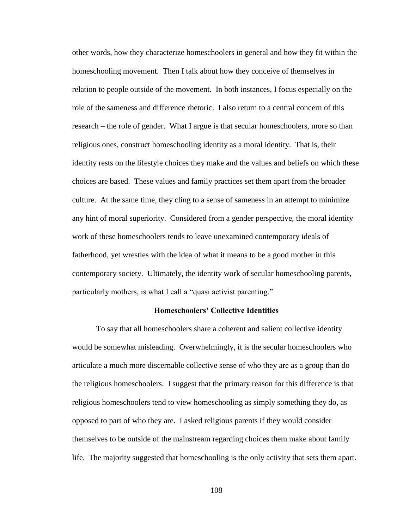other words, how they characterize homeschoolers in general and how they fit within the homeschooling movement. Then I talk about how they conceive of themselves in relation to people outside of the movement. In both instances, I focus especially on the role of the sameness and difference rhetoric. I also return to a central concern of this research – the role of gender. What I argue is that secular homeschoolers, more so than religious ones, construct homeschooling identity as a moral identity. That is, their identity rests on the lifestyle choices they make and the values and beliefs on which these choices are based. These values and family practices set them apart from the broader culture. At the same time, they cling to a sense of sameness in an attempt to minimize any hint of moral superiority. Considered from a gender perspective, the moral identity work of these homeschoolers tends to leave unexamined contemporary ideals of fatherhood, yet wrestles with the idea of what it means to be a good mother in this contemporary society. Ultimately, the identity work of secular homeschooling parents, particularly mothers, is what I call a "quasi activist parenting."

### **Homeschoolers' Collective Identities**

To say that all homeschoolers share a coherent and salient collective identity would be somewhat misleading. Overwhelmingly, it is the secular homeschoolers who articulate a much more discernable collective sense of who they are as a group than do the religious homeschoolers. I suggest that the primary reason for this difference is that religious homeschoolers tend to view homeschooling as simply something they do, as opposed to part of who they are. I asked religious parents if they would consider themselves to be outside of the mainstream regarding choices them make about family life. The majority suggested that homeschooling is the only activity that sets them apart.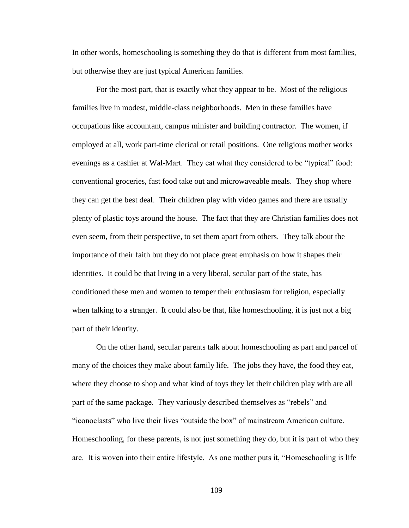In other words, homeschooling is something they do that is different from most families, but otherwise they are just typical American families.

For the most part, that is exactly what they appear to be. Most of the religious families live in modest, middle-class neighborhoods. Men in these families have occupations like accountant, campus minister and building contractor. The women, if employed at all, work part-time clerical or retail positions. One religious mother works evenings as a cashier at Wal-Mart. They eat what they considered to be "typical" food: conventional groceries, fast food take out and microwaveable meals. They shop where they can get the best deal. Their children play with video games and there are usually plenty of plastic toys around the house. The fact that they are Christian families does not even seem, from their perspective, to set them apart from others. They talk about the importance of their faith but they do not place great emphasis on how it shapes their identities. It could be that living in a very liberal, secular part of the state, has conditioned these men and women to temper their enthusiasm for religion, especially when talking to a stranger. It could also be that, like homeschooling, it is just not a big part of their identity.

On the other hand, secular parents talk about homeschooling as part and parcel of many of the choices they make about family life. The jobs they have, the food they eat, where they choose to shop and what kind of toys they let their children play with are all part of the same package. They variously described themselves as "rebels" and "iconoclasts" who live their lives "outside the box" of mainstream American culture. Homeschooling, for these parents, is not just something they do, but it is part of who they are. It is woven into their entire lifestyle. As one mother puts it, "Homeschooling is life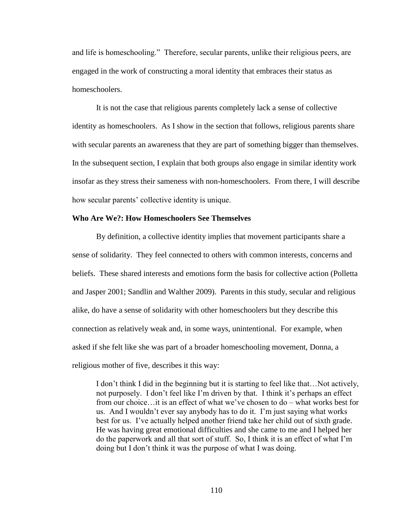and life is homeschooling." Therefore, secular parents, unlike their religious peers, are engaged in the work of constructing a moral identity that embraces their status as homeschoolers.

It is not the case that religious parents completely lack a sense of collective identity as homeschoolers. As I show in the section that follows, religious parents share with secular parents an awareness that they are part of something bigger than themselves. In the subsequent section, I explain that both groups also engage in similar identity work insofar as they stress their sameness with non-homeschoolers. From there, I will describe how secular parents' collective identity is unique.

# **Who Are We?: How Homeschoolers See Themselves**

By definition, a collective identity implies that movement participants share a sense of solidarity. They feel connected to others with common interests, concerns and beliefs. These shared interests and emotions form the basis for collective action (Polletta and Jasper 2001; Sandlin and Walther 2009). Parents in this study, secular and religious alike, do have a sense of solidarity with other homeschoolers but they describe this connection as relatively weak and, in some ways, unintentional. For example, when asked if she felt like she was part of a broader homeschooling movement, Donna, a religious mother of five, describes it this way:

I don"t think I did in the beginning but it is starting to feel like that…Not actively, not purposely. I don't feel like I'm driven by that. I think it's perhaps an effect from our choice…it is an effect of what we"ve chosen to do – what works best for us. And I wouldn"t ever say anybody has to do it. I"m just saying what works best for us. I've actually helped another friend take her child out of sixth grade. He was having great emotional difficulties and she came to me and I helped her do the paperwork and all that sort of stuff. So, I think it is an effect of what I"m doing but I don"t think it was the purpose of what I was doing.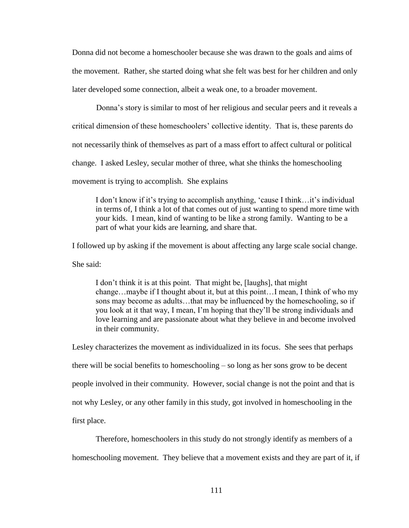Donna did not become a homeschooler because she was drawn to the goals and aims of the movement. Rather, she started doing what she felt was best for her children and only later developed some connection, albeit a weak one, to a broader movement.

Donna"s story is similar to most of her religious and secular peers and it reveals a

critical dimension of these homeschoolers" collective identity. That is, these parents do

not necessarily think of themselves as part of a mass effort to affect cultural or political

change. I asked Lesley, secular mother of three, what she thinks the homeschooling

movement is trying to accomplish. She explains

I don"t know if it"s trying to accomplish anything, "cause I think…it"s individual in terms of, I think a lot of that comes out of just wanting to spend more time with your kids. I mean, kind of wanting to be like a strong family. Wanting to be a part of what your kids are learning, and share that.

I followed up by asking if the movement is about affecting any large scale social change.

She said:

I don"t think it is at this point. That might be, [laughs], that might change…maybe if I thought about it, but at this point…I mean, I think of who my sons may become as adults…that may be influenced by the homeschooling, so if you look at it that way, I mean, I"m hoping that they"ll be strong individuals and love learning and are passionate about what they believe in and become involved in their community.

Lesley characterizes the movement as individualized in its focus. She sees that perhaps there will be social benefits to homeschooling – so long as her sons grow to be decent people involved in their community. However, social change is not the point and that is not why Lesley, or any other family in this study, got involved in homeschooling in the first place.

Therefore, homeschoolers in this study do not strongly identify as members of a homeschooling movement. They believe that a movement exists and they are part of it, if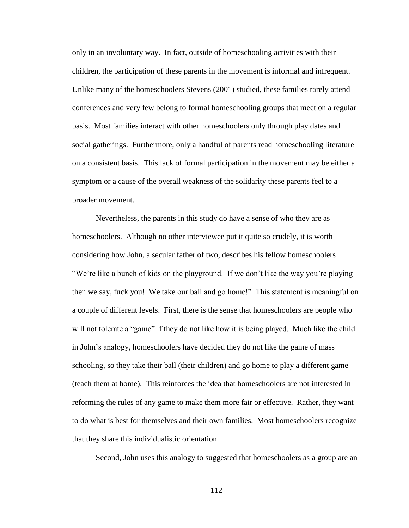only in an involuntary way. In fact, outside of homeschooling activities with their children, the participation of these parents in the movement is informal and infrequent. Unlike many of the homeschoolers Stevens (2001) studied, these families rarely attend conferences and very few belong to formal homeschooling groups that meet on a regular basis. Most families interact with other homeschoolers only through play dates and social gatherings. Furthermore, only a handful of parents read homeschooling literature on a consistent basis. This lack of formal participation in the movement may be either a symptom or a cause of the overall weakness of the solidarity these parents feel to a broader movement.

Nevertheless, the parents in this study do have a sense of who they are as homeschoolers. Although no other interviewee put it quite so crudely, it is worth considering how John, a secular father of two, describes his fellow homeschoolers "We're like a bunch of kids on the playground. If we don't like the way you're playing then we say, fuck you! We take our ball and go home!" This statement is meaningful on a couple of different levels. First, there is the sense that homeschoolers are people who will not tolerate a "game" if they do not like how it is being played. Much like the child in John"s analogy, homeschoolers have decided they do not like the game of mass schooling, so they take their ball (their children) and go home to play a different game (teach them at home). This reinforces the idea that homeschoolers are not interested in reforming the rules of any game to make them more fair or effective. Rather, they want to do what is best for themselves and their own families. Most homeschoolers recognize that they share this individualistic orientation.

Second, John uses this analogy to suggested that homeschoolers as a group are an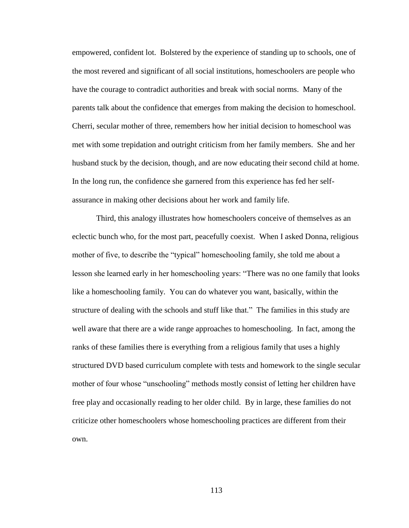empowered, confident lot. Bolstered by the experience of standing up to schools, one of the most revered and significant of all social institutions, homeschoolers are people who have the courage to contradict authorities and break with social norms. Many of the parents talk about the confidence that emerges from making the decision to homeschool. Cherri, secular mother of three, remembers how her initial decision to homeschool was met with some trepidation and outright criticism from her family members. She and her husband stuck by the decision, though, and are now educating their second child at home. In the long run, the confidence she garnered from this experience has fed her selfassurance in making other decisions about her work and family life.

Third, this analogy illustrates how homeschoolers conceive of themselves as an eclectic bunch who, for the most part, peacefully coexist. When I asked Donna, religious mother of five, to describe the "typical" homeschooling family, she told me about a lesson she learned early in her homeschooling years: "There was no one family that looks like a homeschooling family. You can do whatever you want, basically, within the structure of dealing with the schools and stuff like that." The families in this study are well aware that there are a wide range approaches to homeschooling. In fact, among the ranks of these families there is everything from a religious family that uses a highly structured DVD based curriculum complete with tests and homework to the single secular mother of four whose "unschooling" methods mostly consist of letting her children have free play and occasionally reading to her older child. By in large, these families do not criticize other homeschoolers whose homeschooling practices are different from their own.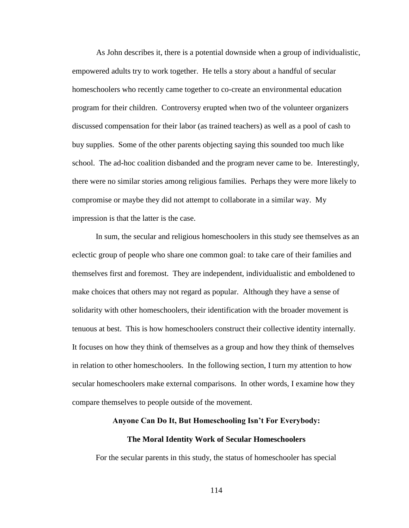As John describes it, there is a potential downside when a group of individualistic, empowered adults try to work together. He tells a story about a handful of secular homeschoolers who recently came together to co-create an environmental education program for their children. Controversy erupted when two of the volunteer organizers discussed compensation for their labor (as trained teachers) as well as a pool of cash to buy supplies. Some of the other parents objecting saying this sounded too much like school. The ad-hoc coalition disbanded and the program never came to be. Interestingly, there were no similar stories among religious families. Perhaps they were more likely to compromise or maybe they did not attempt to collaborate in a similar way. My impression is that the latter is the case.

In sum, the secular and religious homeschoolers in this study see themselves as an eclectic group of people who share one common goal: to take care of their families and themselves first and foremost. They are independent, individualistic and emboldened to make choices that others may not regard as popular. Although they have a sense of solidarity with other homeschoolers, their identification with the broader movement is tenuous at best. This is how homeschoolers construct their collective identity internally. It focuses on how they think of themselves as a group and how they think of themselves in relation to other homeschoolers. In the following section, I turn my attention to how secular homeschoolers make external comparisons. In other words, I examine how they compare themselves to people outside of the movement.

#### **Anyone Can Do It, But Homeschooling Isn't For Everybody:**

#### **The Moral Identity Work of Secular Homeschoolers**

For the secular parents in this study, the status of homeschooler has special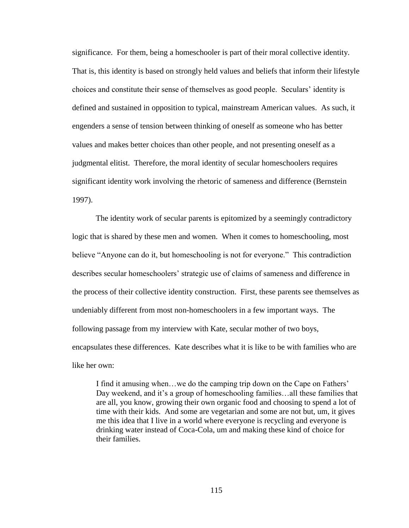significance. For them, being a homeschooler is part of their moral collective identity. That is, this identity is based on strongly held values and beliefs that inform their lifestyle choices and constitute their sense of themselves as good people. Seculars" identity is defined and sustained in opposition to typical, mainstream American values. As such, it engenders a sense of tension between thinking of oneself as someone who has better values and makes better choices than other people, and not presenting oneself as a judgmental elitist. Therefore, the moral identity of secular homeschoolers requires significant identity work involving the rhetoric of sameness and difference (Bernstein 1997).

The identity work of secular parents is epitomized by a seemingly contradictory logic that is shared by these men and women. When it comes to homeschooling, most believe "Anyone can do it, but homeschooling is not for everyone." This contradiction describes secular homeschoolers' strategic use of claims of sameness and difference in the process of their collective identity construction. First, these parents see themselves as undeniably different from most non-homeschoolers in a few important ways. The following passage from my interview with Kate, secular mother of two boys, encapsulates these differences. Kate describes what it is like to be with families who are like her own:

I find it amusing when…we do the camping trip down on the Cape on Fathers" Day weekend, and it's a group of homeschooling families...all these families that are all, you know, growing their own organic food and choosing to spend a lot of time with their kids. And some are vegetarian and some are not but, um, it gives me this idea that I live in a world where everyone is recycling and everyone is drinking water instead of Coca-Cola, um and making these kind of choice for their families.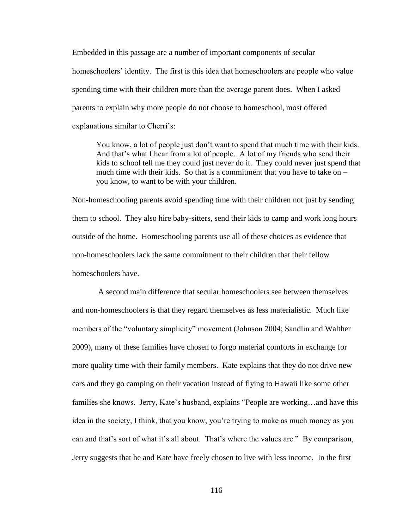Embedded in this passage are a number of important components of secular homeschoolers' identity. The first is this idea that homeschoolers are people who value spending time with their children more than the average parent does. When I asked parents to explain why more people do not choose to homeschool, most offered explanations similar to Cherri's:

You know, a lot of people just don"t want to spend that much time with their kids. And that"s what I hear from a lot of people. A lot of my friends who send their kids to school tell me they could just never do it. They could never just spend that much time with their kids. So that is a commitment that you have to take on – you know, to want to be with your children.

Non-homeschooling parents avoid spending time with their children not just by sending them to school. They also hire baby-sitters, send their kids to camp and work long hours outside of the home. Homeschooling parents use all of these choices as evidence that non-homeschoolers lack the same commitment to their children that their fellow homeschoolers have.

A second main difference that secular homeschoolers see between themselves and non-homeschoolers is that they regard themselves as less materialistic. Much like members of the "voluntary simplicity" movement (Johnson 2004; Sandlin and Walther 2009), many of these families have chosen to forgo material comforts in exchange for more quality time with their family members. Kate explains that they do not drive new cars and they go camping on their vacation instead of flying to Hawaii like some other families she knows. Jerry, Kate's husband, explains "People are working...and have this idea in the society, I think, that you know, you"re trying to make as much money as you can and that's sort of what it's all about. That's where the values are." By comparison, Jerry suggests that he and Kate have freely chosen to live with less income. In the first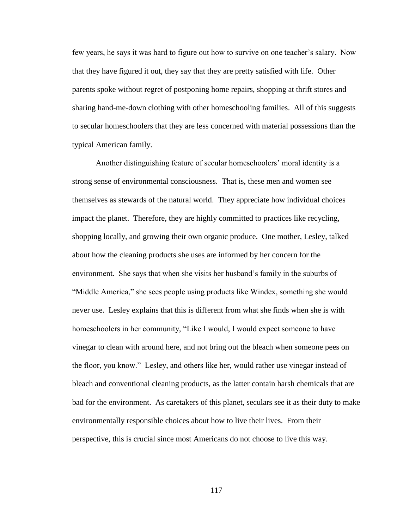few years, he says it was hard to figure out how to survive on one teacher"s salary. Now that they have figured it out, they say that they are pretty satisfied with life. Other parents spoke without regret of postponing home repairs, shopping at thrift stores and sharing hand-me-down clothing with other homeschooling families. All of this suggests to secular homeschoolers that they are less concerned with material possessions than the typical American family.

Another distinguishing feature of secular homeschoolers' moral identity is a strong sense of environmental consciousness. That is, these men and women see themselves as stewards of the natural world. They appreciate how individual choices impact the planet. Therefore, they are highly committed to practices like recycling, shopping locally, and growing their own organic produce. One mother, Lesley, talked about how the cleaning products she uses are informed by her concern for the environment. She says that when she visits her husband's family in the suburbs of "Middle America," she sees people using products like Windex, something she would never use. Lesley explains that this is different from what she finds when she is with homeschoolers in her community, "Like I would, I would expect someone to have vinegar to clean with around here, and not bring out the bleach when someone pees on the floor, you know." Lesley, and others like her, would rather use vinegar instead of bleach and conventional cleaning products, as the latter contain harsh chemicals that are bad for the environment. As caretakers of this planet, seculars see it as their duty to make environmentally responsible choices about how to live their lives. From their perspective, this is crucial since most Americans do not choose to live this way.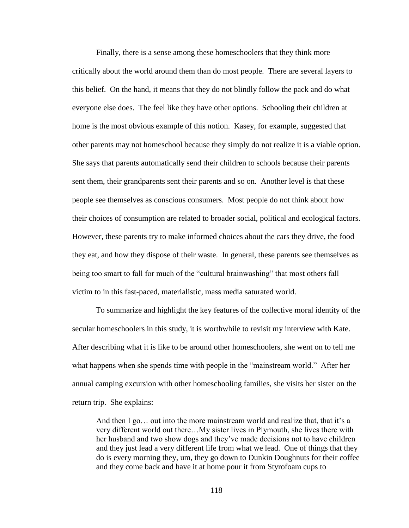Finally, there is a sense among these homeschoolers that they think more critically about the world around them than do most people. There are several layers to this belief. On the hand, it means that they do not blindly follow the pack and do what everyone else does. The feel like they have other options. Schooling their children at home is the most obvious example of this notion. Kasey, for example, suggested that other parents may not homeschool because they simply do not realize it is a viable option. She says that parents automatically send their children to schools because their parents sent them, their grandparents sent their parents and so on. Another level is that these people see themselves as conscious consumers. Most people do not think about how their choices of consumption are related to broader social, political and ecological factors. However, these parents try to make informed choices about the cars they drive, the food they eat, and how they dispose of their waste. In general, these parents see themselves as being too smart to fall for much of the "cultural brainwashing" that most others fall victim to in this fast-paced, materialistic, mass media saturated world.

To summarize and highlight the key features of the collective moral identity of the secular homeschoolers in this study, it is worthwhile to revisit my interview with Kate. After describing what it is like to be around other homeschoolers, she went on to tell me what happens when she spends time with people in the "mainstream world." After her annual camping excursion with other homeschooling families, she visits her sister on the return trip. She explains:

And then I go... out into the more mainstream world and realize that, that it's a very different world out there…My sister lives in Plymouth, she lives there with her husband and two show dogs and they"ve made decisions not to have children and they just lead a very different life from what we lead. One of things that they do is every morning they, um, they go down to Dunkin Doughnuts for their coffee and they come back and have it at home pour it from Styrofoam cups to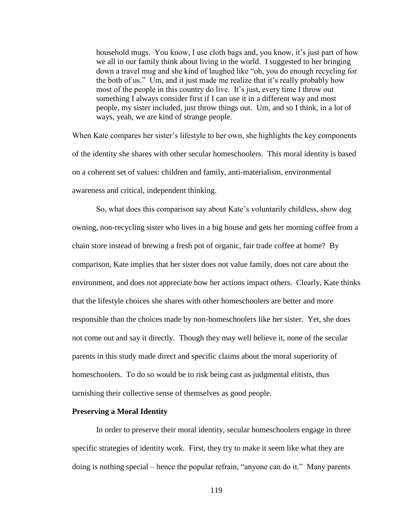household mugs. You know, I use cloth bags and, you know, it's just part of how we all in our family think about living in the world. I suggested to her bringing down a travel mug and she kind of laughed like "oh, you do enough recycling for the both of us." Um, and it just made me realize that it"s really probably how most of the people in this country do live. It's just, every time I throw out something I always consider first if I can use it in a different way and most people, my sister included, just throw things out. Um, and so I think, in a lot of ways, yeah, we are kind of strange people.

When Kate compares her sister's lifestyle to her own, she highlights the key components of the identity she shares with other secular homeschoolers. This moral identity is based on a coherent set of values: children and family, anti-materialism, environmental awareness and critical, independent thinking.

So, what does this comparison say about Kate"s voluntarily childless, show dog owning, non-recycling sister who lives in a big house and gets her morning coffee from a chain store instead of brewing a fresh pot of organic, fair trade coffee at home? By comparison, Kate implies that her sister does not value family, does not care about the environment, and does not appreciate how her actions impact others. Clearly, Kate thinks that the lifestyle choices she shares with other homeschoolers are better and more responsible than the choices made by non-homeschoolers like her sister. Yet, she does not come out and say it directly. Though they may well believe it, none of the secular parents in this study made direct and specific claims about the moral superiority of homeschoolers. To do so would be to risk being cast as judgmental elitists, thus tarnishing their collective sense of themselves as good people.

### **Preserving a Moral Identity**

In order to preserve their moral identity, secular homeschoolers engage in three specific strategies of identity work. First, they try to make it seem like what they are doing is nothing special – hence the popular refrain, "anyone can do it." Many parents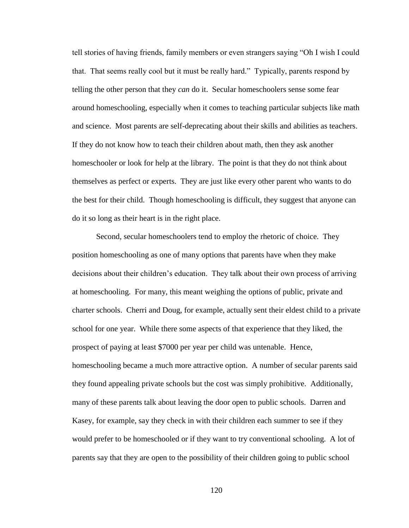tell stories of having friends, family members or even strangers saying "Oh I wish I could that. That seems really cool but it must be really hard." Typically, parents respond by telling the other person that they *can* do it. Secular homeschoolers sense some fear around homeschooling, especially when it comes to teaching particular subjects like math and science. Most parents are self-deprecating about their skills and abilities as teachers. If they do not know how to teach their children about math, then they ask another homeschooler or look for help at the library. The point is that they do not think about themselves as perfect or experts. They are just like every other parent who wants to do the best for their child. Though homeschooling is difficult, they suggest that anyone can do it so long as their heart is in the right place.

Second, secular homeschoolers tend to employ the rhetoric of choice. They position homeschooling as one of many options that parents have when they make decisions about their children"s education. They talk about their own process of arriving at homeschooling. For many, this meant weighing the options of public, private and charter schools. Cherri and Doug, for example, actually sent their eldest child to a private school for one year. While there some aspects of that experience that they liked, the prospect of paying at least \$7000 per year per child was untenable. Hence, homeschooling became a much more attractive option. A number of secular parents said they found appealing private schools but the cost was simply prohibitive. Additionally, many of these parents talk about leaving the door open to public schools. Darren and Kasey, for example, say they check in with their children each summer to see if they would prefer to be homeschooled or if they want to try conventional schooling. A lot of parents say that they are open to the possibility of their children going to public school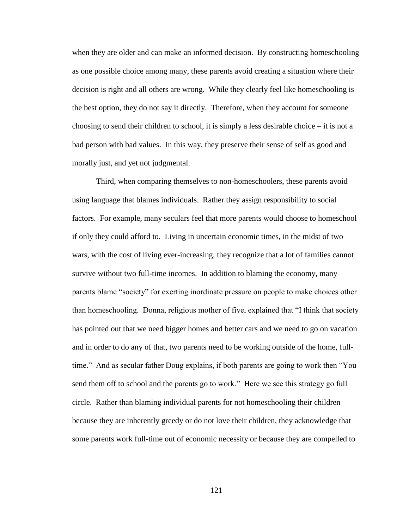when they are older and can make an informed decision. By constructing homeschooling as one possible choice among many, these parents avoid creating a situation where their decision is right and all others are wrong. While they clearly feel like homeschooling is the best option, they do not say it directly. Therefore, when they account for someone choosing to send their children to school, it is simply a less desirable choice – it is not a bad person with bad values. In this way, they preserve their sense of self as good and morally just, and yet not judgmental.

Third, when comparing themselves to non-homeschoolers, these parents avoid using language that blames individuals. Rather they assign responsibility to social factors. For example, many seculars feel that more parents would choose to homeschool if only they could afford to. Living in uncertain economic times, in the midst of two wars, with the cost of living ever-increasing, they recognize that a lot of families cannot survive without two full-time incomes. In addition to blaming the economy, many parents blame "society" for exerting inordinate pressure on people to make choices other than homeschooling. Donna, religious mother of five, explained that "I think that society has pointed out that we need bigger homes and better cars and we need to go on vacation and in order to do any of that, two parents need to be working outside of the home, fulltime." And as secular father Doug explains, if both parents are going to work then "You send them off to school and the parents go to work." Here we see this strategy go full circle. Rather than blaming individual parents for not homeschooling their children because they are inherently greedy or do not love their children, they acknowledge that some parents work full-time out of economic necessity or because they are compelled to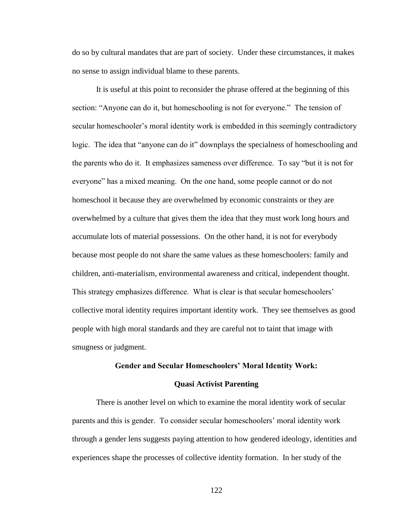do so by cultural mandates that are part of society. Under these circumstances, it makes no sense to assign individual blame to these parents.

It is useful at this point to reconsider the phrase offered at the beginning of this section: "Anyone can do it, but homeschooling is not for everyone." The tension of secular homeschooler"s moral identity work is embedded in this seemingly contradictory logic. The idea that "anyone can do it" downplays the specialness of homeschooling and the parents who do it. It emphasizes sameness over difference. To say "but it is not for everyone" has a mixed meaning. On the one hand, some people cannot or do not homeschool it because they are overwhelmed by economic constraints or they are overwhelmed by a culture that gives them the idea that they must work long hours and accumulate lots of material possessions. On the other hand, it is not for everybody because most people do not share the same values as these homeschoolers: family and children, anti-materialism, environmental awareness and critical, independent thought. This strategy emphasizes difference. What is clear is that secular homeschoolers" collective moral identity requires important identity work. They see themselves as good people with high moral standards and they are careful not to taint that image with smugness or judgment.

### **Gender and Secular Homeschoolers' Moral Identity Work:**

### **Quasi Activist Parenting**

There is another level on which to examine the moral identity work of secular parents and this is gender. To consider secular homeschoolers" moral identity work through a gender lens suggests paying attention to how gendered ideology, identities and experiences shape the processes of collective identity formation. In her study of the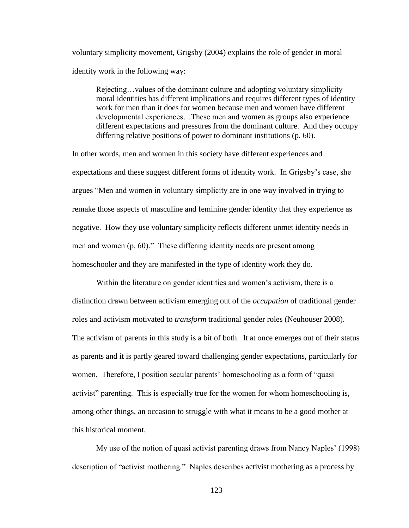voluntary simplicity movement, Grigsby (2004) explains the role of gender in moral identity work in the following way:

Rejecting…values of the dominant culture and adopting voluntary simplicity moral identities has different implications and requires different types of identity work for men than it does for women because men and women have different developmental experiences…These men and women as groups also experience different expectations and pressures from the dominant culture. And they occupy differing relative positions of power to dominant institutions (p. 60).

In other words, men and women in this society have different experiences and expectations and these suggest different forms of identity work. In Grigsby"s case, she argues "Men and women in voluntary simplicity are in one way involved in trying to remake those aspects of masculine and feminine gender identity that they experience as negative. How they use voluntary simplicity reflects different unmet identity needs in men and women (p. 60)." These differing identity needs are present among homeschooler and they are manifested in the type of identity work they do.

Within the literature on gender identities and women's activism, there is a distinction drawn between activism emerging out of the *occupation* of traditional gender roles and activism motivated to *transform* traditional gender roles (Neuhouser 2008). The activism of parents in this study is a bit of both. It at once emerges out of their status as parents and it is partly geared toward challenging gender expectations, particularly for women. Therefore, I position secular parents' homeschooling as a form of "quasi activist" parenting. This is especially true for the women for whom homeschooling is, among other things, an occasion to struggle with what it means to be a good mother at this historical moment.

My use of the notion of quasi activist parenting draws from Nancy Naples" (1998) description of "activist mothering." Naples describes activist mothering as a process by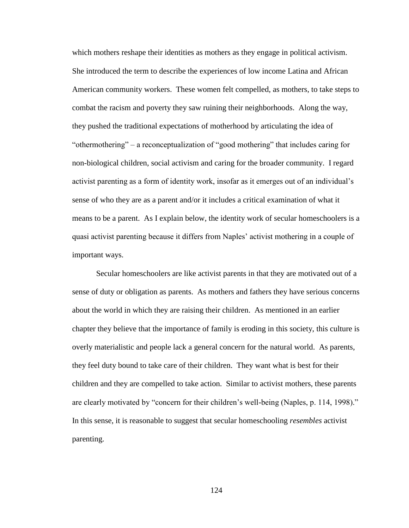which mothers reshape their identities as mothers as they engage in political activism. She introduced the term to describe the experiences of low income Latina and African American community workers. These women felt compelled, as mothers, to take steps to combat the racism and poverty they saw ruining their neighborhoods. Along the way, they pushed the traditional expectations of motherhood by articulating the idea of "othermothering" – a reconceptualization of "good mothering" that includes caring for non-biological children, social activism and caring for the broader community. I regard activist parenting as a form of identity work, insofar as it emerges out of an individual"s sense of who they are as a parent and/or it includes a critical examination of what it means to be a parent. As I explain below, the identity work of secular homeschoolers is a quasi activist parenting because it differs from Naples' activist mothering in a couple of important ways.

Secular homeschoolers are like activist parents in that they are motivated out of a sense of duty or obligation as parents. As mothers and fathers they have serious concerns about the world in which they are raising their children. As mentioned in an earlier chapter they believe that the importance of family is eroding in this society, this culture is overly materialistic and people lack a general concern for the natural world. As parents, they feel duty bound to take care of their children. They want what is best for their children and they are compelled to take action. Similar to activist mothers, these parents are clearly motivated by "concern for their children"s well-being (Naples, p. 114, 1998)." In this sense, it is reasonable to suggest that secular homeschooling *resembles* activist parenting.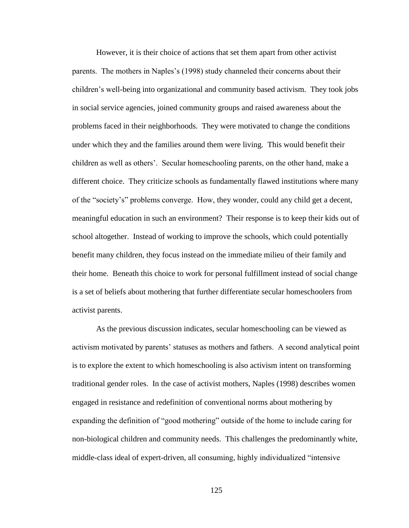However, it is their choice of actions that set them apart from other activist parents. The mothers in Naples's (1998) study channeled their concerns about their children"s well-being into organizational and community based activism. They took jobs in social service agencies, joined community groups and raised awareness about the problems faced in their neighborhoods. They were motivated to change the conditions under which they and the families around them were living. This would benefit their children as well as others". Secular homeschooling parents, on the other hand, make a different choice. They criticize schools as fundamentally flawed institutions where many of the "society"s" problems converge. How, they wonder, could any child get a decent, meaningful education in such an environment? Their response is to keep their kids out of school altogether. Instead of working to improve the schools, which could potentially benefit many children, they focus instead on the immediate milieu of their family and their home. Beneath this choice to work for personal fulfillment instead of social change is a set of beliefs about mothering that further differentiate secular homeschoolers from activist parents.

As the previous discussion indicates, secular homeschooling can be viewed as activism motivated by parents" statuses as mothers and fathers. A second analytical point is to explore the extent to which homeschooling is also activism intent on transforming traditional gender roles. In the case of activist mothers, Naples (1998) describes women engaged in resistance and redefinition of conventional norms about mothering by expanding the definition of "good mothering" outside of the home to include caring for non-biological children and community needs. This challenges the predominantly white, middle-class ideal of expert-driven, all consuming, highly individualized "intensive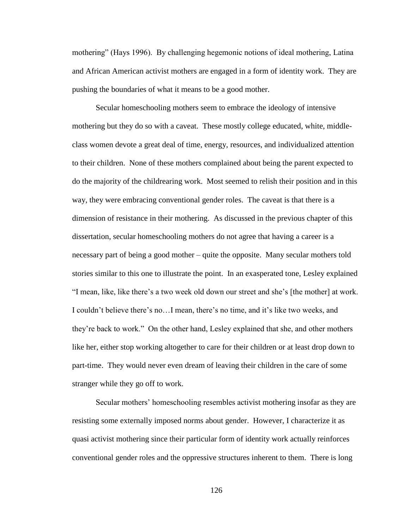mothering" (Hays 1996). By challenging hegemonic notions of ideal mothering, Latina and African American activist mothers are engaged in a form of identity work. They are pushing the boundaries of what it means to be a good mother.

Secular homeschooling mothers seem to embrace the ideology of intensive mothering but they do so with a caveat. These mostly college educated, white, middleclass women devote a great deal of time, energy, resources, and individualized attention to their children. None of these mothers complained about being the parent expected to do the majority of the childrearing work. Most seemed to relish their position and in this way, they were embracing conventional gender roles. The caveat is that there is a dimension of resistance in their mothering. As discussed in the previous chapter of this dissertation, secular homeschooling mothers do not agree that having a career is a necessary part of being a good mother – quite the opposite. Many secular mothers told stories similar to this one to illustrate the point. In an exasperated tone, Lesley explained "I mean, like, like there"s a two week old down our street and she"s [the mother] at work. I couldn't believe there's no...I mean, there's no time, and it's like two weeks, and they"re back to work." On the other hand, Lesley explained that she, and other mothers like her, either stop working altogether to care for their children or at least drop down to part-time. They would never even dream of leaving their children in the care of some stranger while they go off to work.

Secular mothers" homeschooling resembles activist mothering insofar as they are resisting some externally imposed norms about gender. However, I characterize it as quasi activist mothering since their particular form of identity work actually reinforces conventional gender roles and the oppressive structures inherent to them. There is long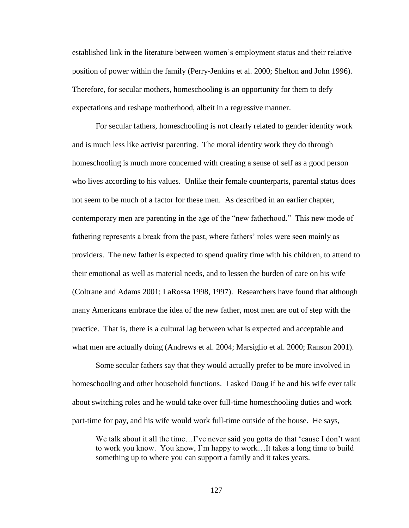established link in the literature between women"s employment status and their relative position of power within the family (Perry-Jenkins et al. 2000; Shelton and John 1996). Therefore, for secular mothers, homeschooling is an opportunity for them to defy expectations and reshape motherhood, albeit in a regressive manner.

For secular fathers, homeschooling is not clearly related to gender identity work and is much less like activist parenting. The moral identity work they do through homeschooling is much more concerned with creating a sense of self as a good person who lives according to his values. Unlike their female counterparts, parental status does not seem to be much of a factor for these men. As described in an earlier chapter, contemporary men are parenting in the age of the "new fatherhood." This new mode of fathering represents a break from the past, where fathers' roles were seen mainly as providers. The new father is expected to spend quality time with his children, to attend to their emotional as well as material needs, and to lessen the burden of care on his wife (Coltrane and Adams 2001; LaRossa 1998, 1997). Researchers have found that although many Americans embrace the idea of the new father, most men are out of step with the practice. That is, there is a cultural lag between what is expected and acceptable and what men are actually doing (Andrews et al. 2004; Marsiglio et al. 2000; Ranson 2001).

Some secular fathers say that they would actually prefer to be more involved in homeschooling and other household functions. I asked Doug if he and his wife ever talk about switching roles and he would take over full-time homeschooling duties and work part-time for pay, and his wife would work full-time outside of the house. He says,

We talk about it all the time...I've never said you gotta do that 'cause I don't want to work you know. You know, I"m happy to work…It takes a long time to build something up to where you can support a family and it takes years.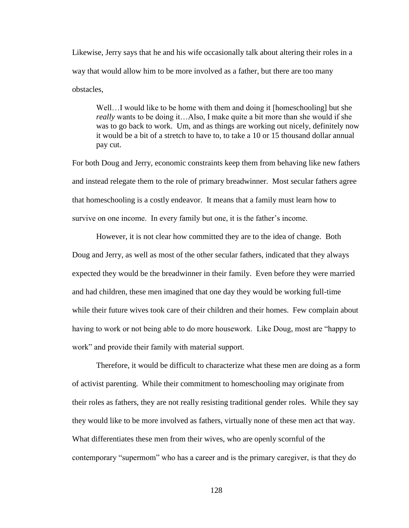Likewise, Jerry says that he and his wife occasionally talk about altering their roles in a way that would allow him to be more involved as a father, but there are too many obstacles,

Well...I would like to be home with them and doing it [homeschooling] but she *really* wants to be doing it…Also, I make quite a bit more than she would if she was to go back to work. Um, and as things are working out nicely, definitely now it would be a bit of a stretch to have to, to take a 10 or 15 thousand dollar annual pay cut.

For both Doug and Jerry, economic constraints keep them from behaving like new fathers and instead relegate them to the role of primary breadwinner. Most secular fathers agree that homeschooling is a costly endeavor. It means that a family must learn how to survive on one income. In every family but one, it is the father's income.

However, it is not clear how committed they are to the idea of change. Both Doug and Jerry, as well as most of the other secular fathers, indicated that they always expected they would be the breadwinner in their family. Even before they were married and had children, these men imagined that one day they would be working full-time while their future wives took care of their children and their homes. Few complain about having to work or not being able to do more housework. Like Doug, most are "happy to work" and provide their family with material support.

Therefore, it would be difficult to characterize what these men are doing as a form of activist parenting. While their commitment to homeschooling may originate from their roles as fathers, they are not really resisting traditional gender roles. While they say they would like to be more involved as fathers, virtually none of these men act that way. What differentiates these men from their wives, who are openly scornful of the contemporary "supermom" who has a career and is the primary caregiver, is that they do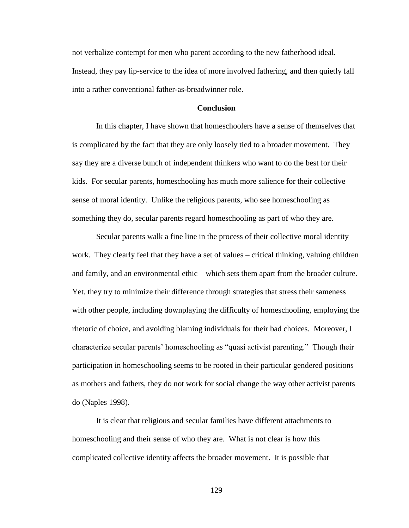not verbalize contempt for men who parent according to the new fatherhood ideal. Instead, they pay lip-service to the idea of more involved fathering, and then quietly fall into a rather conventional father-as-breadwinner role.

# **Conclusion**

In this chapter, I have shown that homeschoolers have a sense of themselves that is complicated by the fact that they are only loosely tied to a broader movement. They say they are a diverse bunch of independent thinkers who want to do the best for their kids. For secular parents, homeschooling has much more salience for their collective sense of moral identity. Unlike the religious parents, who see homeschooling as something they do, secular parents regard homeschooling as part of who they are.

Secular parents walk a fine line in the process of their collective moral identity work. They clearly feel that they have a set of values – critical thinking, valuing children and family, and an environmental ethic – which sets them apart from the broader culture. Yet, they try to minimize their difference through strategies that stress their sameness with other people, including downplaying the difficulty of homeschooling, employing the rhetoric of choice, and avoiding blaming individuals for their bad choices. Moreover, I characterize secular parents" homeschooling as "quasi activist parenting." Though their participation in homeschooling seems to be rooted in their particular gendered positions as mothers and fathers, they do not work for social change the way other activist parents do (Naples 1998).

It is clear that religious and secular families have different attachments to homeschooling and their sense of who they are. What is not clear is how this complicated collective identity affects the broader movement. It is possible that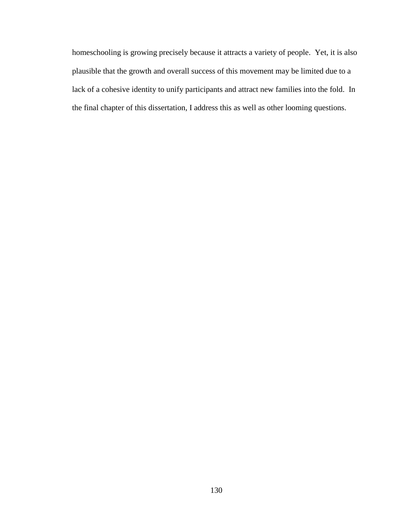homeschooling is growing precisely because it attracts a variety of people. Yet, it is also plausible that the growth and overall success of this movement may be limited due to a lack of a cohesive identity to unify participants and attract new families into the fold. In the final chapter of this dissertation, I address this as well as other looming questions.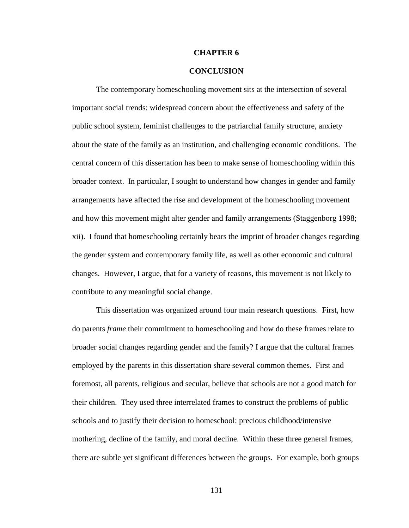# **CHAPTER 6**

# **CONCLUSION**

The contemporary homeschooling movement sits at the intersection of several important social trends: widespread concern about the effectiveness and safety of the public school system, feminist challenges to the patriarchal family structure, anxiety about the state of the family as an institution, and challenging economic conditions. The central concern of this dissertation has been to make sense of homeschooling within this broader context. In particular, I sought to understand how changes in gender and family arrangements have affected the rise and development of the homeschooling movement and how this movement might alter gender and family arrangements (Staggenborg 1998; xii). I found that homeschooling certainly bears the imprint of broader changes regarding the gender system and contemporary family life, as well as other economic and cultural changes. However, I argue, that for a variety of reasons, this movement is not likely to contribute to any meaningful social change.

This dissertation was organized around four main research questions. First, how do parents *frame* their commitment to homeschooling and how do these frames relate to broader social changes regarding gender and the family? I argue that the cultural frames employed by the parents in this dissertation share several common themes. First and foremost, all parents, religious and secular, believe that schools are not a good match for their children. They used three interrelated frames to construct the problems of public schools and to justify their decision to homeschool: precious childhood/intensive mothering, decline of the family, and moral decline. Within these three general frames, there are subtle yet significant differences between the groups. For example, both groups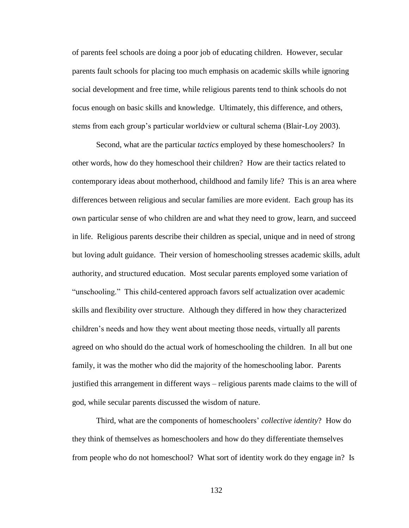of parents feel schools are doing a poor job of educating children. However, secular parents fault schools for placing too much emphasis on academic skills while ignoring social development and free time, while religious parents tend to think schools do not focus enough on basic skills and knowledge. Ultimately, this difference, and others, stems from each group"s particular worldview or cultural schema (Blair-Loy 2003).

Second, what are the particular *tactics* employed by these homeschoolers? In other words, how do they homeschool their children? How are their tactics related to contemporary ideas about motherhood, childhood and family life? This is an area where differences between religious and secular families are more evident. Each group has its own particular sense of who children are and what they need to grow, learn, and succeed in life. Religious parents describe their children as special, unique and in need of strong but loving adult guidance. Their version of homeschooling stresses academic skills, adult authority, and structured education. Most secular parents employed some variation of "unschooling." This child-centered approach favors self actualization over academic skills and flexibility over structure. Although they differed in how they characterized children"s needs and how they went about meeting those needs, virtually all parents agreed on who should do the actual work of homeschooling the children. In all but one family, it was the mother who did the majority of the homeschooling labor. Parents justified this arrangement in different ways – religious parents made claims to the will of god, while secular parents discussed the wisdom of nature.

Third, what are the components of homeschoolers" *collective identity*? How do they think of themselves as homeschoolers and how do they differentiate themselves from people who do not homeschool? What sort of identity work do they engage in? Is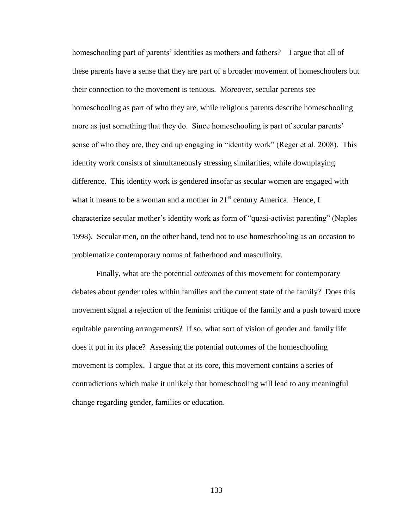homeschooling part of parents' identities as mothers and fathers? I argue that all of these parents have a sense that they are part of a broader movement of homeschoolers but their connection to the movement is tenuous. Moreover, secular parents see homeschooling as part of who they are, while religious parents describe homeschooling more as just something that they do. Since homeschooling is part of secular parents' sense of who they are, they end up engaging in "identity work" (Reger et al. 2008). This identity work consists of simultaneously stressing similarities, while downplaying difference. This identity work is gendered insofar as secular women are engaged with what it means to be a woman and a mother in  $21<sup>st</sup>$  century America. Hence, I characterize secular mother"s identity work as form of "quasi-activist parenting" (Naples 1998). Secular men, on the other hand, tend not to use homeschooling as an occasion to problematize contemporary norms of fatherhood and masculinity.

Finally, what are the potential *outcomes* of this movement for contemporary debates about gender roles within families and the current state of the family? Does this movement signal a rejection of the feminist critique of the family and a push toward more equitable parenting arrangements? If so, what sort of vision of gender and family life does it put in its place? Assessing the potential outcomes of the homeschooling movement is complex. I argue that at its core, this movement contains a series of contradictions which make it unlikely that homeschooling will lead to any meaningful change regarding gender, families or education.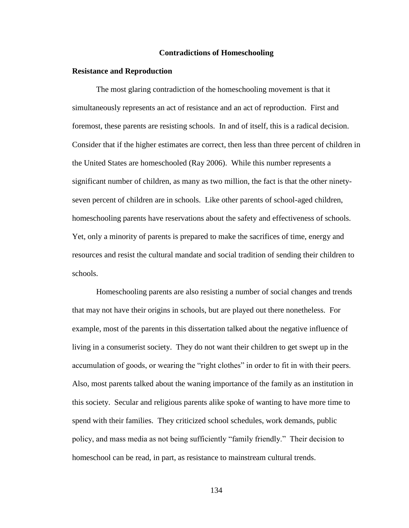#### **Contradictions of Homeschooling**

### **Resistance and Reproduction**

The most glaring contradiction of the homeschooling movement is that it simultaneously represents an act of resistance and an act of reproduction. First and foremost, these parents are resisting schools. In and of itself, this is a radical decision. Consider that if the higher estimates are correct, then less than three percent of children in the United States are homeschooled (Ray 2006). While this number represents a significant number of children, as many as two million, the fact is that the other ninetyseven percent of children are in schools. Like other parents of school-aged children, homeschooling parents have reservations about the safety and effectiveness of schools. Yet, only a minority of parents is prepared to make the sacrifices of time, energy and resources and resist the cultural mandate and social tradition of sending their children to schools.

Homeschooling parents are also resisting a number of social changes and trends that may not have their origins in schools, but are played out there nonetheless. For example, most of the parents in this dissertation talked about the negative influence of living in a consumerist society. They do not want their children to get swept up in the accumulation of goods, or wearing the "right clothes" in order to fit in with their peers. Also, most parents talked about the waning importance of the family as an institution in this society. Secular and religious parents alike spoke of wanting to have more time to spend with their families. They criticized school schedules, work demands, public policy, and mass media as not being sufficiently "family friendly." Their decision to homeschool can be read, in part, as resistance to mainstream cultural trends.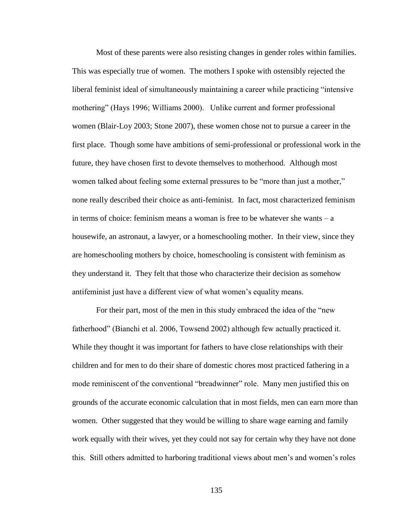Most of these parents were also resisting changes in gender roles within families. This was especially true of women. The mothers I spoke with ostensibly rejected the liberal feminist ideal of simultaneously maintaining a career while practicing "intensive mothering" (Hays 1996; Williams 2000). Unlike current and former professional women (Blair-Loy 2003; Stone 2007), these women chose not to pursue a career in the first place. Though some have ambitions of semi-professional or professional work in the future, they have chosen first to devote themselves to motherhood. Although most women talked about feeling some external pressures to be "more than just a mother," none really described their choice as anti-feminist. In fact, most characterized feminism in terms of choice: feminism means a woman is free to be whatever she wants – a housewife, an astronaut, a lawyer, or a homeschooling mother. In their view, since they are homeschooling mothers by choice, homeschooling is consistent with feminism as they understand it. They felt that those who characterize their decision as somehow antifeminist just have a different view of what women"s equality means.

For their part, most of the men in this study embraced the idea of the "new fatherhood" (Bianchi et al. 2006, Towsend 2002) although few actually practiced it. While they thought it was important for fathers to have close relationships with their children and for men to do their share of domestic chores most practiced fathering in a mode reminiscent of the conventional "breadwinner" role. Many men justified this on grounds of the accurate economic calculation that in most fields, men can earn more than women. Other suggested that they would be willing to share wage earning and family work equally with their wives, yet they could not say for certain why they have not done this. Still others admitted to harboring traditional views about men"s and women"s roles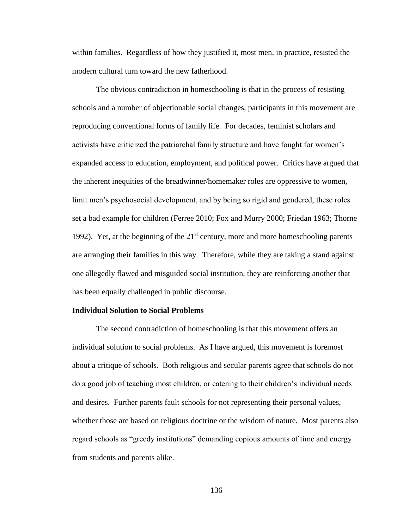within families. Regardless of how they justified it, most men, in practice, resisted the modern cultural turn toward the new fatherhood.

The obvious contradiction in homeschooling is that in the process of resisting schools and a number of objectionable social changes, participants in this movement are reproducing conventional forms of family life. For decades, feminist scholars and activists have criticized the patriarchal family structure and have fought for women"s expanded access to education, employment, and political power. Critics have argued that the inherent inequities of the breadwinner/homemaker roles are oppressive to women, limit men's psychosocial development, and by being so rigid and gendered, these roles set a bad example for children (Ferree 2010; Fox and Murry 2000; Friedan 1963; Thorne 1992). Yet, at the beginning of the  $21<sup>st</sup>$  century, more and more homeschooling parents are arranging their families in this way. Therefore, while they are taking a stand against one allegedly flawed and misguided social institution, they are reinforcing another that has been equally challenged in public discourse.

### **Individual Solution to Social Problems**

The second contradiction of homeschooling is that this movement offers an individual solution to social problems. As I have argued, this movement is foremost about a critique of schools. Both religious and secular parents agree that schools do not do a good job of teaching most children, or catering to their children"s individual needs and desires. Further parents fault schools for not representing their personal values, whether those are based on religious doctrine or the wisdom of nature. Most parents also regard schools as "greedy institutions" demanding copious amounts of time and energy from students and parents alike.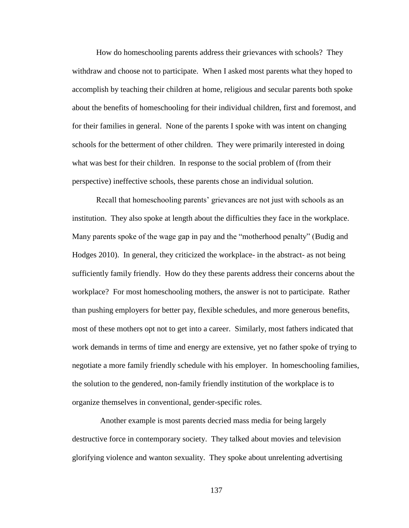How do homeschooling parents address their grievances with schools? They withdraw and choose not to participate. When I asked most parents what they hoped to accomplish by teaching their children at home, religious and secular parents both spoke about the benefits of homeschooling for their individual children, first and foremost, and for their families in general. None of the parents I spoke with was intent on changing schools for the betterment of other children. They were primarily interested in doing what was best for their children. In response to the social problem of (from their perspective) ineffective schools, these parents chose an individual solution.

Recall that homeschooling parents' grievances are not just with schools as an institution. They also spoke at length about the difficulties they face in the workplace. Many parents spoke of the wage gap in pay and the "motherhood penalty" (Budig and Hodges 2010). In general, they criticized the workplace- in the abstract- as not being sufficiently family friendly. How do they these parents address their concerns about the workplace? For most homeschooling mothers, the answer is not to participate. Rather than pushing employers for better pay, flexible schedules, and more generous benefits, most of these mothers opt not to get into a career. Similarly, most fathers indicated that work demands in terms of time and energy are extensive, yet no father spoke of trying to negotiate a more family friendly schedule with his employer. In homeschooling families, the solution to the gendered, non-family friendly institution of the workplace is to organize themselves in conventional, gender-specific roles.

 Another example is most parents decried mass media for being largely destructive force in contemporary society. They talked about movies and television glorifying violence and wanton sexuality. They spoke about unrelenting advertising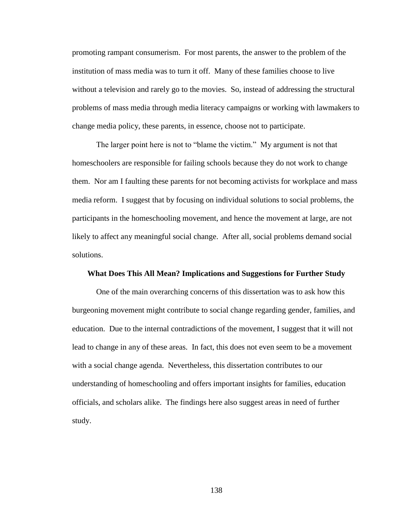promoting rampant consumerism. For most parents, the answer to the problem of the institution of mass media was to turn it off. Many of these families choose to live without a television and rarely go to the movies. So, instead of addressing the structural problems of mass media through media literacy campaigns or working with lawmakers to change media policy, these parents, in essence, choose not to participate.

The larger point here is not to "blame the victim." My argument is not that homeschoolers are responsible for failing schools because they do not work to change them. Nor am I faulting these parents for not becoming activists for workplace and mass media reform. I suggest that by focusing on individual solutions to social problems, the participants in the homeschooling movement, and hence the movement at large, are not likely to affect any meaningful social change. After all, social problems demand social solutions.

#### **What Does This All Mean? Implications and Suggestions for Further Study**

One of the main overarching concerns of this dissertation was to ask how this burgeoning movement might contribute to social change regarding gender, families, and education. Due to the internal contradictions of the movement, I suggest that it will not lead to change in any of these areas. In fact, this does not even seem to be a movement with a social change agenda. Nevertheless, this dissertation contributes to our understanding of homeschooling and offers important insights for families, education officials, and scholars alike. The findings here also suggest areas in need of further study.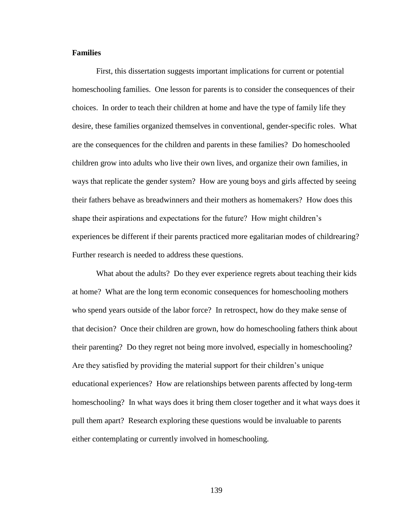## **Families**

First, this dissertation suggests important implications for current or potential homeschooling families. One lesson for parents is to consider the consequences of their choices. In order to teach their children at home and have the type of family life they desire, these families organized themselves in conventional, gender-specific roles. What are the consequences for the children and parents in these families? Do homeschooled children grow into adults who live their own lives, and organize their own families, in ways that replicate the gender system? How are young boys and girls affected by seeing their fathers behave as breadwinners and their mothers as homemakers? How does this shape their aspirations and expectations for the future? How might children"s experiences be different if their parents practiced more egalitarian modes of childrearing? Further research is needed to address these questions.

What about the adults? Do they ever experience regrets about teaching their kids at home? What are the long term economic consequences for homeschooling mothers who spend years outside of the labor force? In retrospect, how do they make sense of that decision? Once their children are grown, how do homeschooling fathers think about their parenting? Do they regret not being more involved, especially in homeschooling? Are they satisfied by providing the material support for their children"s unique educational experiences? How are relationships between parents affected by long-term homeschooling? In what ways does it bring them closer together and it what ways does it pull them apart? Research exploring these questions would be invaluable to parents either contemplating or currently involved in homeschooling.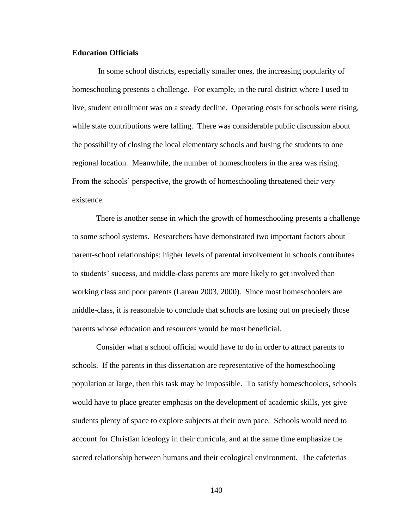## **Education Officials**

In some school districts, especially smaller ones, the increasing popularity of homeschooling presents a challenge. For example, in the rural district where I used to live, student enrollment was on a steady decline. Operating costs for schools were rising, while state contributions were falling. There was considerable public discussion about the possibility of closing the local elementary schools and busing the students to one regional location. Meanwhile, the number of homeschoolers in the area was rising. From the schools" perspective, the growth of homeschooling threatened their very existence.

There is another sense in which the growth of homeschooling presents a challenge to some school systems. Researchers have demonstrated two important factors about parent-school relationships: higher levels of parental involvement in schools contributes to students" success, and middle-class parents are more likely to get involved than working class and poor parents (Lareau 2003, 2000). Since most homeschoolers are middle-class, it is reasonable to conclude that schools are losing out on precisely those parents whose education and resources would be most beneficial.

Consider what a school official would have to do in order to attract parents to schools. If the parents in this dissertation are representative of the homeschooling population at large, then this task may be impossible. To satisfy homeschoolers, schools would have to place greater emphasis on the development of academic skills, yet give students plenty of space to explore subjects at their own pace. Schools would need to account for Christian ideology in their curricula, and at the same time emphasize the sacred relationship between humans and their ecological environment. The cafeterias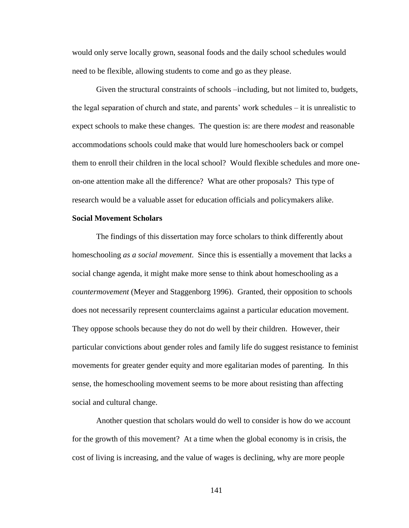would only serve locally grown, seasonal foods and the daily school schedules would need to be flexible, allowing students to come and go as they please.

Given the structural constraints of schools –including, but not limited to, budgets, the legal separation of church and state, and parents" work schedules – it is unrealistic to expect schools to make these changes. The question is: are there *modest* and reasonable accommodations schools could make that would lure homeschoolers back or compel them to enroll their children in the local school? Would flexible schedules and more oneon-one attention make all the difference? What are other proposals? This type of research would be a valuable asset for education officials and policymakers alike.

## **Social Movement Scholars**

The findings of this dissertation may force scholars to think differently about homeschooling *as a social movement*. Since this is essentially a movement that lacks a social change agenda, it might make more sense to think about homeschooling as a *countermovement* (Meyer and Staggenborg 1996). Granted, their opposition to schools does not necessarily represent counterclaims against a particular education movement. They oppose schools because they do not do well by their children. However, their particular convictions about gender roles and family life do suggest resistance to feminist movements for greater gender equity and more egalitarian modes of parenting. In this sense, the homeschooling movement seems to be more about resisting than affecting social and cultural change.

Another question that scholars would do well to consider is how do we account for the growth of this movement? At a time when the global economy is in crisis, the cost of living is increasing, and the value of wages is declining, why are more people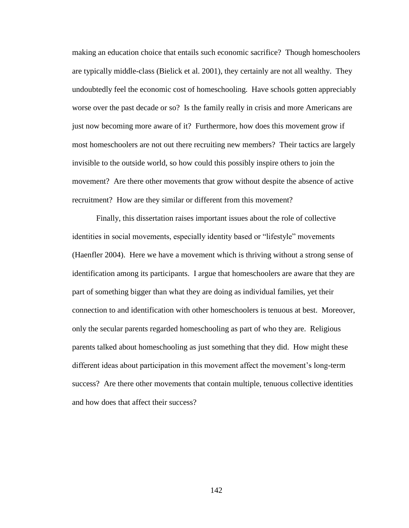making an education choice that entails such economic sacrifice? Though homeschoolers are typically middle-class (Bielick et al. 2001), they certainly are not all wealthy. They undoubtedly feel the economic cost of homeschooling. Have schools gotten appreciably worse over the past decade or so? Is the family really in crisis and more Americans are just now becoming more aware of it? Furthermore, how does this movement grow if most homeschoolers are not out there recruiting new members? Their tactics are largely invisible to the outside world, so how could this possibly inspire others to join the movement? Are there other movements that grow without despite the absence of active recruitment? How are they similar or different from this movement?

Finally, this dissertation raises important issues about the role of collective identities in social movements, especially identity based or "lifestyle" movements (Haenfler 2004). Here we have a movement which is thriving without a strong sense of identification among its participants. I argue that homeschoolers are aware that they are part of something bigger than what they are doing as individual families, yet their connection to and identification with other homeschoolers is tenuous at best. Moreover, only the secular parents regarded homeschooling as part of who they are. Religious parents talked about homeschooling as just something that they did. How might these different ideas about participation in this movement affect the movement"s long-term success? Are there other movements that contain multiple, tenuous collective identities and how does that affect their success?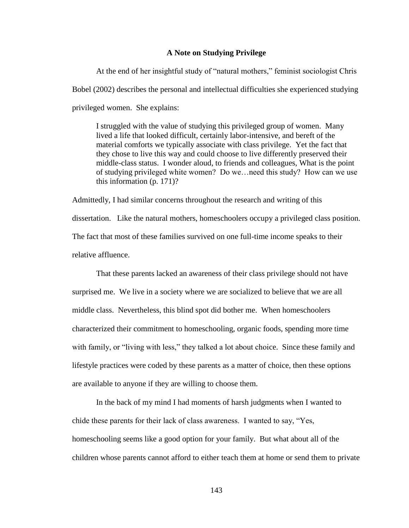### **A Note on Studying Privilege**

At the end of her insightful study of "natural mothers," feminist sociologist Chris Bobel (2002) describes the personal and intellectual difficulties she experienced studying privileged women. She explains:

I struggled with the value of studying this privileged group of women. Many lived a life that looked difficult, certainly labor-intensive, and bereft of the material comforts we typically associate with class privilege. Yet the fact that they chose to live this way and could choose to live differently preserved their middle-class status. I wonder aloud, to friends and colleagues, What is the point of studying privileged white women? Do we…need this study? How can we use this information (p. 171)?

Admittedly, I had similar concerns throughout the research and writing of this dissertation. Like the natural mothers, homeschoolers occupy a privileged class position. The fact that most of these families survived on one full-time income speaks to their relative affluence.

That these parents lacked an awareness of their class privilege should not have surprised me. We live in a society where we are socialized to believe that we are all middle class. Nevertheless, this blind spot did bother me. When homeschoolers characterized their commitment to homeschooling, organic foods, spending more time with family, or "living with less," they talked a lot about choice. Since these family and lifestyle practices were coded by these parents as a matter of choice, then these options are available to anyone if they are willing to choose them.

In the back of my mind I had moments of harsh judgments when I wanted to chide these parents for their lack of class awareness. I wanted to say, "Yes, homeschooling seems like a good option for your family. But what about all of the children whose parents cannot afford to either teach them at home or send them to private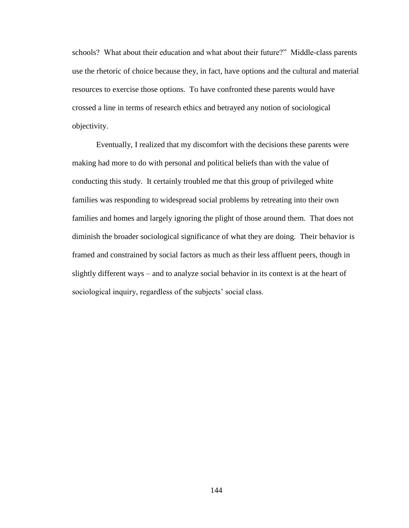schools? What about their education and what about their future?" Middle-class parents use the rhetoric of choice because they, in fact, have options and the cultural and material resources to exercise those options. To have confronted these parents would have crossed a line in terms of research ethics and betrayed any notion of sociological objectivity.

Eventually, I realized that my discomfort with the decisions these parents were making had more to do with personal and political beliefs than with the value of conducting this study. It certainly troubled me that this group of privileged white families was responding to widespread social problems by retreating into their own families and homes and largely ignoring the plight of those around them. That does not diminish the broader sociological significance of what they are doing. Their behavior is framed and constrained by social factors as much as their less affluent peers, though in slightly different ways – and to analyze social behavior in its context is at the heart of sociological inquiry, regardless of the subjects' social class.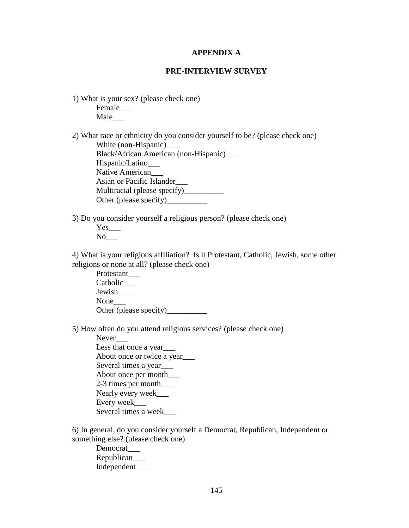### **APPENDIX A**

### **PRE-INTERVIEW SURVEY**

1) What is your sex? (please check one) Female\_\_\_ Male\_\_\_

2) What race or ethnicity do you consider yourself to be? (please check one) White (non-Hispanic) Black/African American (non-Hispanic)\_\_\_ Hispanic/Latino\_\_\_ Native American Asian or Pacific Islander\_\_\_ Multiracial (please specify)\_\_\_\_\_\_\_\_\_\_ Other (please specify)

3) Do you consider yourself a religious person? (please check one)

Yes No

4) What is your religious affiliation? Is it Protestant, Catholic, Jewish, some other religions or none at all? (please check one)

Protestant\_\_\_ Catholic\_\_\_ Jewish\_\_\_ None Other (please specify)\_\_\_\_\_\_\_\_\_\_

5) How often do you attend religious services? (please check one)

Never\_\_\_ Less that once a year About once or twice a year\_\_\_ Several times a year\_\_\_ About once per month\_\_\_ 2-3 times per month\_\_\_ Nearly every week\_\_\_ Every week\_\_\_ Several times a week\_\_\_

6) In general, do you consider yourself a Democrat, Republican, Independent or something else? (please check one)

Democrat\_\_\_ Republican\_\_\_ Independent\_\_\_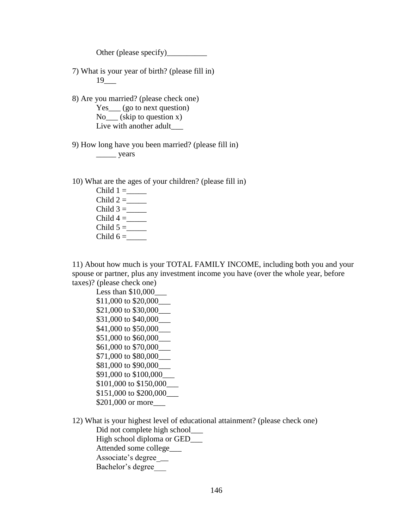Other (please specify)\_\_\_\_\_\_\_\_\_\_

7) What is your year of birth? (please fill in) 19\_\_\_

8) Are you married? (please check one) Yes\_\_\_ (go to next question)  $No$  (skip to question x) Live with another adult

9) How long have you been married? (please fill in)

\_\_\_\_\_ years

10) What are the ages of your children? (please fill in)

Child  $1 = \_$ Child  $2 = \_$ Child  $3 =$ Child  $4 =$ Child  $5 = \_$ Child  $6 = \_$ 

11) About how much is your TOTAL FAMILY INCOME, including both you and your spouse or partner, plus any investment income you have (over the whole year, before taxes)? (please check one)

Less than  $$10,000$ \$11,000 to \$20,000 \$21,000 to \$30,000\_\_\_ \$31,000 to \$40,000\_\_\_ \$41,000 to \$50,000 \$51,000 to \$60,000\_\_\_ \$61,000 to \$70,000\_\_\_ \$71,000 to \$80,000\_\_\_ \$81,000 to \$90,000\_\_\_ \$91,000 to \$100,000\_\_\_ \$101,000 to \$150,000\_\_\_ \$151,000 to \$200,000 \$201,000 or more\_\_\_

12) What is your highest level of educational attainment? (please check one) Did not complete high school High school diploma or GED\_\_\_\_ Attended some college\_\_\_ Associate's degree\_ Bachelor's degree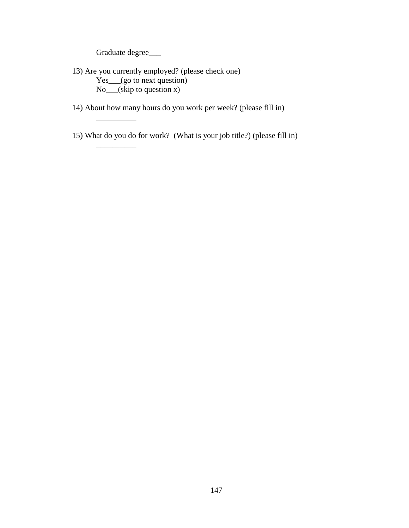Graduate degree\_\_\_\_

\_\_\_\_\_\_\_\_\_\_

\_\_\_\_\_\_\_\_\_\_

- 13) Are you currently employed? (please check one) Yes\_\_\_(go to next question) No\_\_\_(skip to question x)
- 14) About how many hours do you work per week? (please fill in)
- 15) What do you do for work? (What is your job title?) (please fill in)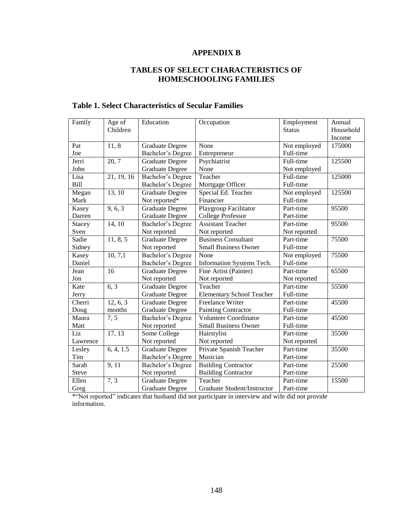# **APPENDIX B**

# **TABLES OF SELECT CHARACTERISTICS OF HOMESCHOOLING FAMILIES**

| Family        | Age of<br>Children | Education                | Occupation                       | Employment<br><b>Status</b> | Annual<br>Household |
|---------------|--------------------|--------------------------|----------------------------------|-----------------------------|---------------------|
|               |                    |                          |                                  |                             | Income              |
| Pat           | 11,8               | <b>Graduate Degree</b>   | None                             | Not employed                | 175000              |
| Joe           |                    | Bachelor's Degree        | Entrepreneur                     | Full-time                   |                     |
| Jerri         | 20, 7              | <b>Graduate Degree</b>   | Psychiatrist                     | Full-time                   | 125500              |
| John          |                    | <b>Graduate Degree</b>   | None                             | Not employed                |                     |
| Lisa          | 21, 19, 16         | <b>Bachelor's Degree</b> | Teacher                          | Full-time                   | 125000              |
| Bill          |                    | Bachelor's Degree        | Mortgage Officer                 | Full-time                   |                     |
| Megan         | 13, 10             | <b>Graduate Degree</b>   | Special Ed. Teacher              | Not employed                | 125500              |
| Mark          |                    | Not reported*            | Financier                        | Full-time                   |                     |
| Kasey         | 9, 6, 3            | <b>Graduate Degree</b>   | Playgroup Facilitator            | Part-time                   | 95500               |
| Darren        |                    | <b>Graduate Degree</b>   | <b>College Professor</b>         | Part-time                   |                     |
| <b>Stacey</b> | 14, 10             | <b>Bachelor's Degree</b> | <b>Assistant Teacher</b>         | Part-time                   | 95500               |
| Sven          |                    | Not reported             | Not reported                     | Not reported                |                     |
| Sadie         | 11, 8, 5           | <b>Graduate Degree</b>   | <b>Business Consultant</b>       | Part-time                   | 75500               |
| Sidney        |                    | Not reported             | <b>Small Business Owner</b>      | Full-time                   |                     |
| Kasey         | 10, 7, 1           | <b>Bachelor's Degree</b> | None                             | Not employed                | 75500               |
| Daniel        |                    | Bachelor's Degree        | Information Systems Tech.        | Full-time                   |                     |
| Jean          | 16                 | <b>Graduate Degree</b>   | Fine Artist (Painter)            | Part-time                   | 65500               |
| Jon           |                    | Not reported             | Not reported                     | Not reported                |                     |
| Kate          | 6, 3               | <b>Graduate Degree</b>   | Teacher                          | Part-time                   | 55500               |
| Jerry         |                    | <b>Graduate Degree</b>   | <b>Elementary School Teacher</b> | Full-time                   |                     |
| Cherri        | 12, 6, 3           | <b>Graduate Degree</b>   | <b>Freelance Writer</b>          | Part-time                   | 45500               |
| Doug          | months             | <b>Graduate Degree</b>   | <b>Painting Contractor</b>       | Full-time                   |                     |
| Maura         | 7, 5               | Bachelor's Degree        | <b>Volunteer Coordinator</b>     | Part-time                   | 45500               |
| Matt          |                    | Not reported             | <b>Small Business Owner</b>      | Full-time                   |                     |
| Liz           | 17, 13             | Some College             | Hairstylist                      | Part-time                   | 35500               |
| Lawrence      |                    | Not reported             | Not reported                     | Not reported                |                     |
| Lesley        | 6, 4, 1.5          | <b>Graduate Degree</b>   | Private Spanish Teacher          | Part-time                   | 35500               |
| Tim           |                    | Bachelor's Degree        | Musician                         | Part-time                   |                     |
| Sarah         | 9,11               | Bachelor's Degree        | <b>Building Contractor</b>       | Part-time                   | 25500               |
| <b>Steve</b>  |                    | Not reported             | <b>Building Contractor</b>       | Part-time                   |                     |
| Ellen         | 7, 3               | Graduate Degree          | Teacher                          | Part-time                   | 15500               |
| Greg          |                    | <b>Graduate Degree</b>   | Graduate Student/Instructor      | Part-time                   |                     |

# **Table 1. Select Characteristics of Secular Families**

\*"Not reported" indicates that husband did not participate in interview and wife did not provide information.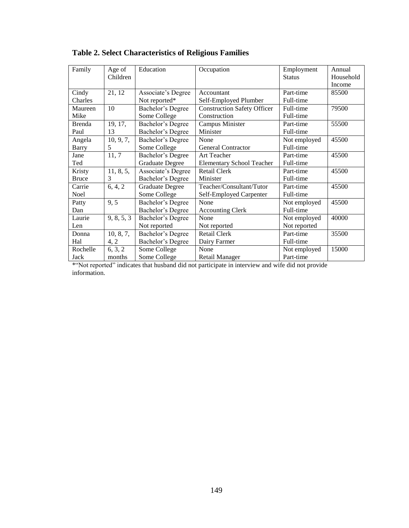| Family        | Age of     | Education              | Occupation                         | Employment    | Annual    |
|---------------|------------|------------------------|------------------------------------|---------------|-----------|
|               | Children   |                        |                                    | <b>Status</b> | Household |
|               |            |                        |                                    |               | Income    |
| Cindy         | 21, 12     | Associate's Degree     | Accountant                         | Part-time     | 85500     |
| Charles       |            | Not reported*          | Self-Employed Plumber              | Full-time     |           |
| Maureen       | 10         | Bachelor's Degree      | <b>Construction Safety Officer</b> | Full-time     | 79500     |
| Mike          |            | Some College           | Construction                       | Full-time     |           |
| <b>Brenda</b> | 19, 17,    | Bachelor's Degree      | Campus Minister                    | Part-time     | 55500     |
| Paul          | 13         | Bachelor's Degree      | Minister                           | Full-time     |           |
| Angela        | 10, 9, 7,  | Bachelor's Degree      | None                               | Not employed  | 45500     |
| <b>Barry</b>  | 5          | Some College           | General Contractor                 | Full-time     |           |
| Jane          | 11,7       | Bachelor's Degree      | Art Teacher                        | Part-time     | 45500     |
| Ted           |            | <b>Graduate Degree</b> | <b>Elementary School Teacher</b>   | Full-time     |           |
| Kristy        | 11, 8, 5,  | Associate's Degree     | <b>Retail Clerk</b>                | Part-time     | 45500     |
| <b>Bruce</b>  | 3          | Bachelor's Degree      | Minister                           | Full-time     |           |
| Carrie        | 6, 4, 2    | <b>Graduate Degree</b> | Teacher/Consultant/Tutor           | Part-time     | 45500     |
| Noel          |            | Some College           | Self-Employed Carpenter            | Full-time     |           |
| Patty         | 9, 5       | Bachelor's Degree      | None                               | Not employed  | 45500     |
| Dan           |            | Bachelor's Degree      | <b>Accounting Clerk</b>            | Full-time     |           |
| Laurie        | 9, 8, 5, 3 | Bachelor's Degree      | None                               | Not employed  | 40000     |
| Len           |            | Not reported           | Not reported                       | Not reported  |           |
| Donna         | 10, 8, 7,  | Bachelor's Degree      | <b>Retail Clerk</b>                | Part-time     | 35500     |
| Hal           | 4, 2       | Bachelor's Degree      | Dairy Farmer                       | Full-time     |           |
| Rochelle      | 6, 3, 2    | Some College           | None                               | Not employed  | 15000     |
| Jack          | months     | Some College           | Retail Manager                     | Part-time     |           |

\*"Not reported" indicates that husband did not participate in interview and wife did not provide information.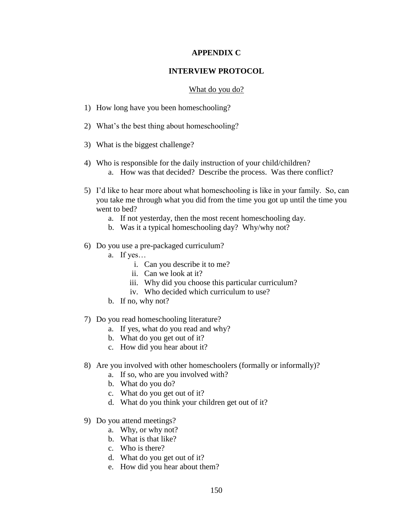## **APPENDIX C**

### **INTERVIEW PROTOCOL**

### What do you do?

- 1) How long have you been homeschooling?
- 2) What"s the best thing about homeschooling?
- 3) What is the biggest challenge?
- 4) Who is responsible for the daily instruction of your child/children? a. How was that decided? Describe the process. Was there conflict?
- 5) I"d like to hear more about what homeschooling is like in your family. So, can you take me through what you did from the time you got up until the time you went to bed?
	- a. If not yesterday, then the most recent homeschooling day.
	- b. Was it a typical homeschooling day? Why/why not?
- 6) Do you use a pre-packaged curriculum?
	- a. If yes…
		- i. Can you describe it to me?
		- ii. Can we look at it?
		- iii. Why did you choose this particular curriculum?
		- iv. Who decided which curriculum to use?
	- b. If no, why not?
- 7) Do you read homeschooling literature?
	- a. If yes, what do you read and why?
	- b. What do you get out of it?
	- c. How did you hear about it?
- 8) Are you involved with other homeschoolers (formally or informally)?
	- a. If so, who are you involved with?
	- b. What do you do?
	- c. What do you get out of it?
	- d. What do you think your children get out of it?
- 9) Do you attend meetings?
	- a. Why, or why not?
	- b. What is that like?
	- c. Who is there?
	- d. What do you get out of it?
	- e. How did you hear about them?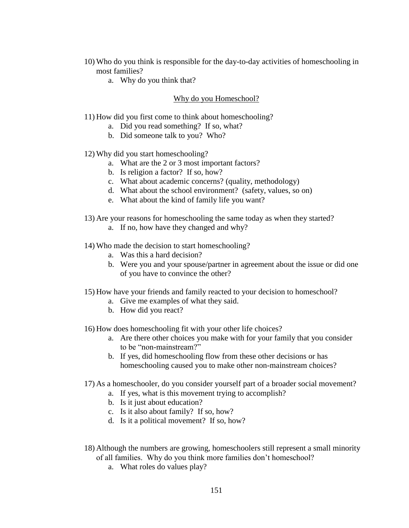- 10) Who do you think is responsible for the day-to-day activities of homeschooling in most families?
	- a. Why do you think that?

## Why do you Homeschool?

- 11) How did you first come to think about homeschooling?
	- a. Did you read something? If so, what?
	- b. Did someone talk to you? Who?
- 12) Why did you start homeschooling?
	- a. What are the 2 or 3 most important factors?
	- b. Is religion a factor? If so, how?
	- c. What about academic concerns? (quality, methodology)
	- d. What about the school environment? (safety, values, so on)
	- e. What about the kind of family life you want?
- 13) Are your reasons for homeschooling the same today as when they started?
	- a. If no, how have they changed and why?
- 14) Who made the decision to start homeschooling?
	- a. Was this a hard decision?
	- b. Were you and your spouse/partner in agreement about the issue or did one of you have to convince the other?
- 15) How have your friends and family reacted to your decision to homeschool?
	- a. Give me examples of what they said.
	- b. How did you react?
- 16) How does homeschooling fit with your other life choices?
	- a. Are there other choices you make with for your family that you consider to be "non-mainstream?"
	- b. If yes, did homeschooling flow from these other decisions or has homeschooling caused you to make other non-mainstream choices?
- 17) As a homeschooler, do you consider yourself part of a broader social movement?
	- a. If yes, what is this movement trying to accomplish?
	- b. Is it just about education?
	- c. Is it also about family? If so, how?
	- d. Is it a political movement? If so, how?
- 18) Although the numbers are growing, homeschoolers still represent a small minority of all families. Why do you think more families don"t homeschool?
	- a. What roles do values play?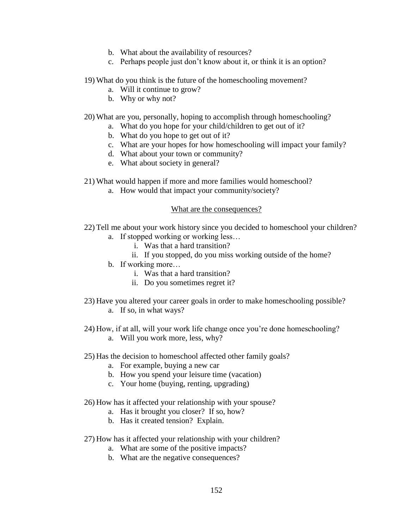- b. What about the availability of resources?
- c. Perhaps people just don"t know about it, or think it is an option?
- 19) What do you think is the future of the homeschooling movement?
	- a. Will it continue to grow?
	- b. Why or why not?
- 20) What are you, personally, hoping to accomplish through homeschooling?
	- a. What do you hope for your child/children to get out of it?
	- b. What do you hope to get out of it?
	- c. What are your hopes for how homeschooling will impact your family?
	- d. What about your town or community?
	- e. What about society in general?
- 21) What would happen if more and more families would homeschool?
	- a. How would that impact your community/society?

## What are the consequences?

- 22) Tell me about your work history since you decided to homeschool your children?
	- a. If stopped working or working less…
		- i. Was that a hard transition?
		- ii. If you stopped, do you miss working outside of the home?
	- b. If working more…
		- i. Was that a hard transition?
		- ii. Do you sometimes regret it?
- 23) Have you altered your career goals in order to make homeschooling possible?
	- a. If so, in what ways?
- 24) How, if at all, will your work life change once you"re done homeschooling?
	- a. Will you work more, less, why?
- 25) Has the decision to homeschool affected other family goals?
	- a. For example, buying a new car
	- b. How you spend your leisure time (vacation)
	- c. Your home (buying, renting, upgrading)
- 26) How has it affected your relationship with your spouse?
	- a. Has it brought you closer? If so, how?
	- b. Has it created tension? Explain.
- 27) How has it affected your relationship with your children?
	- a. What are some of the positive impacts?
	- b. What are the negative consequences?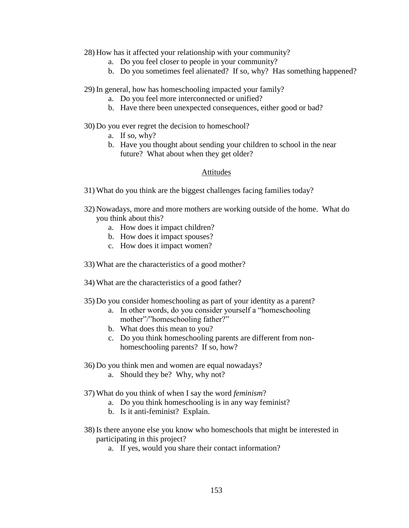### 28) How has it affected your relationship with your community?

- a. Do you feel closer to people in your community?
- b. Do you sometimes feel alienated? If so, why? Has something happened?

29) In general, how has homeschooling impacted your family?

- a. Do you feel more interconnected or unified?
- b. Have there been unexpected consequences, either good or bad?

### 30) Do you ever regret the decision to homeschool?

- a. If so, why?
- b. Have you thought about sending your children to school in the near future? What about when they get older?

## Attitudes

- 31) What do you think are the biggest challenges facing families today?
- 32) Nowadays, more and more mothers are working outside of the home. What do you think about this?
	- a. How does it impact children?
	- b. How does it impact spouses?
	- c. How does it impact women?
- 33) What are the characteristics of a good mother?
- 34) What are the characteristics of a good father?
- 35) Do you consider homeschooling as part of your identity as a parent?
	- a. In other words, do you consider yourself a "homeschooling mother"/"homeschooling father?"
	- b. What does this mean to you?
	- c. Do you think homeschooling parents are different from nonhomeschooling parents? If so, how?
- 36) Do you think men and women are equal nowadays?
	- a. Should they be? Why, why not?
- 37) What do you think of when I say the word *feminism*?
	- a. Do you think homeschooling is in any way feminist?
	- b. Is it anti-feminist? Explain.
- 38) Is there anyone else you know who homeschools that might be interested in participating in this project?
	- a. If yes, would you share their contact information?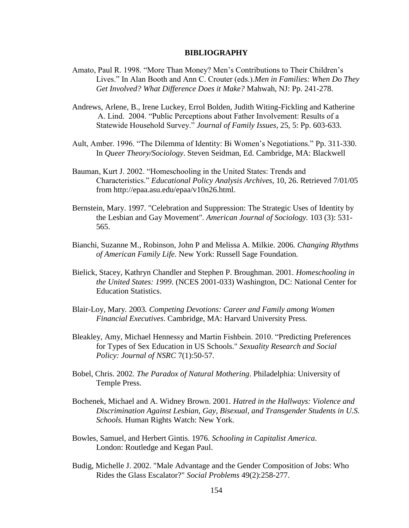## **BIBLIOGRAPHY**

- Amato, Paul R. 1998. "More Than Money? Men"s Contributions to Their Children"s Lives." In Alan Booth and Ann C. Crouter (eds.).*Men in Families: When Do They Get Involved? What Difference Does it Make?* Mahwah, NJ: Pp. 241-278.
- Andrews, Arlene, B., Irene Luckey, Errol Bolden, Judith Witing-Fickling and Katherine A. Lind. 2004. "Public Perceptions about Father Involvement: Results of a Statewide Household Survey." *Journal of Family Issues*, 25, 5: Pp. 603-633.
- Ault, Amber. 1996. "The Dilemma of Identity: Bi Women"s Negotiations." Pp. 311-330. In *Queer Theory/Sociology*. Steven Seidman, Ed. Cambridge, MA: Blackwell
- Bauman, Kurt J. 2002. "Homeschooling in the United States: Trends and Characteristics." *Educational Policy Analysis Archives*, 10, 26. Retrieved 7/01/05 from http://epaa.asu.edu/epaa/v10n26.html.
- Bernstein, Mary. 1997. "Celebration and Suppression: The Strategic Uses of Identity by the Lesbian and Gay Movement". *American Journal of Sociology.* 103 (3): 531- 565.
- Bianchi, Suzanne M.*,* Robinson, John P and Melissa A. Milkie. 2006*. Changing Rhythms of American Family Life.* New York: Russell Sage Foundation*.*
- Bielick, Stacey, Kathryn Chandler and Stephen P. Broughman. 2001. *Homeschooling in the United States: 1999*. (NCES 2001-033) Washington, DC: National Center for Education Statistics.
- Blair-Loy, Mary*.* 2003*. Competing Devotions: Career and Family among Women Financial Executives*. Cambridge, MA: Harvard University Press*.*
- Bleakley, Amy, Michael Hennessy and Martin Fishbein. 2010. "Predicting Preferences for Types of Sex Education in US Schools." *Sexuality Research and Social Policy: Journal of NSRC* 7(1):50-57.
- Bobel, Chris. 2002. *The Paradox of Natural Mothering*. Philadelphia: University of Temple Press.
- Bochenek, Michael and A. Widney Brown. 2001. *Hatred in the Hallways: Violence and Discrimination Against Lesbian, Gay, Bisexual, and Transgender Students in U.S. Schools.* Human Rights Watch: New York.
- Bowles, Samuel, and Herbert Gintis. 1976. *Schooling in Capitalist America*. London: Routledge and Kegan Paul.
- Budig, Michelle J. 2002. "Male Advantage and the Gender Composition of Jobs: Who Rides the Glass Escalator?" *Social Problems* 49(2):258-277.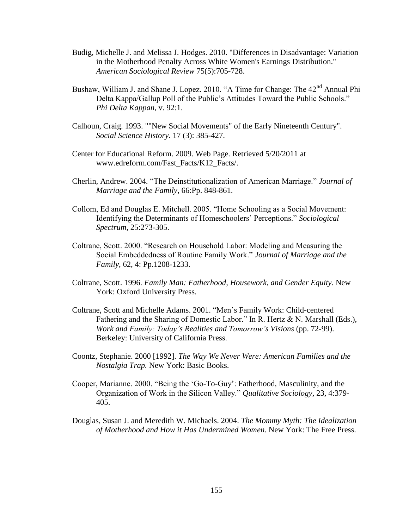- Budig, Michelle J. and Melissa J. Hodges. 2010. "Differences in Disadvantage: Variation in the Motherhood Penalty Across White Women's Earnings Distribution." *American Sociological Review* 75(5):705-728.
- Bushaw, William J. and Shane J. Lopez. 2010. "A Time for Change: The  $42<sup>nd</sup>$  Annual Phi Delta Kappa/Gallup Poll of the Public's Attitudes Toward the Public Schools." *Phi Delta Kappan*, v. 92:1.
- Calhoun, Craig. 1993. ""New Social Movements" of the Early Nineteenth Century". *Social Science History.* 17 (3): 385-427.
- Center for Educational Reform. 2009. Web Page. Retrieved 5/20/2011 at www.edreform.com/Fast\_Facts/K12\_Facts/.
- Cherlin, Andrew. 2004. "The Deinstitutionalization of American Marriage." *Journal of Marriage and the Family*, 66:Pp. 848-861.
- Collom, Ed and Douglas E. Mitchell. 2005. "Home Schooling as a Social Movement: Identifying the Determinants of Homeschoolers" Perceptions." *Sociological Spectrum*, 25:273-305.
- Coltrane, Scott. 2000. "Research on Household Labor: Modeling and Measuring the Social Embeddedness of Routine Family Work." *Journal of Marriage and the Family*, 62, 4: Pp.1208-1233.
- Coltrane, Scott. 1996. *Family Man: Fatherhood, Housework, and Gender Equity.* New York: Oxford University Press.
- Coltrane, Scott and Michelle Adams. 2001. "Men"s Family Work: Child-centered Fathering and the Sharing of Domestic Labor." In R. Hertz & N. Marshall (Eds.), *Work and Family: Today's Realities and Tomorrow's Visions (pp. 72-99).* Berkeley: University of California Press.
- Coontz, Stephanie. 2000 [1992]. *The Way We Never Were: American Families and the Nostalgia Trap.* New York: Basic Books.
- Cooper, Marianne. 2000. "Being the "Go-To-Guy": Fatherhood, Masculinity, and the Organization of Work in the Silicon Valley." *Qualitative Sociology*, 23, 4:379- 405.
- Douglas, Susan J. and Meredith W. Michaels. 2004. *The Mommy Myth: The Idealization of Motherhood and How it Has Undermined Women*. New York: The Free Press.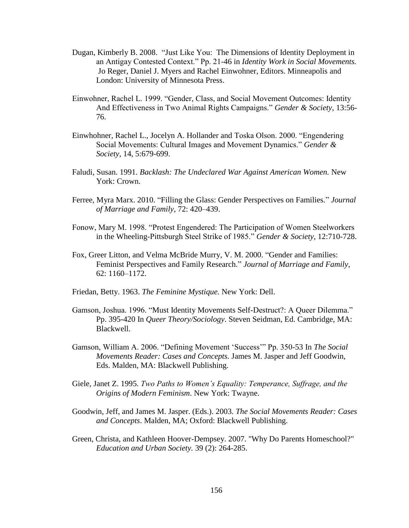- Dugan, Kimberly B. 2008. "Just Like You: The Dimensions of Identity Deployment in an Antigay Contested Context." Pp. 21-46 in *Identity Work in Social Movements.*  Jo Reger, Daniel J. Myers and Rachel Einwohner, Editors. Minneapolis and London: University of Minnesota Press.
- Einwohner, Rachel L. 1999. "Gender, Class, and Social Movement Outcomes: Identity And Effectiveness in Two Animal Rights Campaigns." *Gender & Society,* 13:56- 76.
- Einwhohner, Rachel L., Jocelyn A. Hollander and Toska Olson. 2000. "Engendering Social Movements: Cultural Images and Movement Dynamics." *Gender & Society,* 14, 5:679-699.
- Faludi, Susan. 1991. *Backlash: The Undeclared War Against American Women.* New York: Crown.
- Ferree, Myra Marx. 2010. "Filling the Glass: Gender Perspectives on Families." *Journal of Marriage and Family*, 72: 420–439.
- Fonow, Mary M. 1998. "Protest Engendered: The Participation of Women Steelworkers in the Wheeling-Pittsburgh Steel Strike of 1985." *Gender & Society,* 12:710-728.
- Fox, Greer Litton, and Velma McBride Murry, V. M. 2000. "Gender and Families: Feminist Perspectives and Family Research." *Journal of Marriage and Family*, 62: 1160–1172.
- Friedan, Betty. 1963. *The Feminine Mystique.* New York: Dell.
- Gamson, Joshua. 1996. "Must Identity Movements Self-Destruct?: A Queer Dilemma." Pp. 395-420 In *Queer Theory/Sociology*. Steven Seidman, Ed. Cambridge, MA: Blackwell.
- Gamson, William A. 2006. "Defining Movement "Success"" Pp. 350-53 In *The Social Movements Reader: Cases and Concepts.* James M. Jasper and Jeff Goodwin, Eds. Malden, MA: Blackwell Publishing.
- Giele, Janet Z. 1995. *Two Paths to Women's Equality: Temperance, Suffrage, and the Origins of Modern Feminism*. New York: Twayne.
- Goodwin, Jeff, and James M. Jasper. (Eds.). 2003. *The Social Movements Reader: Cases and Concepts*. Malden, MA; Oxford: Blackwell Publishing.
- Green, Christa, and Kathleen Hoover-Dempsey. 2007. "Why Do Parents Homeschool?" *Education and Urban Society.* 39 (2): 264-285.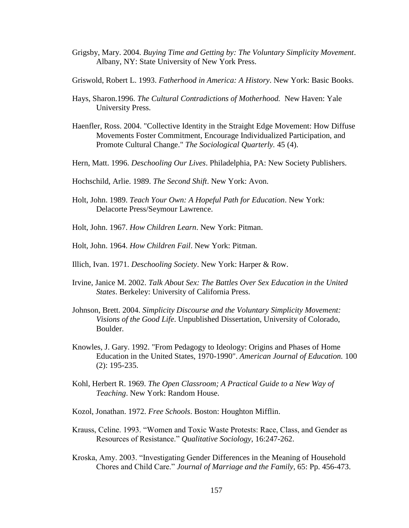- Grigsby, Mary. 2004. *Buying Time and Getting by: The Voluntary Simplicity Movement*. Albany, NY: State University of New York Press.
- Griswold, Robert L. 1993. *Fatherhood in America: A History*. New York: Basic Books.
- Hays, Sharon.1996. *The Cultural Contradictions of Motherhood.* New Haven: Yale University Press.
- Haenfler, Ross. 2004. "Collective Identity in the Straight Edge Movement: How Diffuse Movements Foster Commitment, Encourage Individualized Participation, and Promote Cultural Change." *The Sociological Quarterly.* 45 (4).
- Hern, Matt. 1996. *Deschooling Our Lives*. Philadelphia, PA: New Society Publishers.
- Hochschild, Arlie. 1989. *The Second Shift*. New York: Avon.
- Holt, John. 1989. *Teach Your Own: A Hopeful Path for Education*. New York: Delacorte Press/Seymour Lawrence.
- Holt, John. 1967. *How Children Learn*. New York: Pitman.
- Holt, John. 1964. *How Children Fail*. New York: Pitman.
- Illich, Ivan. 1971. *Deschooling Society*. New York: Harper & Row.
- Irvine, Janice M. 2002. *Talk About Sex: The Battles Over Sex Education in the United States*. Berkeley: University of California Press.
- Johnson, Brett. 2004. *Simplicity Discourse and the Voluntary Simplicity Movement: Visions of the Good Life*. Unpublished Dissertation, University of Colorado, Boulder.
- Knowles, J. Gary. 1992. "From Pedagogy to Ideology: Origins and Phases of Home Education in the United States, 1970-1990". *American Journal of Education.* 100 (2): 195-235.
- Kohl, Herbert R. 1969. *The Open Classroom; A Practical Guide to a New Way of Teaching*. New York: Random House.
- Kozol, Jonathan. 1972. *Free Schools*. Boston: Houghton Mifflin.
- Krauss, Celine. 1993. "Women and Toxic Waste Protests: Race, Class, and Gender as Resources of Resistance." *Qualitative Sociology*, 16:247-262.
- Kroska, Amy. 2003. "Investigating Gender Differences in the Meaning of Household Chores and Child Care." *Journal of Marriage and the Family*, 65: Pp. 456-473.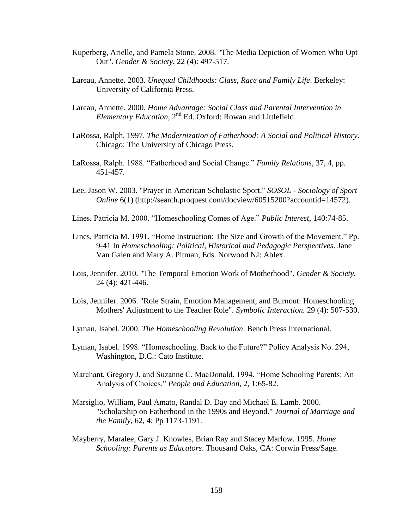- Kuperberg, Arielle, and Pamela Stone. 2008. "The Media Depiction of Women Who Opt Out". *Gender & Society.* 22 (4): 497-517.
- Lareau, Annette. 2003. *Unequal Childhoods: Class, Race and Family Life*. Berkeley: University of California Press.
- Lareau, Annette. 2000. *Home Advantage: Social Class and Parental Intervention in*  Elementary Education, 2<sup>nd</sup> Ed. Oxford: Rowan and Littlefield.
- LaRossa, Ralph. 1997. *The Modernization of Fatherhood: A Social and Political History*. Chicago: The University of Chicago Press.
- LaRossa, Ralph. 1988. "Fatherhood and Social Change." *Family Relations*, 37, 4, pp. 451-457.
- Lee, Jason W. 2003. "Prayer in American Scholastic Sport." *SOSOL - Sociology of Sport Online* 6(1) (http://search.proquest.com/docview/60515200?accountid=14572).
- Lines, Patricia M. 2000. "Homeschooling Comes of Age." *Public Interest*, 140:74-85.
- Lines, Patricia M. 1991. "Home Instruction: The Size and Growth of the Movement." Pp. 9-41 In *Homeschooling: Political, Historical and Pedagogic Perspectives*. Jane Van Galen and Mary A. Pitman, Eds. Norwood NJ: Ablex.
- Lois, Jennifer. 2010. "The Temporal Emotion Work of Motherhood". *Gender & Society.*  24 (4): 421-446.
- Lois, Jennifer. 2006. "Role Strain, Emotion Management, and Burnout: Homeschooling Mothers' Adjustment to the Teacher Role". *Symbolic Interaction.* 29 (4): 507-530.
- Lyman, Isabel. 2000. *The Homeschooling Revolution*. Bench Press International.
- Lyman, Isabel. 1998. "Homeschooling. Back to the Future?" Policy Analysis No. 294, Washington, D.C.: Cato Institute.
- Marchant, Gregory J. and Suzanne C. MacDonald. 1994. "Home Schooling Parents: An Analysis of Choices." *People and Education,* 2, 1:65-82.
- Marsiglio, William, Paul Amato, Randal D. Day and Michael E. Lamb. 2000. "Scholarship on Fatherhood in the 1990s and Beyond." *Journal of Marriage and the Family,* 62, 4: Pp 1173-1191.
- Mayberry, Maralee, Gary J. Knowles, Brian Ray and Stacey Marlow. 1995. *Home Schooling: Parents as Educators*. Thousand Oaks, CA: Corwin Press/Sage.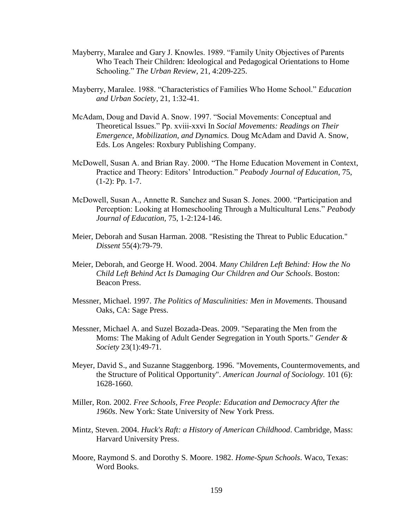- Mayberry, Maralee and Gary J. Knowles. 1989. "Family Unity Objectives of Parents Who Teach Their Children: Ideological and Pedagogical Orientations to Home Schooling." *The Urban Review*, 21, 4:209-225.
- Mayberry, Maralee. 1988. "Characteristics of Families Who Home School." *Education and Urban Society*, 21, 1:32-41.
- McAdam, Doug and David A. Snow. 1997. "Social Movements: Conceptual and Theoretical Issues." Pp. xviii-xxvi In *Social Movements: Readings on Their Emergence, Mobilization, and Dynamics.* Doug McAdam and David A. Snow, Eds. Los Angeles: Roxbury Publishing Company.
- McDowell, Susan A. and Brian Ray. 2000. "The Home Education Movement in Context, Practice and Theory: Editors' Introduction." *Peabody Journal of Education*, 75, (1-2): Pp. 1-7.
- McDowell, Susan A., Annette R. Sanchez and Susan S. Jones. 2000. "Participation and Perception: Looking at Homeschooling Through a Multicultural Lens." *Peabody Journal of Education,* 75, 1-2:124-146.
- Meier, Deborah and Susan Harman. 2008. "Resisting the Threat to Public Education." *Dissent* 55(4):79-79.
- Meier, Deborah, and George H. Wood. 2004. *Many Children Left Behind: How the No Child Left Behind Act Is Damaging Our Children and Our Schools*. Boston: Beacon Press.
- Messner, Michael. 1997. *The Politics of Masculinities: Men in Movements*. Thousand Oaks, CA: Sage Press.
- Messner, Michael A. and Suzel Bozada-Deas. 2009. "Separating the Men from the Moms: The Making of Adult Gender Segregation in Youth Sports." *Gender & Society* 23(1):49-71.
- Meyer, David S., and Suzanne Staggenborg. 1996. "Movements, Countermovements, and the Structure of Political Opportunity". *American Journal of Sociology.* 101 (6): 1628-1660.
- Miller, Ron. 2002. *Free Schools, Free People: Education and Democracy After the 1960s*. New York: State University of New York Press.
- Mintz, Steven. 2004. *Huck's Raft: a History of American Childhood*. Cambridge, Mass: Harvard University Press.
- Moore, Raymond S. and Dorothy S. Moore. 1982. *Home-Spun Schools*. Waco, Texas: Word Books.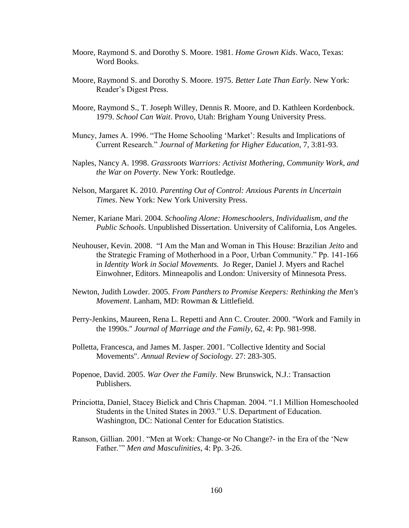- Moore, Raymond S. and Dorothy S. Moore. 1981. *Home Grown Kids*. Waco, Texas: Word Books.
- Moore, Raymond S. and Dorothy S. Moore. 1975. *Better Late Than Early*. New York: Reader"s Digest Press.
- Moore, Raymond S., T. Joseph Willey, Dennis R. Moore, and D. Kathleen Kordenbock. 1979. *School Can Wait*. Provo, Utah: Brigham Young University Press.
- Muncy, James A. 1996. "The Home Schooling "Market": Results and Implications of Current Research." *Journal of Marketing for Higher Education*, 7, 3:81-93.
- Naples, Nancy A. 1998. *Grassroots Warriors: Activist Mothering, Community Work, and the War on Poverty*. New York: Routledge.
- Nelson, Margaret K. 2010. *Parenting Out of Control: Anxious Parents in Uncertain Times*. New York: New York University Press.
- Nemer, Kariane Mari. 2004. *Schooling Alone: Homeschoolers, Individualism, and the Public Schools*. Unpublished Dissertation. University of California, Los Angeles.
- Neuhouser, Kevin. 2008. "I Am the Man and Woman in This House: Brazilian *Jeito* and the Strategic Framing of Motherhood in a Poor, Urban Community." Pp. 141-166 in *Identity Work in Social Movements.* Jo Reger, Daniel J. Myers and Rachel Einwohner, Editors. Minneapolis and London: University of Minnesota Press.
- Newton, Judith Lowder. 2005. *From Panthers to Promise Keepers: Rethinking the Men's Movement*. Lanham, MD: Rowman & Littlefield.
- Perry-Jenkins, Maureen, Rena L. Repetti and Ann C. Crouter. 2000. "Work and Family in the 1990s." *Journal of Marriage and the Family,* 62, 4: Pp. 981-998.
- Polletta, Francesca, and James M. Jasper. 2001. "Collective Identity and Social Movements". *Annual Review of Sociology.* 27: 283-305.
- Popenoe, David. 2005. *War Over the Family*. New Brunswick, N.J.: Transaction Publishers.
- Princiotta, Daniel, Stacey Bielick and Chris Chapman. 2004. "1.1 Million Homeschooled Students in the United States in 2003." U.S. Department of Education. Washington, DC: National Center for Education Statistics.
- Ranson, Gillian. 2001. "Men at Work: Change-or No Change?- in the Era of the "New Father."" *Men and Masculinities*, 4: Pp. 3-26.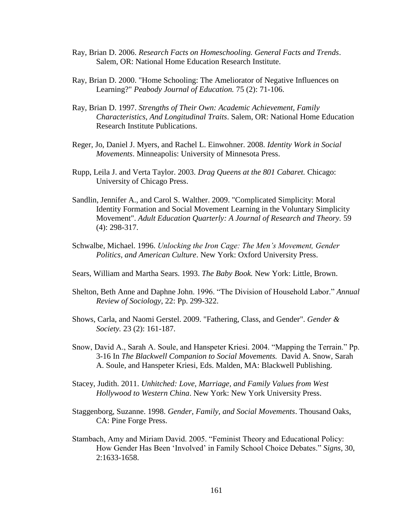- Ray, Brian D. 2006. *Research Facts on Homeschooling. General Facts and Trends*. Salem, OR: National Home Education Research Institute.
- Ray, Brian D. 2000. "Home Schooling: The Ameliorator of Negative Influences on Learning?" *Peabody Journal of Education.* 75 (2): 71-106.
- Ray, Brian D. 1997. *Strengths of Their Own: Academic Achievement, Family Characteristics, And Longitudinal Traits*. Salem, OR: National Home Education Research Institute Publications.
- Reger, Jo, Daniel J. Myers, and Rachel L. Einwohner. 2008. *Identity Work in Social Movements*. Minneapolis: University of Minnesota Press.
- Rupp, Leila J. and Verta Taylor. 2003. *Drag Queens at the 801 Cabaret.* Chicago: University of Chicago Press.
- Sandlin, Jennifer A., and Carol S. Walther. 2009. "Complicated Simplicity: Moral Identity Formation and Social Movement Learning in the Voluntary Simplicity Movement". *Adult Education Quarterly: A Journal of Research and Theory.* 59 (4): 298-317.
- Schwalbe, Michael. 1996. *Unlocking the Iron Cage: The Men's Movement, Gender Politics, and American Culture*. New York: Oxford University Press.
- Sears, William and Martha Sears. 1993. *The Baby Book.* New York: Little, Brown.
- Shelton, Beth Anne and Daphne John. 1996. "The Division of Household Labor." *Annual Review of Sociology*, 22: Pp. 299-322.
- Shows, Carla, and Naomi Gerstel. 2009. "Fathering, Class, and Gender". *Gender & Society.* 23 (2): 161-187.
- Snow, David A., Sarah A. Soule, and Hanspeter Kriesi. 2004. "Mapping the Terrain." Pp. 3-16 In *The Blackwell Companion to Social Movements.* David A. Snow, Sarah A. Soule, and Hanspeter Kriesi, Eds. Malden, MA: Blackwell Publishing.
- Stacey, Judith. 2011. *Unhitched: Love, Marriage, and Family Values from West Hollywood to Western China*. New York: New York University Press.
- Staggenborg, Suzanne. 1998. *Gender, Family, and Social Movements*. Thousand Oaks, CA: Pine Forge Press.
- Stambach, Amy and Miriam David. 2005. "Feminist Theory and Educational Policy: How Gender Has Been "Involved" in Family School Choice Debates." *Signs,* 30, 2:1633-1658.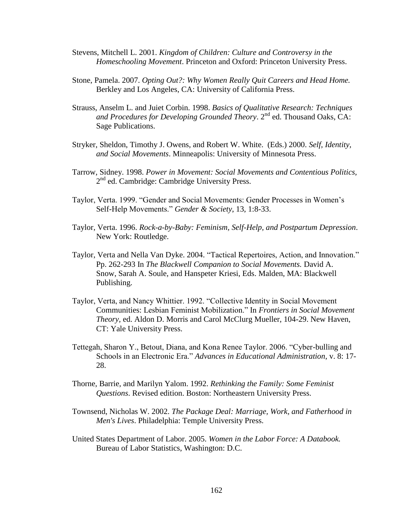- Stevens, Mitchell L. 2001. *Kingdom of Children: Culture and Controversy in the Homeschooling Movement*. Princeton and Oxford: Princeton University Press.
- Stone, Pamela. 2007. *Opting Out?: Why Women Really Quit Careers and Head Home.* Berkley and Los Angeles, CA: University of California Press.
- Strauss, Anselm L. and Juiet Corbin. 1998. *Basics of Qualitative Research: Techniques* and Procedures for Developing Grounded Theory. 2<sup>nd</sup> ed. Thousand Oaks, CA: Sage Publications.
- Stryker, Sheldon, Timothy J. Owens, and Robert W. White. (Eds.) 2000. *Self, Identity, and Social Movements*. Minneapolis: University of Minnesota Press.
- Tarrow, Sidney. 1998. *Power in Movement: Social Movements and Contentious Politics,*  2<sup>nd</sup> ed. Cambridge: Cambridge University Press.
- Taylor, Verta. 1999. "Gender and Social Movements: Gender Processes in Women"s Self-Help Movements." *Gender & Society*, 13, 1:8-33.
- Taylor, Verta. 1996. *Rock-a-by-Baby: Feminism, Self-Help, and Postpartum Depression*. New York: Routledge.
- Taylor, Verta and Nella Van Dyke. 2004. "Tactical Repertoires, Action, and Innovation." Pp. 262-293 In *The Blackwell Companion to Social Movements.* David A. Snow, Sarah A. Soule, and Hanspeter Kriesi, Eds. Malden, MA: Blackwell Publishing.
- Taylor, Verta, and Nancy Whittier. 1992. "Collective Identity in Social Movement Communities: Lesbian Feminist Mobilization." In *Frontiers in Social Movement Theory,* ed. Aldon D. Morris and Carol McClurg Mueller, 104-29. New Haven, CT: Yale University Press.
- Tettegah, Sharon Y., Betout, Diana, and Kona Renee Taylor. 2006. "Cyber-bulling and Schools in an Electronic Era." *Advances in Educational Administration*, v. 8: 17- 28.
- Thorne, Barrie, and Marilyn Yalom. 1992. *Rethinking the Family: Some Feminist Questions*. Revised edition. Boston: Northeastern University Press.
- Townsend, Nicholas W. 2002. *The Package Deal: Marriage, Work, and Fatherhood in Men's Lives*. Philadelphia: Temple University Press.
- United States Department of Labor. 2005. *Women in the Labor Force: A Databook.*  Bureau of Labor Statistics, Washington: D.C.